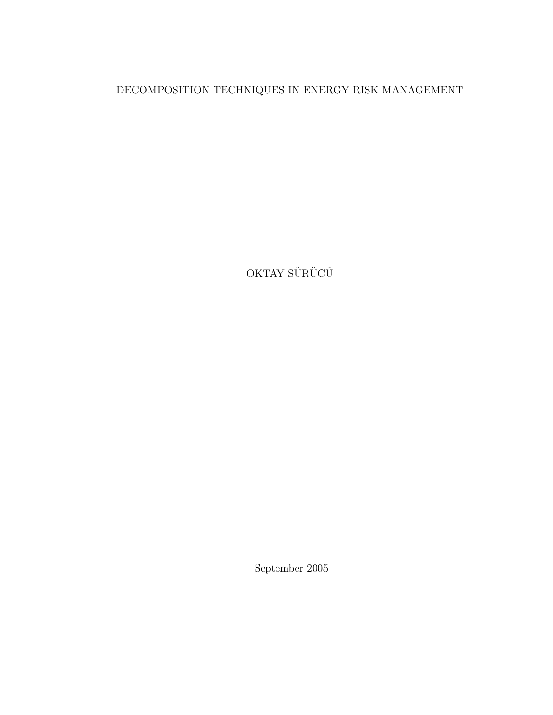### DECOMPOSITION TECHNIQUES IN ENERGY RISK MANAGEMENT

OKTAY $\ddot{\rm S}\ddot{\rm U}\rm R\ddot{\rm U}\rm C\ddot{\rm U}$ 

September 2005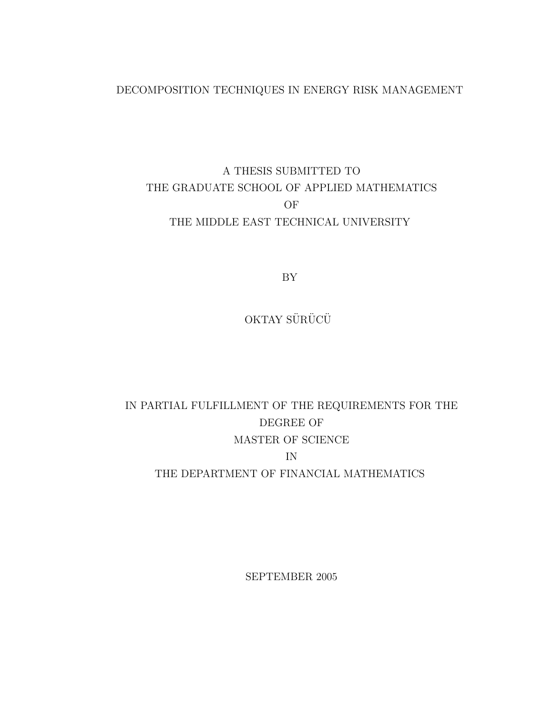#### DECOMPOSITION TECHNIQUES IN ENERGY RISK MANAGEMENT

### A THESIS SUBMITTED TO THE GRADUATE SCHOOL OF APPLIED MATHEMATICS OF THE MIDDLE EAST TECHNICAL UNIVERSITY

BY

OKTAY SÜRÜCÜ

### IN PARTIAL FULFILLMENT OF THE REQUIREMENTS FOR THE DEGREE OF MASTER OF SCIENCE IN THE DEPARTMENT OF FINANCIAL MATHEMATICS

SEPTEMBER 2005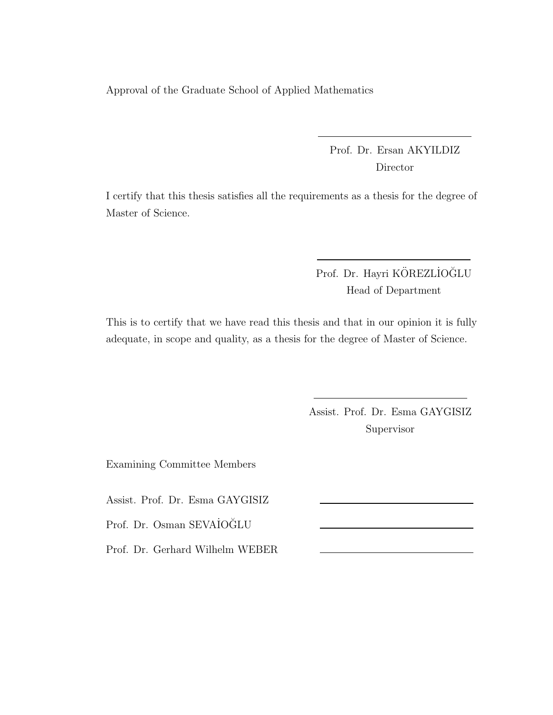Approval of the Graduate School of Applied Mathematics

Prof. Dr. Ersan AKYILDIZ Director

I certify that this thesis satisfies all the requirements as a thesis for the degree of Master of Science.

> Prof. Dr. Hayri KÖREZLIOĞLU Head of Department

This is to certify that we have read this thesis and that in our opinion it is fully adequate, in scope and quality, as a thesis for the degree of Master of Science.

> Assist. Prof. Dr. Esma GAYGISIZ Supervisor

Examining Committee Members

Assist. Prof. Dr. Esma GAYGISIZ

Prof. Dr. Osman SEVAİOĞLU

Prof. Dr. Gerhard Wilhelm WEBER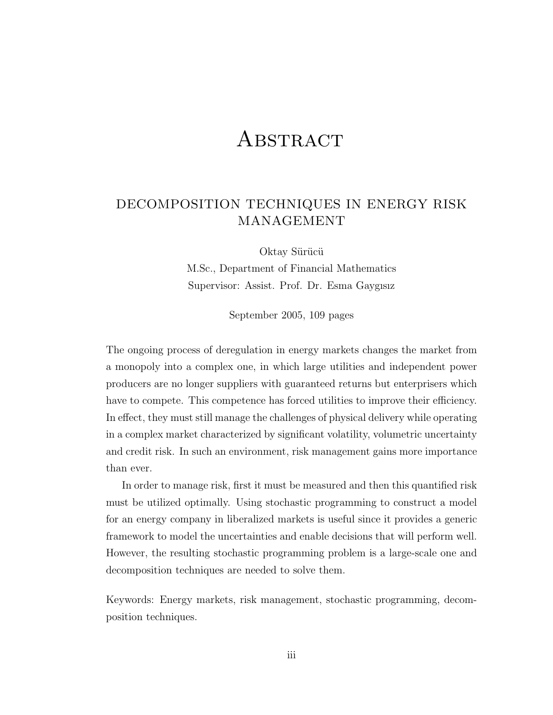## **ABSTRACT**

### DECOMPOSITION TECHNIQUES IN ENERGY RISK MANAGEMENT

Oktay Sürücü M.Sc., Department of Financial Mathematics Supervisor: Assist. Prof. Dr. Esma Gaygısız

September 2005, 109 pages

The ongoing process of deregulation in energy markets changes the market from a monopoly into a complex one, in which large utilities and independent power producers are no longer suppliers with guaranteed returns but enterprisers which have to compete. This competence has forced utilities to improve their efficiency. In effect, they must still manage the challenges of physical delivery while operating in a complex market characterized by significant volatility, volumetric uncertainty and credit risk. In such an environment, risk management gains more importance than ever.

In order to manage risk, first it must be measured and then this quantified risk must be utilized optimally. Using stochastic programming to construct a model for an energy company in liberalized markets is useful since it provides a generic framework to model the uncertainties and enable decisions that will perform well. However, the resulting stochastic programming problem is a large-scale one and decomposition techniques are needed to solve them.

Keywords: Energy markets, risk management, stochastic programming, decomposition techniques.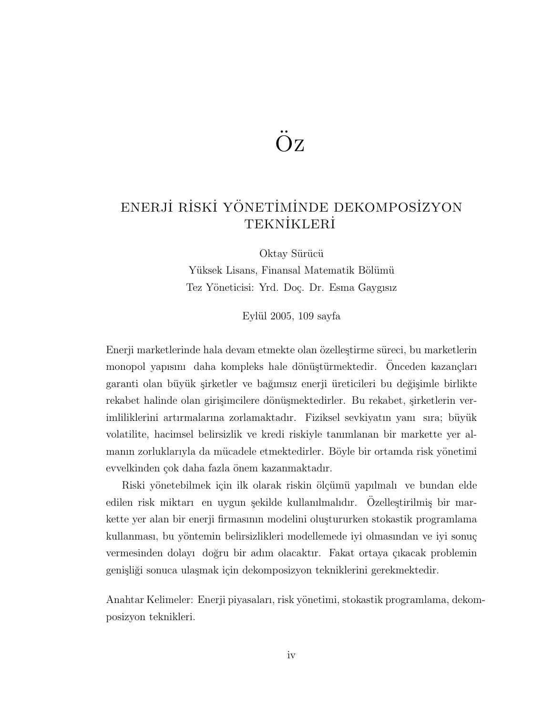# $OZ$

### ENERJİ RİSKİ YÖNETİMİNDE DEKOMPOSİZYON **TEKNİKLERİ**

Oktay Sürücü Yüksek Lisans, Finansal Matematik Bölümü Tez Yöneticisi: Yrd. Doç. Dr. Esma Gaygısız

Eylül 2005,  $109$  sayfa

Enerji marketlerinde hala devam etmekte olan özelleştirme süreci, bu marketlerin monopol yapısını daha kompleks hale dönüştürmektedir. Onceden kazançları garanti olan büyük şirketler ve bağımsız enerji üreticileri bu değişimle birlikte rekabet halinde olan girişimcilere dönüşmektedirler. Bu rekabet, şirketlerin verimliliklerini artırmalarına zorlamaktadır. Fiziksel sevkiyatın yanı sıra; büyük volatilite, hacimsel belirsizlik ve kredi riskiyle tanımlanan bir markette yer almanın zorluklarıyla da mücadele etmektedirler. Böyle bir ortamda risk yönetimi evvelkinden çok daha fazla önem kazanmaktadır.

Riski yönetebilmek için ilk olarak riskin ölçümü yapılmalı ve bundan elde  $\alpha$ edilen risk miktarı en uygun şekilde kullanılmalıdır. Özelleştirilmiş bir markette yer alan bir enerji firmasının modelini oluştururken stokastik programlama kullanması, bu yöntemin belirsizlikleri modellemede iyi olmasından ve iyi sonuç vermesinden dolayı doğru bir adım olacaktır. Fakat ortaya çıkacak problemin genişliği sonuca ulaşmak için dekomposizyon tekniklerini gerekmektedir.

Anahtar Kelimeler: Enerji piyasaları, risk yönetimi, stokastik programlama, dekomposizyon teknikleri.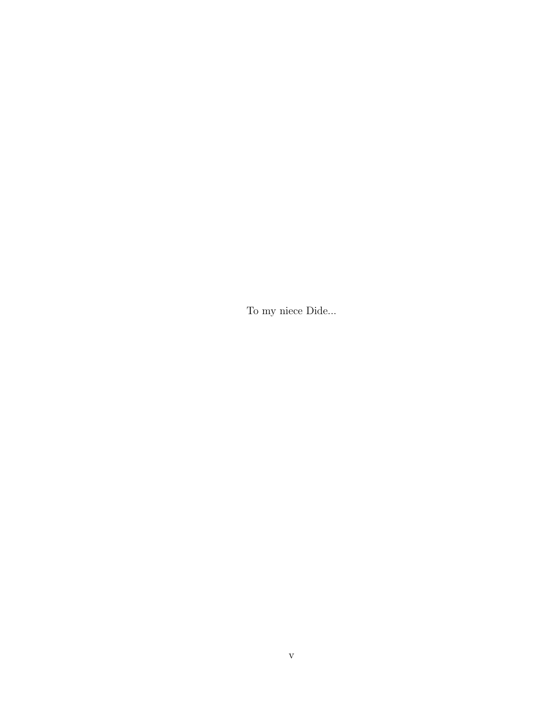To my niece Dide...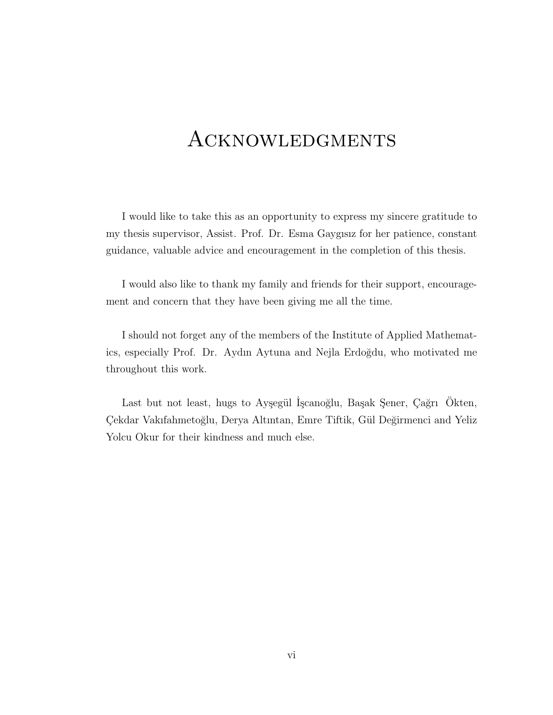## **ACKNOWLEDGMENTS**

I would like to take this as an opportunity to express my sincere gratitude to my thesis supervisor, Assist. Prof. Dr. Esma Gaygısız for her patience, constant guidance, valuable advice and encouragement in the completion of this thesis.

I would also like to thank my family and friends for their support, encouragement and concern that they have been giving me all the time.

I should not forget any of the members of the Institute of Applied Mathematics, especially Prof. Dr. Aydın Aytuna and Nejla Erdoğdu, who motivated me throughout this work.

Last but not least, hugs to Ayşegül İşcanoğlu, Başak Şener, Çağrı Ökten, Çekdar Vakıfahmetoğlu, Derya Altıntan, Emre Tiftik, Gül Değirmenci and Yeliz Yolcu Okur for their kindness and much else.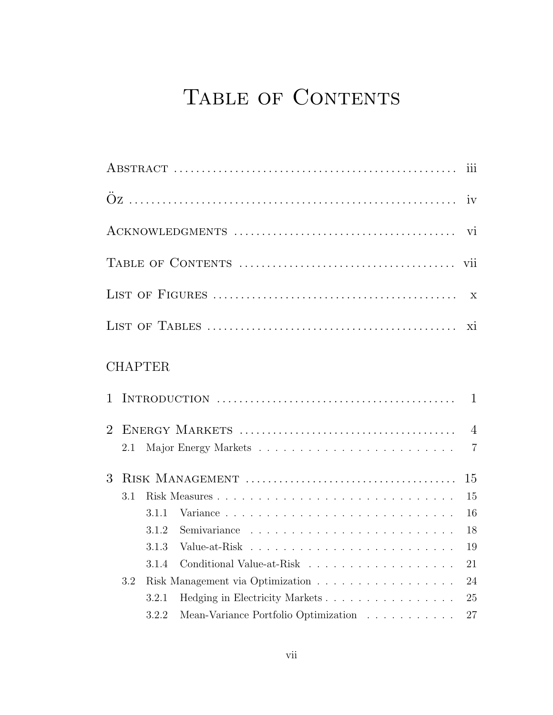# TABLE OF CONTENTS

|   |     |                |                                                                    | $\overline{111}$                 |  |  |  |
|---|-----|----------------|--------------------------------------------------------------------|----------------------------------|--|--|--|
|   |     |                |                                                                    | iv                               |  |  |  |
|   |     |                |                                                                    | vi                               |  |  |  |
|   |     |                |                                                                    | vii                              |  |  |  |
|   |     |                |                                                                    | $\mathbf{X}$                     |  |  |  |
|   |     |                |                                                                    | xi                               |  |  |  |
|   |     | <b>CHAPTER</b> |                                                                    |                                  |  |  |  |
| 1 |     |                |                                                                    | $\mathbf{1}$                     |  |  |  |
| 2 | 2.1 |                |                                                                    | $\overline{4}$<br>$\overline{7}$ |  |  |  |
| 3 | 15  |                |                                                                    |                                  |  |  |  |
|   | 3.1 |                |                                                                    | 15                               |  |  |  |
|   |     | 3.1.1          |                                                                    | 16                               |  |  |  |
|   |     | 3.1.2          |                                                                    | 18                               |  |  |  |
|   |     | 3.1.3          |                                                                    | 19                               |  |  |  |
|   |     | 3.1.4          |                                                                    | 21                               |  |  |  |
|   | 3.2 |                |                                                                    | 24                               |  |  |  |
|   |     | 3.2.1          | Hedging in Electricity Markets                                     | 25                               |  |  |  |
|   |     | 3.2.2          | Mean-Variance Portfolio Optimization $\ldots \ldots \ldots \ldots$ | 27                               |  |  |  |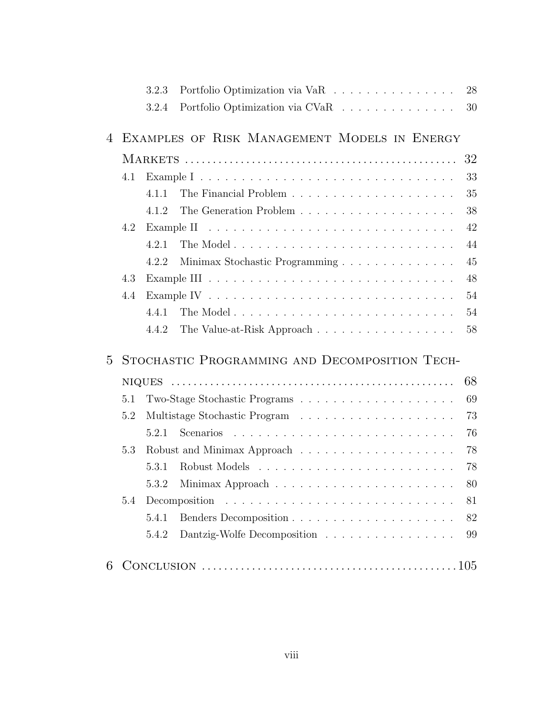|                |     | 3.2.3 | Portfolio Optimization via VaR                                                                    | 28 |  |
|----------------|-----|-------|---------------------------------------------------------------------------------------------------|----|--|
|                |     | 3.2.4 | Portfolio Optimization via CVaR                                                                   | 30 |  |
| 4              |     |       | EXAMPLES OF RISK MANAGEMENT MODELS IN ENERGY                                                      |    |  |
|                |     |       |                                                                                                   | 32 |  |
|                | 4.1 |       |                                                                                                   | 33 |  |
|                |     | 4.1.1 |                                                                                                   | 35 |  |
|                |     | 4.1.2 |                                                                                                   | 38 |  |
|                | 4.2 |       |                                                                                                   |    |  |
|                |     | 4.2.1 |                                                                                                   | 44 |  |
|                |     | 4.2.2 | Minimax Stochastic Programming                                                                    | 45 |  |
|                | 4.3 |       |                                                                                                   | 48 |  |
|                | 4.4 |       |                                                                                                   | 54 |  |
|                |     | 4.4.1 |                                                                                                   | 54 |  |
|                |     | 4.4.2 | The Value-at-Risk Approach                                                                        | 58 |  |
| $\overline{5}$ |     |       | STOCHASTIC PROGRAMMING AND DECOMPOSITION TECH-                                                    |    |  |
|                |     |       |                                                                                                   | 68 |  |
|                | 5.1 |       |                                                                                                   | 69 |  |
|                | 5.2 |       |                                                                                                   | 73 |  |
|                |     | 5.2.1 |                                                                                                   | 76 |  |
|                | 5.3 |       |                                                                                                   | 78 |  |
|                |     | 5.3.1 |                                                                                                   | 78 |  |
|                |     | 5.3.2 | Minimax Approach $\hfill\ldots\ldots\ldots\ldots\ldots\ldots\ldots\ldots\ldots\ldots\ldots\ldots$ | 80 |  |
|                | 5.4 |       |                                                                                                   | 81 |  |
|                |     | 5.4.1 |                                                                                                   | 82 |  |
|                |     | 5.4.2 | Dantzig-Wolfe Decomposition                                                                       | 99 |  |
| 6              |     |       |                                                                                                   |    |  |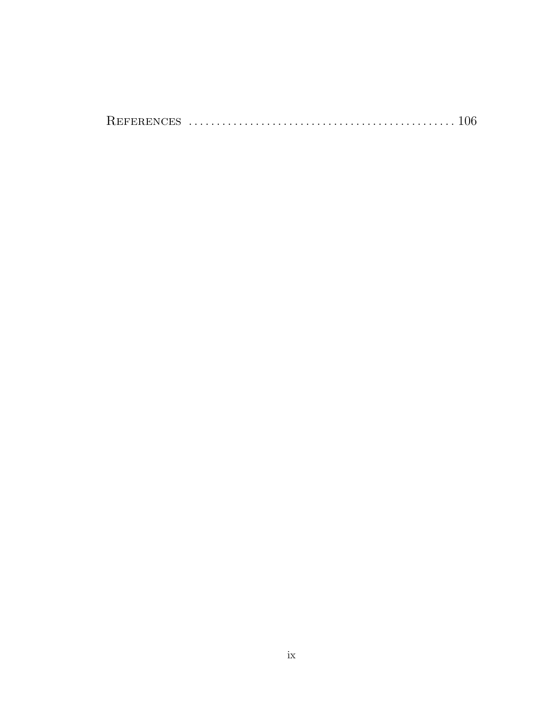|--|--|--|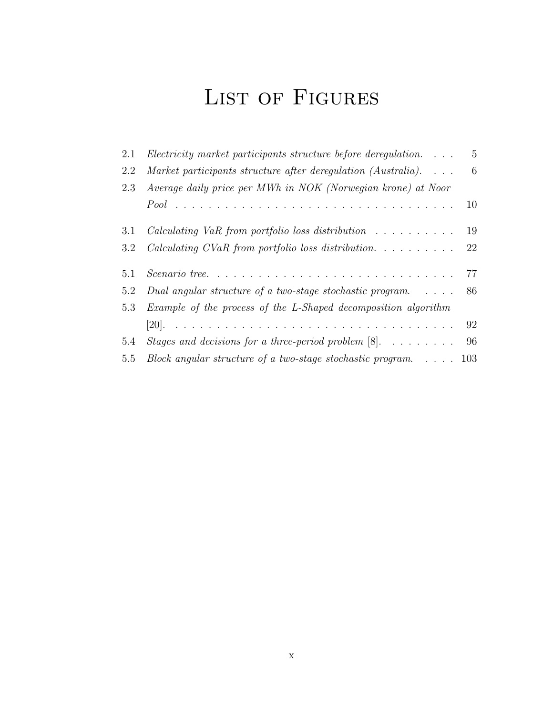# LIST OF FIGURES

| 2.1 | $Electricity$ market participants structure before deregulation. $\ldots$                      | $5\overline{)}$ |
|-----|------------------------------------------------------------------------------------------------|-----------------|
| 2.2 | Market participants structure after deregulation (Australia). $\ldots$                         | 6               |
| 2.3 | Average daily price per MWh in NOK (Norwegian krone) at Noor                                   |                 |
|     |                                                                                                | 10              |
| 3.1 | <i>Calculating VaR from portfolio loss distribution</i> $\ldots \ldots \ldots \ldots$ 19       |                 |
| 3.2 |                                                                                                | 22              |
| 5.1 | $Scenario\ tree.\ \dots\dots\dots\dots\dots\dots\dots\dots\dots\dots\dots\dots\dots\dots\dots$ | 77              |
| 5.2 | Dual angular structure of a two-stage stochastic program. $\ldots$ .                           | 86              |
|     | 5.3 Example of the process of the L-Shaped decomposition algorithm                             |                 |
|     |                                                                                                | 92              |
| 5.4 | Stages and decisions for a three-period problem $[8]$ . 96                                     |                 |
| 5.5 | Block angular structure of a two-stage stochastic program. $\ldots$ 103                        |                 |
|     |                                                                                                |                 |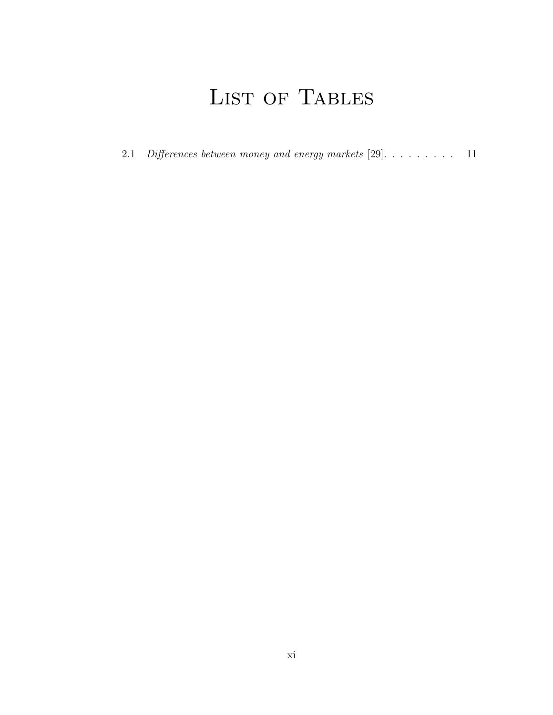# LIST OF TABLES

2.1 Differences between money and energy markets [29]. . . . . . . . . . 11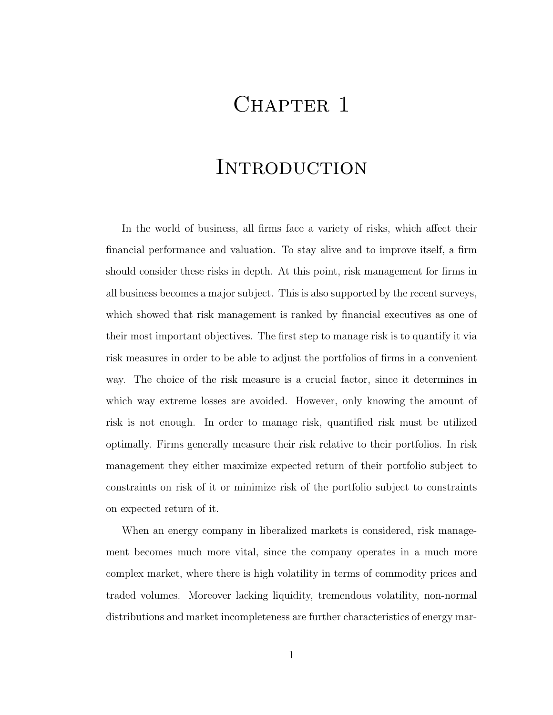## CHAPTER 1

## **INTRODUCTION**

In the world of business, all firms face a variety of risks, which affect their financial performance and valuation. To stay alive and to improve itself, a firm should consider these risks in depth. At this point, risk management for firms in all business becomes a major subject. This is also supported by the recent surveys, which showed that risk management is ranked by financial executives as one of their most important objectives. The first step to manage risk is to quantify it via risk measures in order to be able to adjust the portfolios of firms in a convenient way. The choice of the risk measure is a crucial factor, since it determines in which way extreme losses are avoided. However, only knowing the amount of risk is not enough. In order to manage risk, quantified risk must be utilized optimally. Firms generally measure their risk relative to their portfolios. In risk management they either maximize expected return of their portfolio subject to constraints on risk of it or minimize risk of the portfolio subject to constraints on expected return of it.

When an energy company in liberalized markets is considered, risk management becomes much more vital, since the company operates in a much more complex market, where there is high volatility in terms of commodity prices and traded volumes. Moreover lacking liquidity, tremendous volatility, non-normal distributions and market incompleteness are further characteristics of energy mar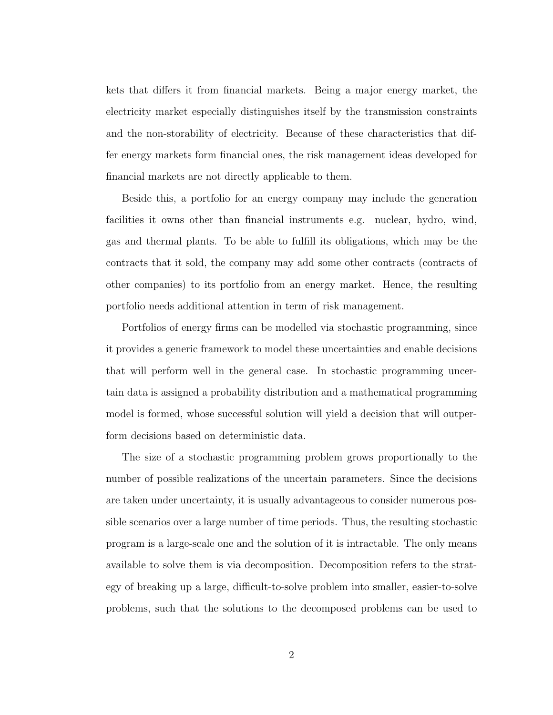kets that differs it from financial markets. Being a major energy market, the electricity market especially distinguishes itself by the transmission constraints and the non-storability of electricity. Because of these characteristics that differ energy markets form financial ones, the risk management ideas developed for financial markets are not directly applicable to them.

Beside this, a portfolio for an energy company may include the generation facilities it owns other than financial instruments e.g. nuclear, hydro, wind, gas and thermal plants. To be able to fulfill its obligations, which may be the contracts that it sold, the company may add some other contracts (contracts of other companies) to its portfolio from an energy market. Hence, the resulting portfolio needs additional attention in term of risk management.

Portfolios of energy firms can be modelled via stochastic programming, since it provides a generic framework to model these uncertainties and enable decisions that will perform well in the general case. In stochastic programming uncertain data is assigned a probability distribution and a mathematical programming model is formed, whose successful solution will yield a decision that will outperform decisions based on deterministic data.

The size of a stochastic programming problem grows proportionally to the number of possible realizations of the uncertain parameters. Since the decisions are taken under uncertainty, it is usually advantageous to consider numerous possible scenarios over a large number of time periods. Thus, the resulting stochastic program is a large-scale one and the solution of it is intractable. The only means available to solve them is via decomposition. Decomposition refers to the strategy of breaking up a large, difficult-to-solve problem into smaller, easier-to-solve problems, such that the solutions to the decomposed problems can be used to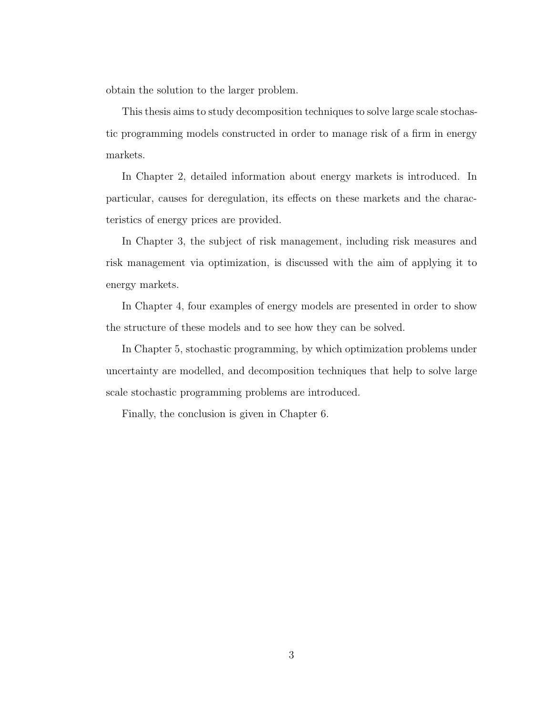obtain the solution to the larger problem.

This thesis aims to study decomposition techniques to solve large scale stochastic programming models constructed in order to manage risk of a firm in energy markets.

In Chapter 2, detailed information about energy markets is introduced. In particular, causes for deregulation, its effects on these markets and the characteristics of energy prices are provided.

In Chapter 3, the subject of risk management, including risk measures and risk management via optimization, is discussed with the aim of applying it to energy markets.

In Chapter 4, four examples of energy models are presented in order to show the structure of these models and to see how they can be solved.

In Chapter 5, stochastic programming, by which optimization problems under uncertainty are modelled, and decomposition techniques that help to solve large scale stochastic programming problems are introduced.

Finally, the conclusion is given in Chapter 6.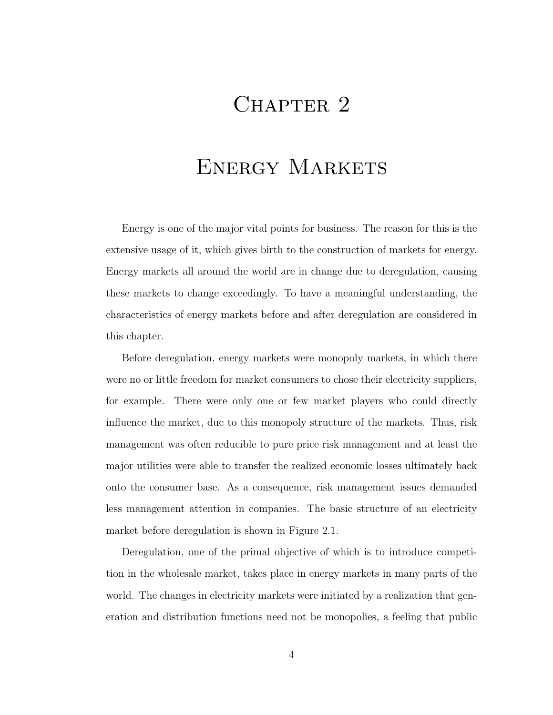## CHAPTER 2

## ENERGY MARKETS

Energy is one of the major vital points for business. The reason for this is the extensive usage of it, which gives birth to the construction of markets for energy. Energy markets all around the world are in change due to deregulation, causing these markets to change exceedingly. To have a meaningful understanding, the characteristics of energy markets before and after deregulation are considered in this chapter.

Before deregulation, energy markets were monopoly markets, in which there were no or little freedom for market consumers to chose their electricity suppliers, for example. There were only one or few market players who could directly influence the market, due to this monopoly structure of the markets. Thus, risk management was often reducible to pure price risk management and at least the major utilities were able to transfer the realized economic losses ultimately back onto the consumer base. As a consequence, risk management issues demanded less management attention in companies. The basic structure of an electricity market before deregulation is shown in Figure 2.1.

Deregulation, one of the primal objective of which is to introduce competition in the wholesale market, takes place in energy markets in many parts of the world. The changes in electricity markets were initiated by a realization that generation and distribution functions need not be monopolies, a feeling that public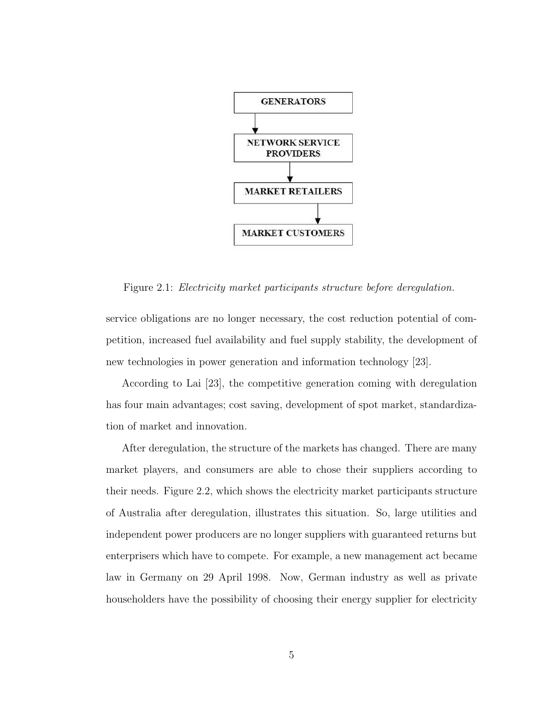

Figure 2.1: Electricity market participants structure before deregulation.

service obligations are no longer necessary, the cost reduction potential of competition, increased fuel availability and fuel supply stability, the development of new technologies in power generation and information technology [23].

According to Lai [23], the competitive generation coming with deregulation has four main advantages; cost saving, development of spot market, standardization of market and innovation.

After deregulation, the structure of the markets has changed. There are many market players, and consumers are able to chose their suppliers according to their needs. Figure 2.2, which shows the electricity market participants structure of Australia after deregulation, illustrates this situation. So, large utilities and independent power producers are no longer suppliers with guaranteed returns but enterprisers which have to compete. For example, a new management act became law in Germany on 29 April 1998. Now, German industry as well as private householders have the possibility of choosing their energy supplier for electricity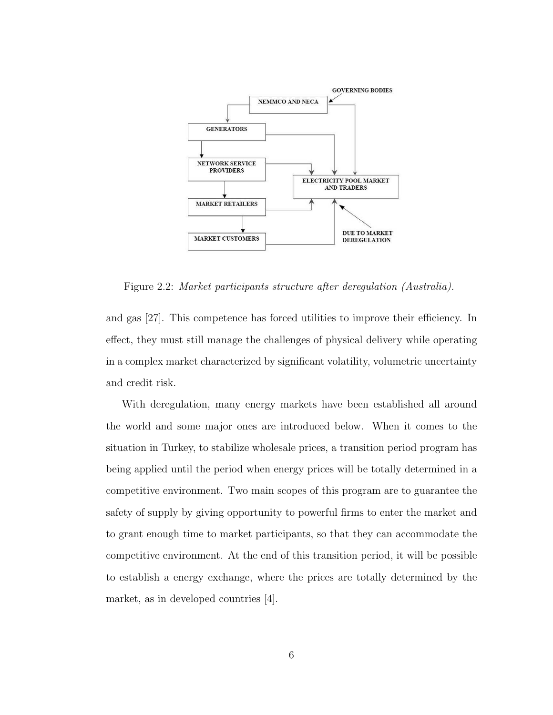

Figure 2.2: Market participants structure after deregulation (Australia).

and gas [27]. This competence has forced utilities to improve their efficiency. In effect, they must still manage the challenges of physical delivery while operating in a complex market characterized by significant volatility, volumetric uncertainty and credit risk.

With deregulation, many energy markets have been established all around the world and some major ones are introduced below. When it comes to the situation in Turkey, to stabilize wholesale prices, a transition period program has being applied until the period when energy prices will be totally determined in a competitive environment. Two main scopes of this program are to guarantee the safety of supply by giving opportunity to powerful firms to enter the market and to grant enough time to market participants, so that they can accommodate the competitive environment. At the end of this transition period, it will be possible to establish a energy exchange, where the prices are totally determined by the market, as in developed countries [4].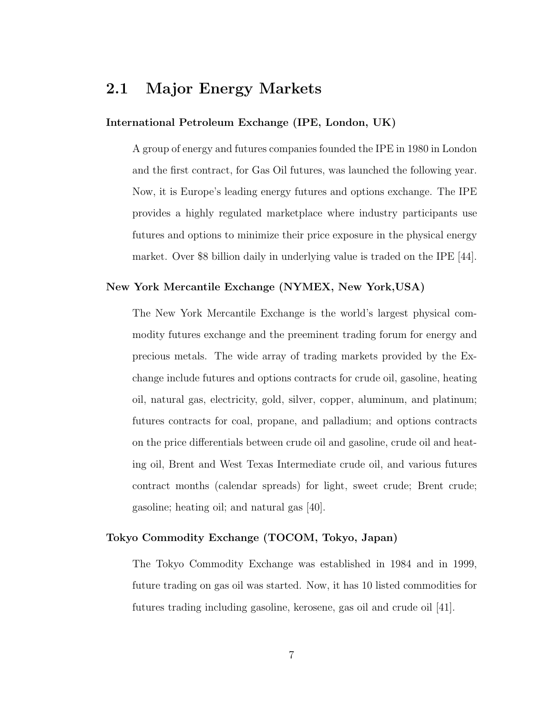### 2.1 Major Energy Markets

#### International Petroleum Exchange (IPE, London, UK)

A group of energy and futures companies founded the IPE in 1980 in London and the first contract, for Gas Oil futures, was launched the following year. Now, it is Europe's leading energy futures and options exchange. The IPE provides a highly regulated marketplace where industry participants use futures and options to minimize their price exposure in the physical energy market. Over \$8 billion daily in underlying value is traded on the IPE [44].

#### New York Mercantile Exchange (NYMEX, New York,USA)

The New York Mercantile Exchange is the world's largest physical commodity futures exchange and the preeminent trading forum for energy and precious metals. The wide array of trading markets provided by the Exchange include futures and options contracts for crude oil, gasoline, heating oil, natural gas, electricity, gold, silver, copper, aluminum, and platinum; futures contracts for coal, propane, and palladium; and options contracts on the price differentials between crude oil and gasoline, crude oil and heating oil, Brent and West Texas Intermediate crude oil, and various futures contract months (calendar spreads) for light, sweet crude; Brent crude; gasoline; heating oil; and natural gas [40].

#### Tokyo Commodity Exchange (TOCOM, Tokyo, Japan)

The Tokyo Commodity Exchange was established in 1984 and in 1999, future trading on gas oil was started. Now, it has 10 listed commodities for futures trading including gasoline, kerosene, gas oil and crude oil [41].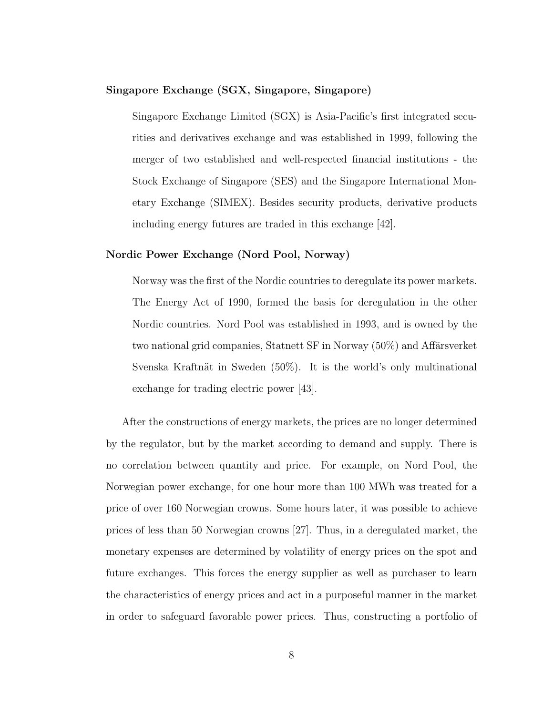#### Singapore Exchange (SGX, Singapore, Singapore)

Singapore Exchange Limited (SGX) is Asia-Pacific's first integrated securities and derivatives exchange and was established in 1999, following the merger of two established and well-respected financial institutions - the Stock Exchange of Singapore (SES) and the Singapore International Monetary Exchange (SIMEX). Besides security products, derivative products including energy futures are traded in this exchange [42].

#### Nordic Power Exchange (Nord Pool, Norway)

Norway was the first of the Nordic countries to deregulate its power markets. The Energy Act of 1990, formed the basis for deregulation in the other Nordic countries. Nord Pool was established in 1993, and is owned by the two national grid companies, Statnett SF in Norway (50%) and Affärsverket Svenska Kraftnät in Sweden  $(50\%)$ . It is the world's only multinational exchange for trading electric power [43].

After the constructions of energy markets, the prices are no longer determined by the regulator, but by the market according to demand and supply. There is no correlation between quantity and price. For example, on Nord Pool, the Norwegian power exchange, for one hour more than 100 MWh was treated for a price of over 160 Norwegian crowns. Some hours later, it was possible to achieve prices of less than 50 Norwegian crowns [27]. Thus, in a deregulated market, the monetary expenses are determined by volatility of energy prices on the spot and future exchanges. This forces the energy supplier as well as purchaser to learn the characteristics of energy prices and act in a purposeful manner in the market in order to safeguard favorable power prices. Thus, constructing a portfolio of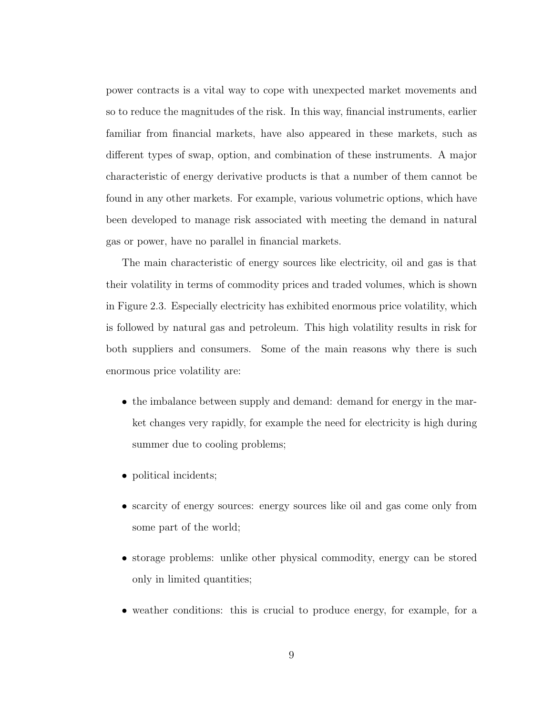power contracts is a vital way to cope with unexpected market movements and so to reduce the magnitudes of the risk. In this way, financial instruments, earlier familiar from financial markets, have also appeared in these markets, such as different types of swap, option, and combination of these instruments. A major characteristic of energy derivative products is that a number of them cannot be found in any other markets. For example, various volumetric options, which have been developed to manage risk associated with meeting the demand in natural gas or power, have no parallel in financial markets.

The main characteristic of energy sources like electricity, oil and gas is that their volatility in terms of commodity prices and traded volumes, which is shown in Figure 2.3. Especially electricity has exhibited enormous price volatility, which is followed by natural gas and petroleum. This high volatility results in risk for both suppliers and consumers. Some of the main reasons why there is such enormous price volatility are:

- the imbalance between supply and demand: demand for energy in the market changes very rapidly, for example the need for electricity is high during summer due to cooling problems;
- political incidents;
- scarcity of energy sources: energy sources like oil and gas come only from some part of the world;
- storage problems: unlike other physical commodity, energy can be stored only in limited quantities;
- weather conditions: this is crucial to produce energy, for example, for a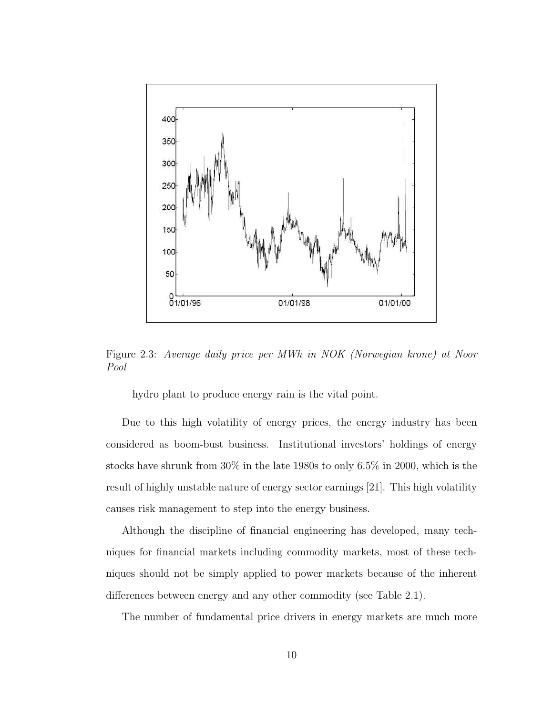

Figure 2.3: Average daily price per MWh in NOK (Norwegian krone) at Noor Pool

hydro plant to produce energy rain is the vital point.

Due to this high volatility of energy prices, the energy industry has been considered as boom-bust business. Institutional investors' holdings of energy stocks have shrunk from 30% in the late 1980s to only 6.5% in 2000, which is the result of highly unstable nature of energy sector earnings [21]. This high volatility causes risk management to step into the energy business.

Although the discipline of financial engineering has developed, many techniques for financial markets including commodity markets, most of these techniques should not be simply applied to power markets because of the inherent differences between energy and any other commodity (see Table 2.1).

The number of fundamental price drivers in energy markets are much more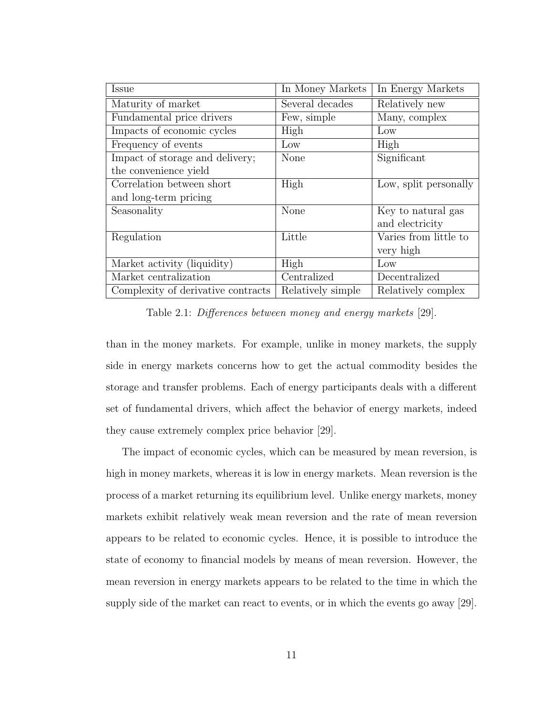| Issue                              | In Money Markets  | In Energy Markets     |
|------------------------------------|-------------------|-----------------------|
| Maturity of market                 | Several decades   | Relatively new        |
| Fundamental price drivers          | Few, simple       | Many, complex         |
| Impacts of economic cycles         | High              | Low                   |
| Frequency of events                | Low               | High                  |
| Impact of storage and delivery;    | <b>None</b>       | Significant           |
| the convenience yield              |                   |                       |
| Correlation between short          | High              | Low, split personally |
| and long-term pricing              |                   |                       |
| Seasonality                        | None              | Key to natural gas    |
|                                    |                   | and electricity       |
| Regulation                         | Little            | Varies from little to |
|                                    |                   | very high             |
| Market activity (liquidity)        | High              | Low                   |
| Market centralization              | Centralized       | Decentralized         |
| Complexity of derivative contracts | Relatively simple | Relatively complex    |

Table 2.1: Differences between money and energy markets [29].

than in the money markets. For example, unlike in money markets, the supply side in energy markets concerns how to get the actual commodity besides the storage and transfer problems. Each of energy participants deals with a different set of fundamental drivers, which affect the behavior of energy markets, indeed they cause extremely complex price behavior [29].

The impact of economic cycles, which can be measured by mean reversion, is high in money markets, whereas it is low in energy markets. Mean reversion is the process of a market returning its equilibrium level. Unlike energy markets, money markets exhibit relatively weak mean reversion and the rate of mean reversion appears to be related to economic cycles. Hence, it is possible to introduce the state of economy to financial models by means of mean reversion. However, the mean reversion in energy markets appears to be related to the time in which the supply side of the market can react to events, or in which the events go away [29].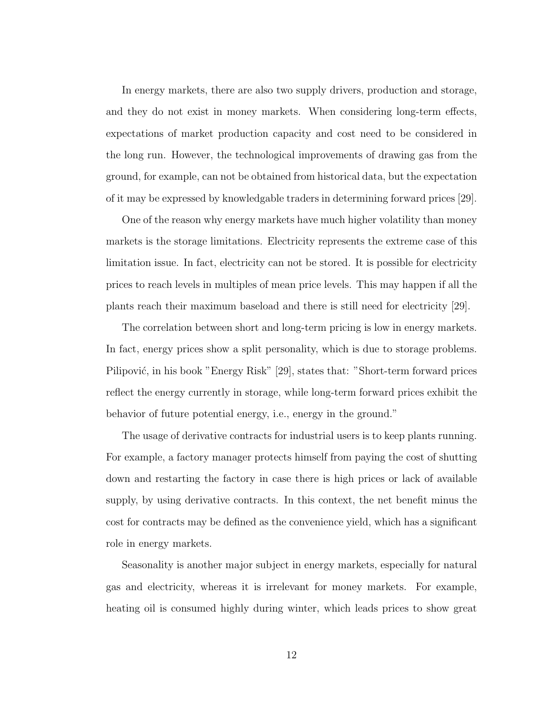In energy markets, there are also two supply drivers, production and storage, and they do not exist in money markets. When considering long-term effects, expectations of market production capacity and cost need to be considered in the long run. However, the technological improvements of drawing gas from the ground, for example, can not be obtained from historical data, but the expectation of it may be expressed by knowledgable traders in determining forward prices [29].

One of the reason why energy markets have much higher volatility than money markets is the storage limitations. Electricity represents the extreme case of this limitation issue. In fact, electricity can not be stored. It is possible for electricity prices to reach levels in multiples of mean price levels. This may happen if all the plants reach their maximum baseload and there is still need for electricity [29].

The correlation between short and long-term pricing is low in energy markets. In fact, energy prices show a split personality, which is due to storage problems. Pilipović, in his book "Energy Risk" [29], states that: "Short-term forward prices reflect the energy currently in storage, while long-term forward prices exhibit the behavior of future potential energy, i.e., energy in the ground."

The usage of derivative contracts for industrial users is to keep plants running. For example, a factory manager protects himself from paying the cost of shutting down and restarting the factory in case there is high prices or lack of available supply, by using derivative contracts. In this context, the net benefit minus the cost for contracts may be defined as the convenience yield, which has a significant role in energy markets.

Seasonality is another major subject in energy markets, especially for natural gas and electricity, whereas it is irrelevant for money markets. For example, heating oil is consumed highly during winter, which leads prices to show great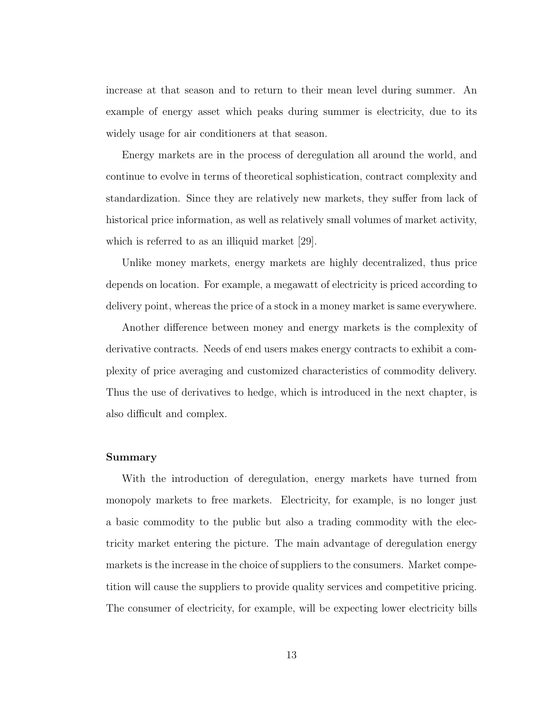increase at that season and to return to their mean level during summer. An example of energy asset which peaks during summer is electricity, due to its widely usage for air conditioners at that season.

Energy markets are in the process of deregulation all around the world, and continue to evolve in terms of theoretical sophistication, contract complexity and standardization. Since they are relatively new markets, they suffer from lack of historical price information, as well as relatively small volumes of market activity, which is referred to as an illiquid market [29].

Unlike money markets, energy markets are highly decentralized, thus price depends on location. For example, a megawatt of electricity is priced according to delivery point, whereas the price of a stock in a money market is same everywhere.

Another difference between money and energy markets is the complexity of derivative contracts. Needs of end users makes energy contracts to exhibit a complexity of price averaging and customized characteristics of commodity delivery. Thus the use of derivatives to hedge, which is introduced in the next chapter, is also difficult and complex.

#### Summary

With the introduction of deregulation, energy markets have turned from monopoly markets to free markets. Electricity, for example, is no longer just a basic commodity to the public but also a trading commodity with the electricity market entering the picture. The main advantage of deregulation energy markets is the increase in the choice of suppliers to the consumers. Market competition will cause the suppliers to provide quality services and competitive pricing. The consumer of electricity, for example, will be expecting lower electricity bills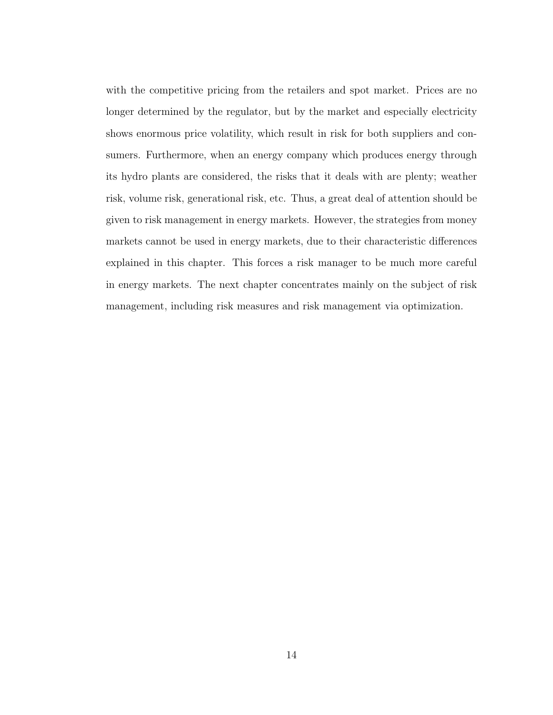with the competitive pricing from the retailers and spot market. Prices are no longer determined by the regulator, but by the market and especially electricity shows enormous price volatility, which result in risk for both suppliers and consumers. Furthermore, when an energy company which produces energy through its hydro plants are considered, the risks that it deals with are plenty; weather risk, volume risk, generational risk, etc. Thus, a great deal of attention should be given to risk management in energy markets. However, the strategies from money markets cannot be used in energy markets, due to their characteristic differences explained in this chapter. This forces a risk manager to be much more careful in energy markets. The next chapter concentrates mainly on the subject of risk management, including risk measures and risk management via optimization.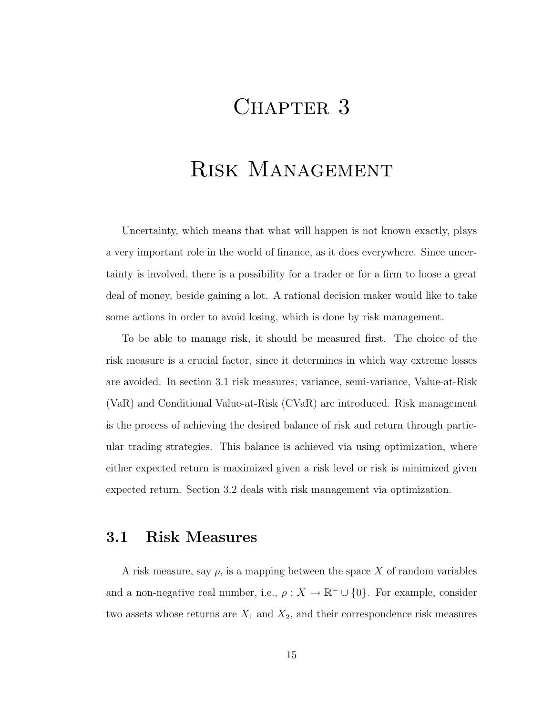## CHAPTER 3

## Risk Management

Uncertainty, which means that what will happen is not known exactly, plays a very important role in the world of finance, as it does everywhere. Since uncertainty is involved, there is a possibility for a trader or for a firm to loose a great deal of money, beside gaining a lot. A rational decision maker would like to take some actions in order to avoid losing, which is done by risk management.

To be able to manage risk, it should be measured first. The choice of the risk measure is a crucial factor, since it determines in which way extreme losses are avoided. In section 3.1 risk measures; variance, semi-variance, Value-at-Risk (VaR) and Conditional Value-at-Risk (CVaR) are introduced. Risk management is the process of achieving the desired balance of risk and return through particular trading strategies. This balance is achieved via using optimization, where either expected return is maximized given a risk level or risk is minimized given expected return. Section 3.2 deals with risk management via optimization.

### 3.1 Risk Measures

A risk measure, say  $\rho$ , is a mapping between the space X of random variables and a non-negative real number, i.e.,  $\rho : X \to \mathbb{R}^+ \cup \{0\}$ . For example, consider two assets whose returns are  $X_1$  and  $X_2$ , and their correspondence risk measures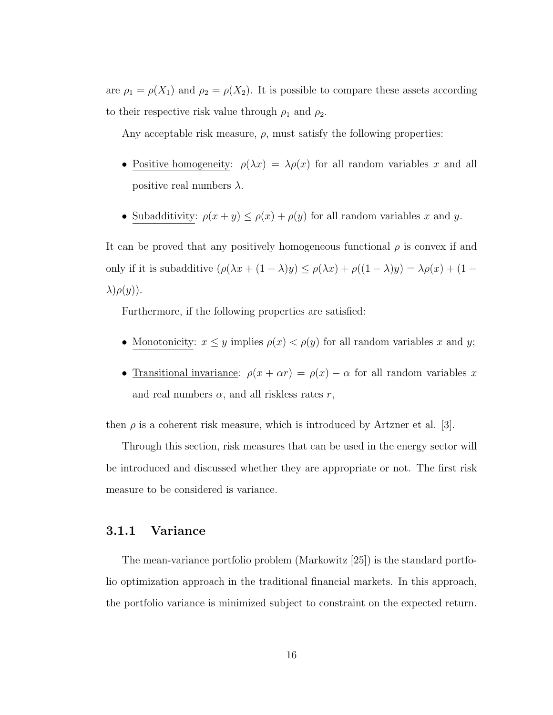are  $\rho_1 = \rho(X_1)$  and  $\rho_2 = \rho(X_2)$ . It is possible to compare these assets according to their respective risk value through  $\rho_1$  and  $\rho_2$ .

Any acceptable risk measure,  $\rho$ , must satisfy the following properties:

- Positive homogeneity:  $\rho(\lambda x) = \lambda \rho(x)$  for all random variables x and all positive real numbers  $\lambda$ .
- Subadditivity:  $\rho(x + y) \leq \rho(x) + \rho(y)$  for all random variables x and y.

It can be proved that any positively homogeneous functional  $\rho$  is convex if and only if it is subadditive  $(\rho(\lambda x + (1 - \lambda)y) \le \rho(\lambda x) + \rho((1 - \lambda)y) = \lambda \rho(x) + (1 - \lambda)y)$  $\lambda$ ) $\rho(y)$ ).

Furthermore, if the following properties are satisfied:

- Monotonicity:  $x \leq y$  implies  $\rho(x) < \rho(y)$  for all random variables x and y;
- Transitional invariance:  $\rho(x + \alpha r) = \rho(x) \alpha$  for all random variables x and real numbers  $\alpha$ , and all riskless rates r,

then  $\rho$  is a coherent risk measure, which is introduced by Artzner et al. [3].

Through this section, risk measures that can be used in the energy sector will be introduced and discussed whether they are appropriate or not. The first risk measure to be considered is variance.

#### 3.1.1 Variance

The mean-variance portfolio problem (Markowitz [25]) is the standard portfolio optimization approach in the traditional financial markets. In this approach, the portfolio variance is minimized subject to constraint on the expected return.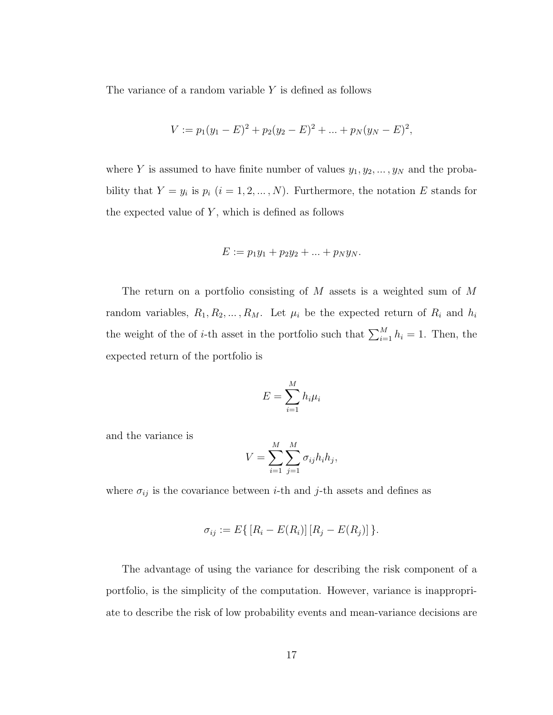The variance of a random variable Y is defined as follows

$$
V := p_1(y_1 - E)^2 + p_2(y_2 - E)^2 + \dots + p_N(y_N - E)^2,
$$

where Y is assumed to have finite number of values  $y_1, y_2, \ldots, y_N$  and the probability that  $Y = y_i$  is  $p_i$   $(i = 1, 2, ..., N)$ . Furthermore, the notation E stands for the expected value of  $Y$ , which is defined as follows

$$
E := p_1 y_1 + p_2 y_2 + \dots + p_N y_N.
$$

The return on a portfolio consisting of M assets is a weighted sum of M random variables,  $R_1, R_2, \ldots, R_M$ . Let  $\mu_i$  be the expected return of  $R_i$  and  $h_i$ the weight of the of *i*-th asset in the portfolio such that  $\sum_{i=1}^{M} h_i = 1$ . Then, the expected return of the portfolio is

$$
E = \sum_{i=1}^{M} h_i \mu_i
$$

and the variance is

$$
V = \sum_{i=1}^{M} \sum_{j=1}^{M} \sigma_{ij} h_i h_j,
$$

where  $\sigma_{ij}$  is the covariance between *i*-th and *j*-th assets and defines as

$$
\sigma_{ij} := E\{ [R_i - E(R_i)] [R_j - E(R_j)] \}.
$$

The advantage of using the variance for describing the risk component of a portfolio, is the simplicity of the computation. However, variance is inappropriate to describe the risk of low probability events and mean-variance decisions are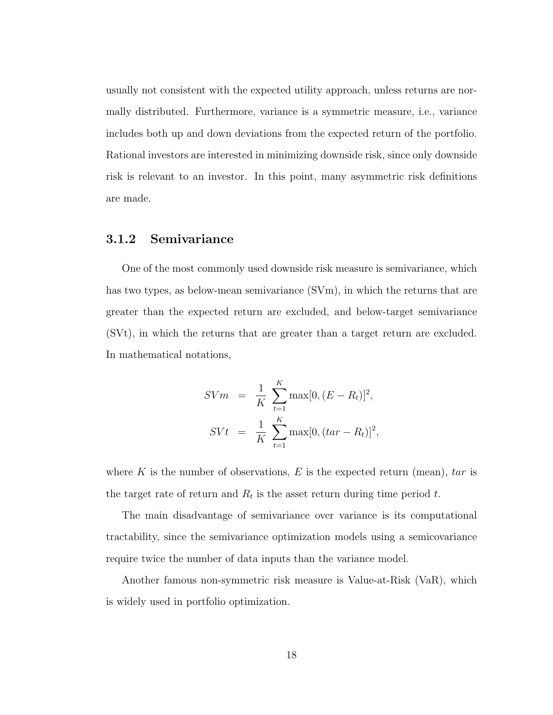usually not consistent with the expected utility approach, unless returns are normally distributed. Furthermore, variance is a symmetric measure, i.e., variance includes both up and down deviations from the expected return of the portfolio. Rational investors are interested in minimizing downside risk, since only downside risk is relevant to an investor. In this point, many asymmetric risk definitions are made.

#### 3.1.2 Semivariance

One of the most commonly used downside risk measure is semivariance, which has two types, as below-mean semivariance (SVm), in which the returns that are greater than the expected return are excluded, and below-target semivariance (SVt), in which the returns that are greater than a target return are excluded. In mathematical notations,

$$
SVm = \frac{1}{K} \sum_{t=1}^{K} \max[0, (E - R_t)]^2,
$$
  
\n
$$
SVt = \frac{1}{K} \sum_{t=1}^{K} \max[0, (tar - R_t)]^2,
$$

where K is the number of observations, E is the expected return (mean),  $tar$  is the target rate of return and  $R_t$  is the asset return during time period t.

The main disadvantage of semivariance over variance is its computational tractability, since the semivariance optimization models using a semicovariance require twice the number of data inputs than the variance model.

Another famous non-symmetric risk measure is Value-at-Risk (VaR), which is widely used in portfolio optimization.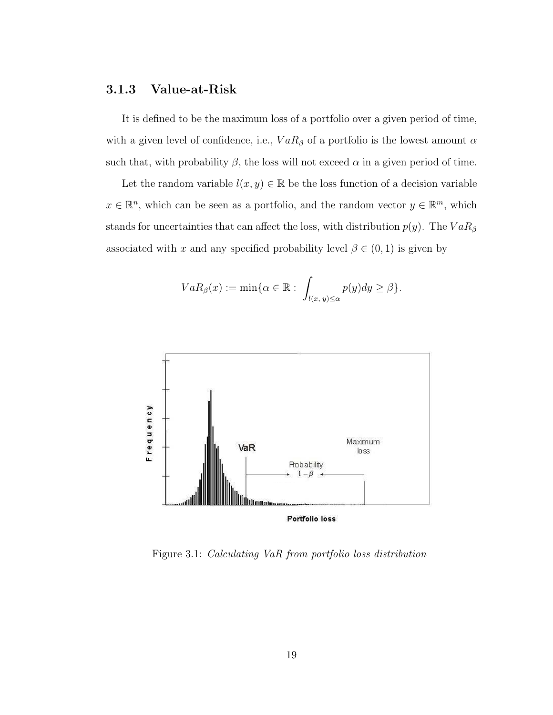#### 3.1.3 Value-at-Risk

It is defined to be the maximum loss of a portfolio over a given period of time, with a given level of confidence, i.e.,  $VaR_{\beta}$  of a portfolio is the lowest amount  $\alpha$ such that, with probability  $\beta$ , the loss will not exceed  $\alpha$  in a given period of time.

Let the random variable  $l(x, y) \in \mathbb{R}$  be the loss function of a decision variable  $x \in \mathbb{R}^n$ , which can be seen as a portfolio, and the random vector  $y \in \mathbb{R}^m$ , which stands for uncertainties that can affect the loss, with distribution  $p(y)$ . The  $VaR<sub>\beta</sub>$ associated with x and any specified probability level  $\beta \in (0,1)$  is given by

$$
VaR_{\beta}(x):=\min\{\alpha\in\mathbb{R}:\ \int_{l(x,\,y)\leq\alpha}p(y)dy\geq\beta\}.
$$



Figure 3.1: Calculating VaR from portfolio loss distribution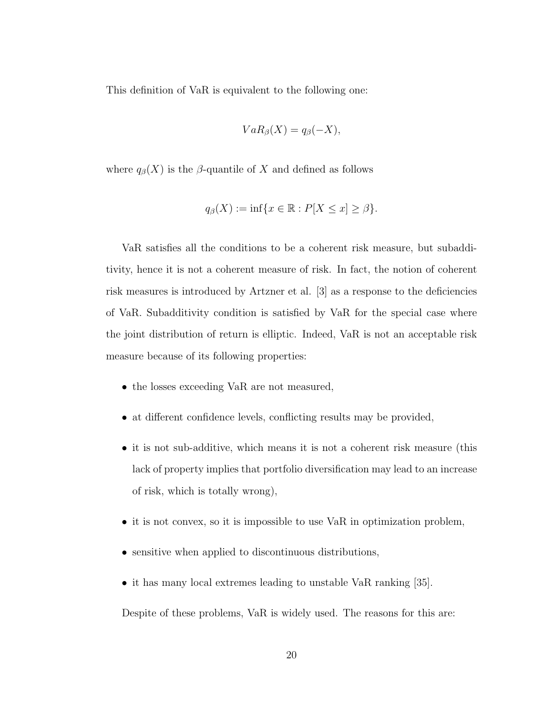This definition of VaR is equivalent to the following one:

$$
VaR_{\beta}(X)=q_{\beta}(-X),
$$

where  $q_{\beta}(X)$  is the  $\beta$ -quantile of X and defined as follows

$$
q_{\beta}(X) := \inf \{ x \in \mathbb{R} : P[X \le x] \ge \beta \}.
$$

VaR satisfies all the conditions to be a coherent risk measure, but subadditivity, hence it is not a coherent measure of risk. In fact, the notion of coherent risk measures is introduced by Artzner et al. [3] as a response to the deficiencies of VaR. Subadditivity condition is satisfied by VaR for the special case where the joint distribution of return is elliptic. Indeed, VaR is not an acceptable risk measure because of its following properties:

- the losses exceeding VaR are not measured,
- at different confidence levels, conflicting results may be provided,
- it is not sub-additive, which means it is not a coherent risk measure (this lack of property implies that portfolio diversification may lead to an increase of risk, which is totally wrong),
- it is not convex, so it is impossible to use VaR in optimization problem,
- sensitive when applied to discontinuous distributions,
- it has many local extremes leading to unstable VaR ranking [35].

Despite of these problems, VaR is widely used. The reasons for this are: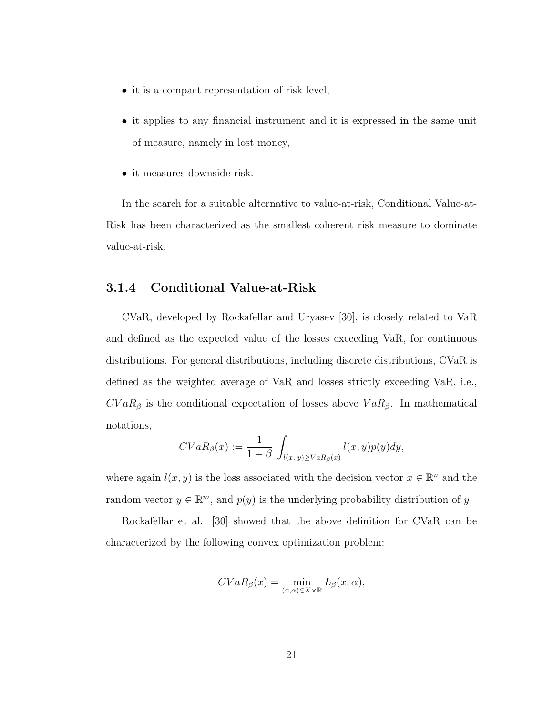- it is a compact representation of risk level,
- it applies to any financial instrument and it is expressed in the same unit of measure, namely in lost money,
- it measures downside risk.

In the search for a suitable alternative to value-at-risk, Conditional Value-at-Risk has been characterized as the smallest coherent risk measure to dominate value-at-risk.

#### 3.1.4 Conditional Value-at-Risk

CVaR, developed by Rockafellar and Uryasev [30], is closely related to VaR and defined as the expected value of the losses exceeding VaR, for continuous distributions. For general distributions, including discrete distributions, CVaR is defined as the weighted average of VaR and losses strictly exceeding VaR, i.e.,  $CVaR<sub>\beta</sub>$  is the conditional expectation of losses above  $VaR<sub>\beta</sub>$ . In mathematical notations,

$$
CVaR_{\beta}(x) := \frac{1}{1-\beta} \int_{l(x, y) \geq VaR_{\beta}(x)} l(x, y)p(y)dy,
$$

where again  $l(x, y)$  is the loss associated with the decision vector  $x \in \mathbb{R}^n$  and the random vector  $y \in \mathbb{R}^m$ , and  $p(y)$  is the underlying probability distribution of y.

Rockafellar et al. [30] showed that the above definition for CVaR can be characterized by the following convex optimization problem:

$$
CVaR_{\beta}(x) = \min_{(x,\alpha)\in X\times\mathbb{R}} L_{\beta}(x,\alpha),
$$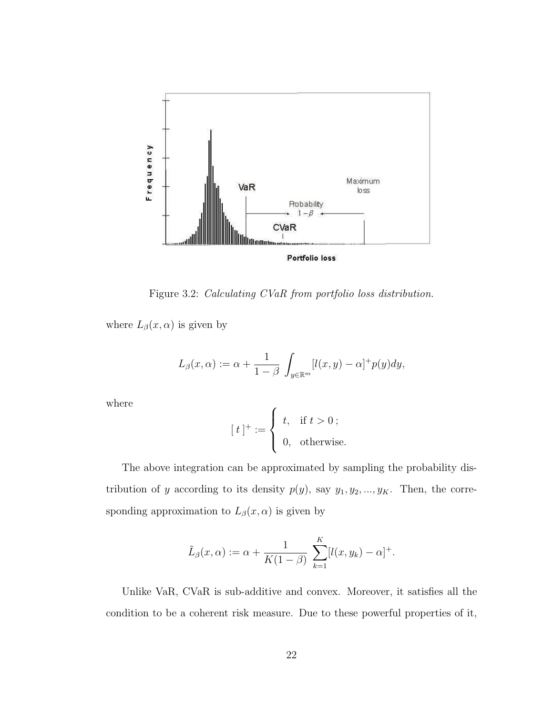

Figure 3.2: Calculating CVaR from portfolio loss distribution.

where  $L_{\beta}(x,\alpha)$  is given by

$$
L_{\beta}(x,\alpha) := \alpha + \frac{1}{1-\beta} \int_{y \in \mathbb{R}^m} [l(x,y) - \alpha]^+ p(y) dy,
$$

where

$$
[\;t\;]^+:=\left\{\begin{array}{ll}t,&\text{if }t>0\;;\\[0,&\text{otherwise}.\end{array}\right.
$$

The above integration can be approximated by sampling the probability distribution of y according to its density  $p(y)$ , say  $y_1, y_2, ..., y_K$ . Then, the corresponding approximation to  $L_{\beta}(x, \alpha)$  is given by

$$
\tilde{L}_{\beta}(x,\alpha) := \alpha + \frac{1}{K(1-\beta)} \sum_{k=1}^{K} [l(x,y_k) - \alpha]^{+}.
$$

Unlike VaR, CVaR is sub-additive and convex. Moreover, it satisfies all the condition to be a coherent risk measure. Due to these powerful properties of it,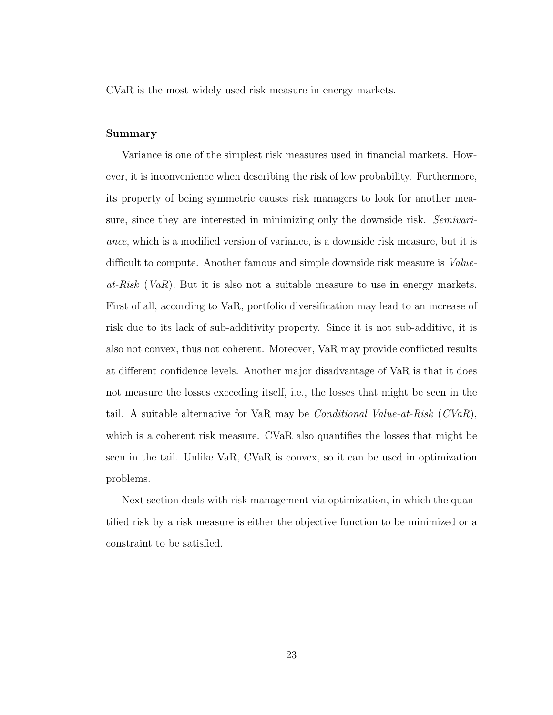CVaR is the most widely used risk measure in energy markets.

#### Summary

Variance is one of the simplest risk measures used in financial markets. However, it is inconvenience when describing the risk of low probability. Furthermore, its property of being symmetric causes risk managers to look for another measure, since they are interested in minimizing only the downside risk. Semivariance, which is a modified version of variance, is a downside risk measure, but it is difficult to compute. Another famous and simple downside risk measure is *Value* $at-Risk$  (VaR). But it is also not a suitable measure to use in energy markets. First of all, according to VaR, portfolio diversification may lead to an increase of risk due to its lack of sub-additivity property. Since it is not sub-additive, it is also not convex, thus not coherent. Moreover, VaR may provide conflicted results at different confidence levels. Another major disadvantage of VaR is that it does not measure the losses exceeding itself, i.e., the losses that might be seen in the tail. A suitable alternative for VaR may be *Conditional Value-at-Risk*  $(CVaR)$ , which is a coherent risk measure. CVaR also quantifies the losses that might be seen in the tail. Unlike VaR, CVaR is convex, so it can be used in optimization problems.

Next section deals with risk management via optimization, in which the quantified risk by a risk measure is either the objective function to be minimized or a constraint to be satisfied.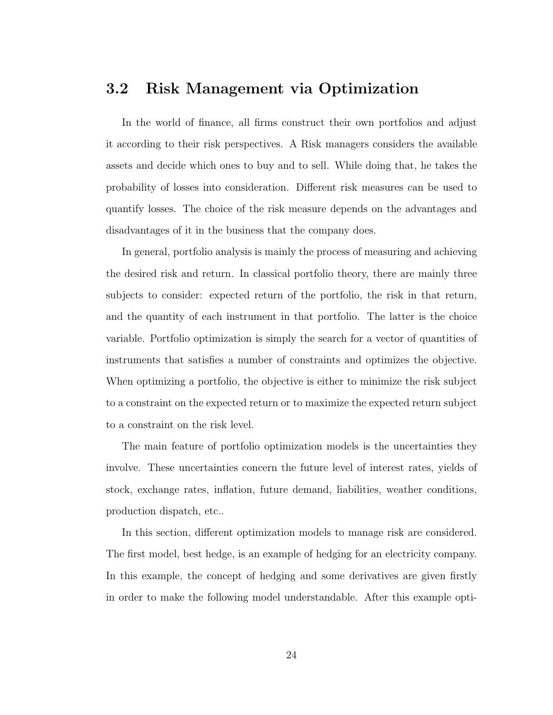### 3.2 Risk Management via Optimization

In the world of finance, all firms construct their own portfolios and adjust it according to their risk perspectives. A Risk managers considers the available assets and decide which ones to buy and to sell. While doing that, he takes the probability of losses into consideration. Different risk measures can be used to quantify losses. The choice of the risk measure depends on the advantages and disadvantages of it in the business that the company does.

In general, portfolio analysis is mainly the process of measuring and achieving the desired risk and return. In classical portfolio theory, there are mainly three subjects to consider: expected return of the portfolio, the risk in that return, and the quantity of each instrument in that portfolio. The latter is the choice variable. Portfolio optimization is simply the search for a vector of quantities of instruments that satisfies a number of constraints and optimizes the objective. When optimizing a portfolio, the objective is either to minimize the risk subject to a constraint on the expected return or to maximize the expected return subject to a constraint on the risk level.

The main feature of portfolio optimization models is the uncertainties they involve. These uncertainties concern the future level of interest rates, yields of stock, exchange rates, inflation, future demand, liabilities, weather conditions, production dispatch, etc..

In this section, different optimization models to manage risk are considered. The first model, best hedge, is an example of hedging for an electricity company. In this example, the concept of hedging and some derivatives are given firstly in order to make the following model understandable. After this example opti-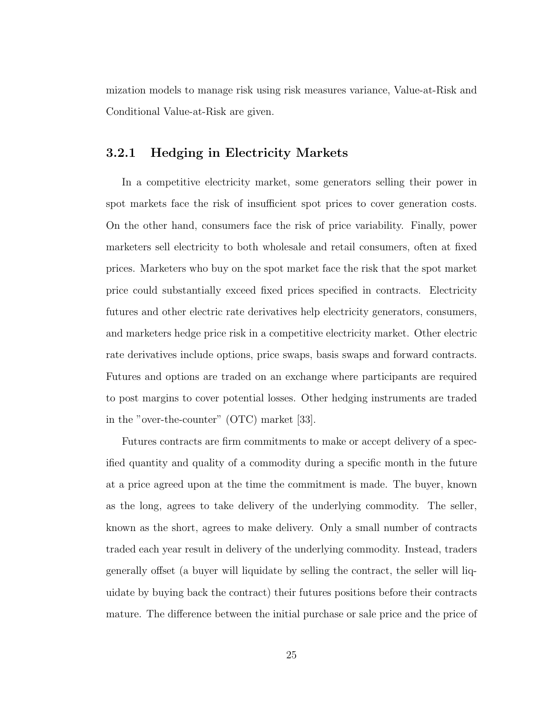mization models to manage risk using risk measures variance, Value-at-Risk and Conditional Value-at-Risk are given.

#### 3.2.1 Hedging in Electricity Markets

In a competitive electricity market, some generators selling their power in spot markets face the risk of insufficient spot prices to cover generation costs. On the other hand, consumers face the risk of price variability. Finally, power marketers sell electricity to both wholesale and retail consumers, often at fixed prices. Marketers who buy on the spot market face the risk that the spot market price could substantially exceed fixed prices specified in contracts. Electricity futures and other electric rate derivatives help electricity generators, consumers, and marketers hedge price risk in a competitive electricity market. Other electric rate derivatives include options, price swaps, basis swaps and forward contracts. Futures and options are traded on an exchange where participants are required to post margins to cover potential losses. Other hedging instruments are traded in the "over-the-counter" (OTC) market [33].

Futures contracts are firm commitments to make or accept delivery of a specified quantity and quality of a commodity during a specific month in the future at a price agreed upon at the time the commitment is made. The buyer, known as the long, agrees to take delivery of the underlying commodity. The seller, known as the short, agrees to make delivery. Only a small number of contracts traded each year result in delivery of the underlying commodity. Instead, traders generally offset (a buyer will liquidate by selling the contract, the seller will liquidate by buying back the contract) their futures positions before their contracts mature. The difference between the initial purchase or sale price and the price of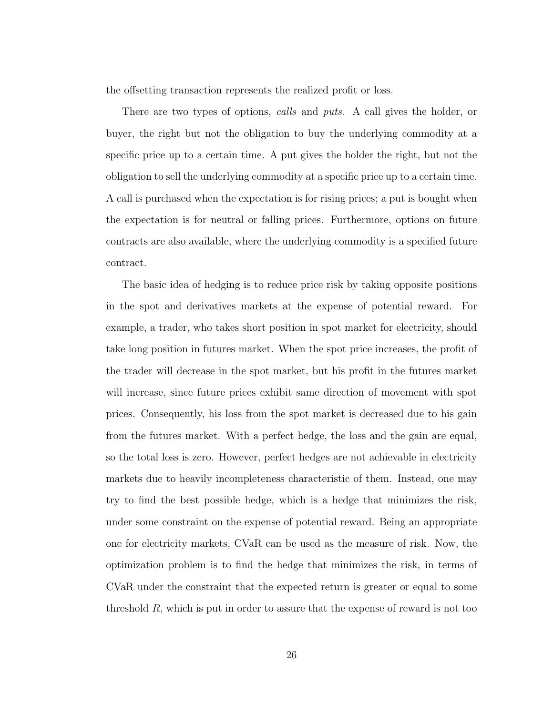the offsetting transaction represents the realized profit or loss.

There are two types of options, *calls* and *puts*. A call gives the holder, or buyer, the right but not the obligation to buy the underlying commodity at a specific price up to a certain time. A put gives the holder the right, but not the obligation to sell the underlying commodity at a specific price up to a certain time. A call is purchased when the expectation is for rising prices; a put is bought when the expectation is for neutral or falling prices. Furthermore, options on future contracts are also available, where the underlying commodity is a specified future contract.

The basic idea of hedging is to reduce price risk by taking opposite positions in the spot and derivatives markets at the expense of potential reward. For example, a trader, who takes short position in spot market for electricity, should take long position in futures market. When the spot price increases, the profit of the trader will decrease in the spot market, but his profit in the futures market will increase, since future prices exhibit same direction of movement with spot prices. Consequently, his loss from the spot market is decreased due to his gain from the futures market. With a perfect hedge, the loss and the gain are equal, so the total loss is zero. However, perfect hedges are not achievable in electricity markets due to heavily incompleteness characteristic of them. Instead, one may try to find the best possible hedge, which is a hedge that minimizes the risk, under some constraint on the expense of potential reward. Being an appropriate one for electricity markets, CVaR can be used as the measure of risk. Now, the optimization problem is to find the hedge that minimizes the risk, in terms of CVaR under the constraint that the expected return is greater or equal to some threshold  $R$ , which is put in order to assure that the expense of reward is not too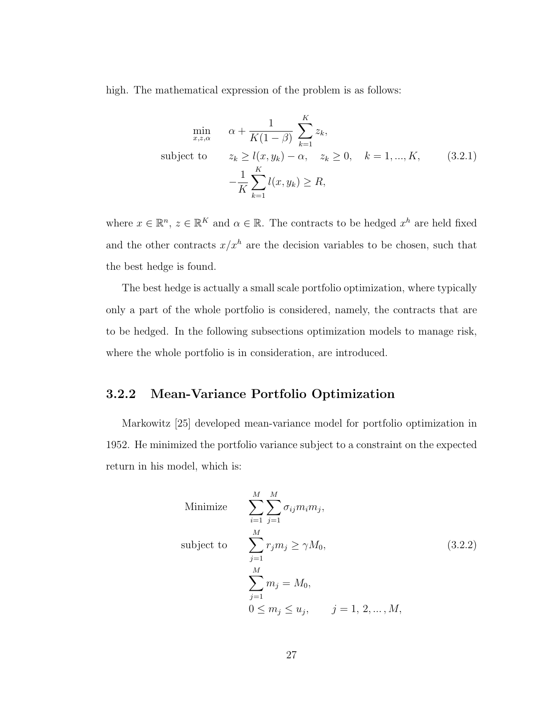high. The mathematical expression of the problem is as follows:

$$
\min_{x,z,\alpha} \quad \alpha + \frac{1}{K(1-\beta)} \sum_{k=1}^{K} z_k,
$$
\n
$$
\text{subject to} \quad z_k \ge l(x, y_k) - \alpha, \quad z_k \ge 0, \quad k = 1, ..., K,
$$
\n
$$
-\frac{1}{K} \sum_{k=1}^{K} l(x, y_k) \ge R,
$$
\n
$$
(3.2.1)
$$

where  $x \in \mathbb{R}^n$ ,  $z \in \mathbb{R}^K$  and  $\alpha \in \mathbb{R}$ . The contracts to be hedged  $x^h$  are held fixed and the other contracts  $x/x^h$  are the decision variables to be chosen, such that the best hedge is found.

The best hedge is actually a small scale portfolio optimization, where typically only a part of the whole portfolio is considered, namely, the contracts that are to be hedged. In the following subsections optimization models to manage risk, where the whole portfolio is in consideration, are introduced.

## 3.2.2 Mean-Variance Portfolio Optimization

Markowitz [25] developed mean-variance model for portfolio optimization in 1952. He minimized the portfolio variance subject to a constraint on the expected return in his model, which is:

Minimize 
$$
\sum_{i=1}^{M} \sum_{j=1}^{M} \sigma_{ij} m_i m_j,
$$
  
\nsubject to 
$$
\sum_{j=1}^{M} r_j m_j \ge \gamma M_0,
$$

$$
\sum_{j=1}^{M} m_j = M_0,
$$

$$
0 \le m_j \le u_j, \qquad j = 1, 2, ..., M,
$$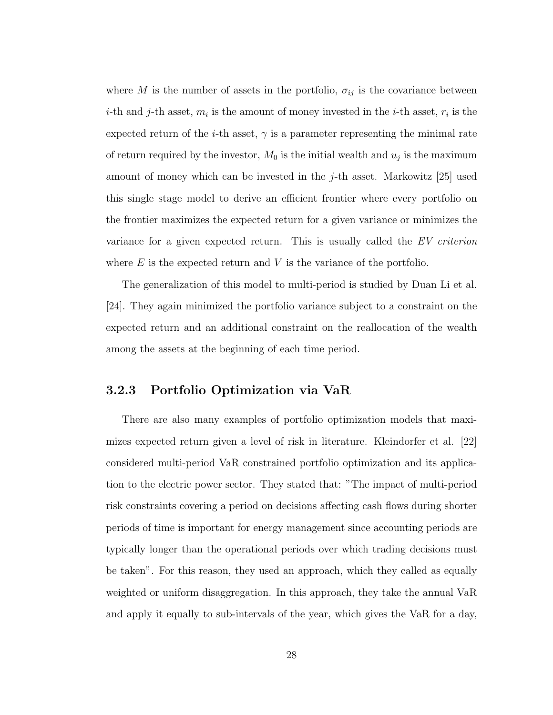where M is the number of assets in the portfolio,  $\sigma_{ij}$  is the covariance between *i*-th and *j*-th asset,  $m_i$  is the amount of money invested in the *i*-th asset,  $r_i$  is the expected return of the *i*-th asset,  $\gamma$  is a parameter representing the minimal rate of return required by the investor,  $M_0$  is the initial wealth and  $u_j$  is the maximum amount of money which can be invested in the j-th asset. Markowitz [25] used this single stage model to derive an efficient frontier where every portfolio on the frontier maximizes the expected return for a given variance or minimizes the variance for a given expected return. This is usually called the EV criterion where  $E$  is the expected return and  $V$  is the variance of the portfolio.

The generalization of this model to multi-period is studied by Duan Li et al. [24]. They again minimized the portfolio variance subject to a constraint on the expected return and an additional constraint on the reallocation of the wealth among the assets at the beginning of each time period.

#### 3.2.3 Portfolio Optimization via VaR

There are also many examples of portfolio optimization models that maximizes expected return given a level of risk in literature. Kleindorfer et al. [22] considered multi-period VaR constrained portfolio optimization and its application to the electric power sector. They stated that: "The impact of multi-period risk constraints covering a period on decisions affecting cash flows during shorter periods of time is important for energy management since accounting periods are typically longer than the operational periods over which trading decisions must be taken". For this reason, they used an approach, which they called as equally weighted or uniform disaggregation. In this approach, they take the annual VaR and apply it equally to sub-intervals of the year, which gives the VaR for a day,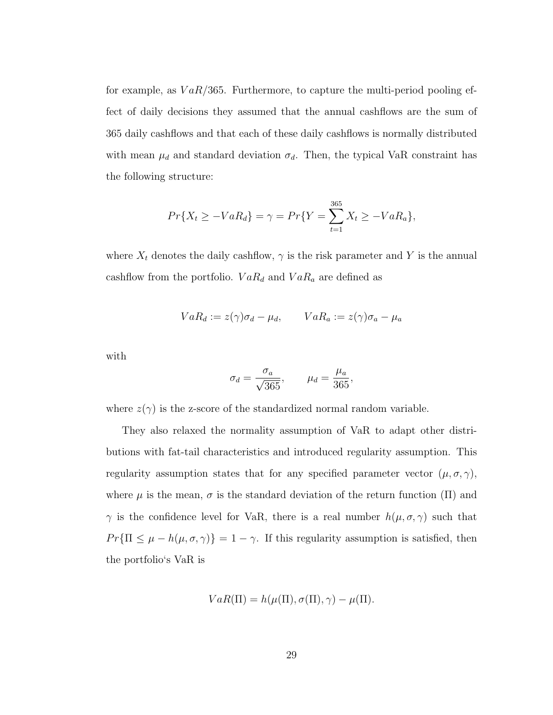for example, as  $VaR/365$ . Furthermore, to capture the multi-period pooling effect of daily decisions they assumed that the annual cashflows are the sum of 365 daily cashflows and that each of these daily cashflows is normally distributed with mean  $\mu_d$  and standard deviation  $\sigma_d$ . Then, the typical VaR constraint has the following structure:

$$
Pr{X_t \ge -VaR_d} = \gamma = Pr{Y = \sum_{t=1}^{365} X_t \ge -VaR_a},
$$

where  $X_t$  denotes the daily cashflow,  $\gamma$  is the risk parameter and Y is the annual cashflow from the portfolio.  $VaR_d$  and  $VaR_a$  are defined as

$$
VaR_d := z(\gamma)\sigma_d - \mu_d, \qquad VaR_a := z(\gamma)\sigma_a - \mu_a
$$

with

$$
\sigma_d = \frac{\sigma_a}{\sqrt{365}}, \qquad \mu_d = \frac{\mu_a}{365},
$$

where  $z(\gamma)$  is the z-score of the standardized normal random variable.

They also relaxed the normality assumption of VaR to adapt other distributions with fat-tail characteristics and introduced regularity assumption. This regularity assumption states that for any specified parameter vector  $(\mu, \sigma, \gamma)$ , where  $\mu$  is the mean,  $\sigma$  is the standard deviation of the return function (II) and  $\gamma$  is the confidence level for VaR, there is a real number  $h(\mu, \sigma, \gamma)$  such that  $Pr{\Pi \leq \mu - h(\mu, \sigma, \gamma)} = 1 - \gamma$ . If this regularity assumption is satisfied, then the portfolio's VaR is

$$
VaR(\Pi) = h(\mu(\Pi), \sigma(\Pi), \gamma) - \mu(\Pi).
$$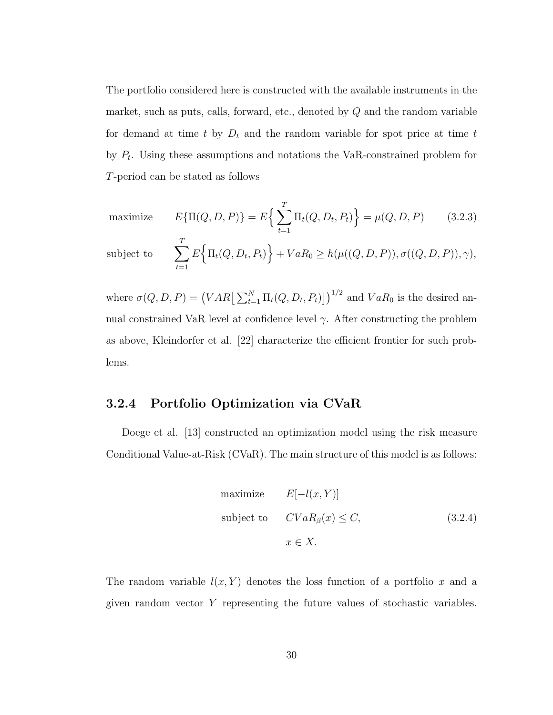The portfolio considered here is constructed with the available instruments in the market, such as puts, calls, forward, etc., denoted by  $Q$  and the random variable for demand at time t by  $D_t$  and the random variable for spot price at time t by  $P_t$ . Using these assumptions and notations the VaR-constrained problem for T-period can be stated as follows

maximize 
$$
E\{\Pi(Q, D, P)\} = E\left\{\sum_{t=1}^{T} \Pi_t(Q, D_t, P_t)\right\} = \mu(Q, D, P)
$$
 (3.2.3)

subject to 
$$
\sum_{t=1}^{T} E\Big\{\Pi_t(Q, D_t, P_t)\Big\} + VaR_0 \ge h(\mu((Q, D, P)), \sigma((Q, D, P)), \gamma),
$$

where  $\sigma(Q, D, P) = (VAR \left[\sum_{t=1}^{N} \Pi_t(Q, D_t, P_t)\right]$  $1/2$ and  $VaR_0$  is the desired annual constrained VaR level at confidence level  $\gamma$ . After constructing the problem as above, Kleindorfer et al. [22] characterize the efficient frontier for such problems.

#### 3.2.4 Portfolio Optimization via CVaR

Doege et al. [13] constructed an optimization model using the risk measure Conditional Value-at-Risk (CVaR). The main structure of this model is as follows:

maximize 
$$
E[-l(x, Y)]
$$
  
\nsubject to  $CVaR_{\beta}(x) \leq C,$  (3.2.4)  
\n $x \in X.$ 

The random variable  $l(x, Y)$  denotes the loss function of a portfolio x and a given random vector Y representing the future values of stochastic variables.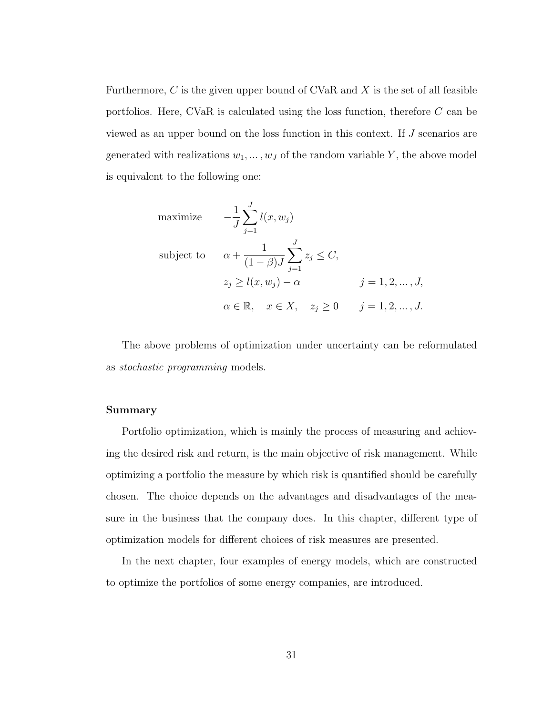Furthermore,  $C$  is the given upper bound of CVaR and  $X$  is the set of all feasible portfolios. Here, CVaR is calculated using the loss function, therefore C can be viewed as an upper bound on the loss function in this context. If J scenarios are generated with realizations  $w_1, \ldots, w_J$  of the random variable Y, the above model is equivalent to the following one:

maximize 
$$
-\frac{1}{J} \sum_{j=1}^{J} l(x, w_j)
$$
  
\nsubject to 
$$
\alpha + \frac{1}{(1 - \beta)J} \sum_{j=1}^{J} z_j \le C,
$$

$$
z_j \ge l(x, w_j) - \alpha \qquad j = 1, 2, ..., J,
$$

$$
\alpha \in \mathbb{R}, \quad x \in X, \quad z_j \ge 0 \qquad j = 1, 2, ..., J.
$$

The above problems of optimization under uncertainty can be reformulated as stochastic programming models.

#### Summary

Portfolio optimization, which is mainly the process of measuring and achieving the desired risk and return, is the main objective of risk management. While optimizing a portfolio the measure by which risk is quantified should be carefully chosen. The choice depends on the advantages and disadvantages of the measure in the business that the company does. In this chapter, different type of optimization models for different choices of risk measures are presented.

In the next chapter, four examples of energy models, which are constructed to optimize the portfolios of some energy companies, are introduced.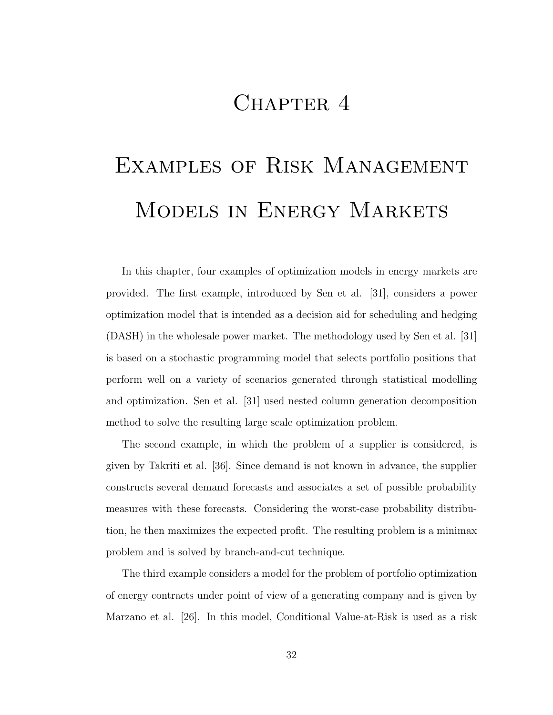## CHAPTER 4

# Examples of Risk Management Models in Energy Markets

In this chapter, four examples of optimization models in energy markets are provided. The first example, introduced by Sen et al. [31], considers a power optimization model that is intended as a decision aid for scheduling and hedging (DASH) in the wholesale power market. The methodology used by Sen et al. [31] is based on a stochastic programming model that selects portfolio positions that perform well on a variety of scenarios generated through statistical modelling and optimization. Sen et al. [31] used nested column generation decomposition method to solve the resulting large scale optimization problem.

The second example, in which the problem of a supplier is considered, is given by Takriti et al. [36]. Since demand is not known in advance, the supplier constructs several demand forecasts and associates a set of possible probability measures with these forecasts. Considering the worst-case probability distribution, he then maximizes the expected profit. The resulting problem is a minimax problem and is solved by branch-and-cut technique.

The third example considers a model for the problem of portfolio optimization of energy contracts under point of view of a generating company and is given by Marzano et al. [26]. In this model, Conditional Value-at-Risk is used as a risk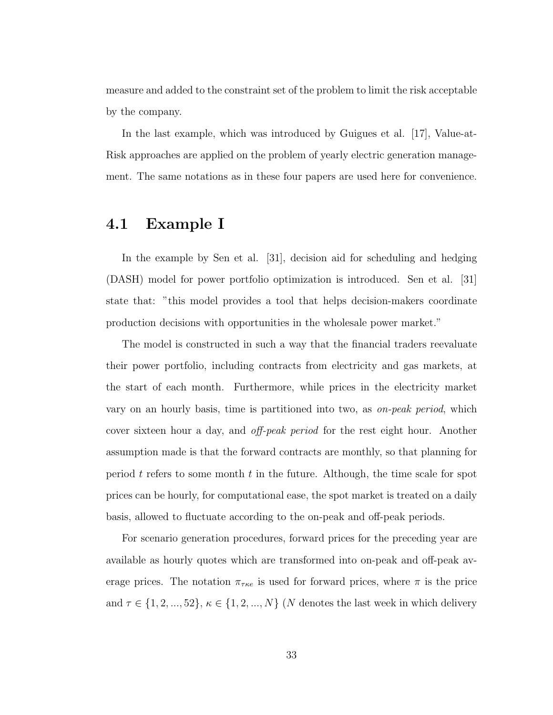measure and added to the constraint set of the problem to limit the risk acceptable by the company.

In the last example, which was introduced by Guigues et al. [17], Value-at-Risk approaches are applied on the problem of yearly electric generation management. The same notations as in these four papers are used here for convenience.

## 4.1 Example I

In the example by Sen et al. [31], decision aid for scheduling and hedging (DASH) model for power portfolio optimization is introduced. Sen et al. [31] state that: "this model provides a tool that helps decision-makers coordinate production decisions with opportunities in the wholesale power market."

The model is constructed in such a way that the financial traders reevaluate their power portfolio, including contracts from electricity and gas markets, at the start of each month. Furthermore, while prices in the electricity market vary on an hourly basis, time is partitioned into two, as on-peak period, which cover sixteen hour a day, and *off-peak period* for the rest eight hour. Another assumption made is that the forward contracts are monthly, so that planning for period t refers to some month t in the future. Although, the time scale for spot prices can be hourly, for computational ease, the spot market is treated on a daily basis, allowed to fluctuate according to the on-peak and off-peak periods.

For scenario generation procedures, forward prices for the preceding year are available as hourly quotes which are transformed into on-peak and off-peak average prices. The notation  $\pi_{\tau\kappa e}$  is used for forward prices, where  $\pi$  is the price and  $\tau \in \{1, 2, ..., 52\}, \kappa \in \{1, 2, ..., N\}$  (N denotes the last week in which delivery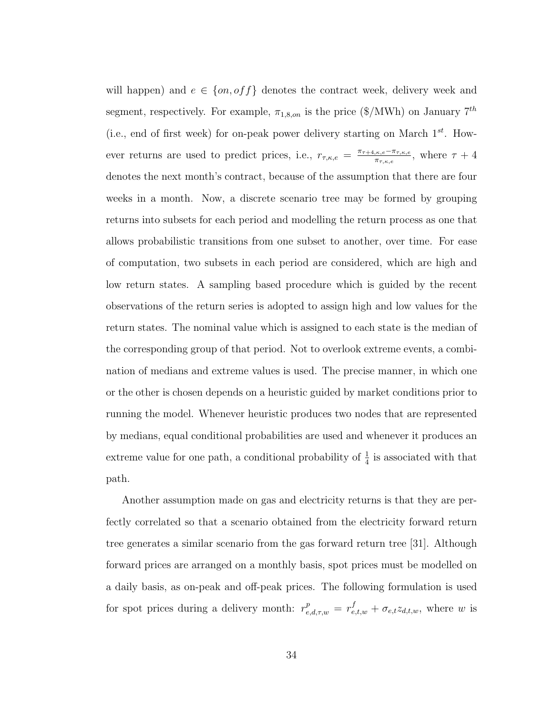will happen) and  $e \in \{on, off\}$  denotes the contract week, delivery week and segment, respectively. For example,  $\pi_{1,8,on}$  is the price (\$/MWh) on January  $7^{th}$ (i.e., end of first week) for on-peak power delivery starting on March  $1^{st}$ . However returns are used to predict prices, i.e.,  $r_{\tau,\kappa,e} = \frac{\pi_{\tau+4,\kappa,e} - \pi_{\tau,\kappa,e}}{\pi_{\tau+4,\kappa,e}}$  $\frac{\pi_{\tau,\kappa,e}-\pi_{\tau,\kappa,e}}{\pi_{\tau,\kappa,e}},$  where  $\tau+4$ denotes the next month's contract, because of the assumption that there are four weeks in a month. Now, a discrete scenario tree may be formed by grouping returns into subsets for each period and modelling the return process as one that allows probabilistic transitions from one subset to another, over time. For ease of computation, two subsets in each period are considered, which are high and low return states. A sampling based procedure which is guided by the recent observations of the return series is adopted to assign high and low values for the return states. The nominal value which is assigned to each state is the median of the corresponding group of that period. Not to overlook extreme events, a combination of medians and extreme values is used. The precise manner, in which one or the other is chosen depends on a heuristic guided by market conditions prior to running the model. Whenever heuristic produces two nodes that are represented by medians, equal conditional probabilities are used and whenever it produces an extreme value for one path, a conditional probability of  $\frac{1}{4}$  is associated with that path.

Another assumption made on gas and electricity returns is that they are perfectly correlated so that a scenario obtained from the electricity forward return tree generates a similar scenario from the gas forward return tree [31]. Although forward prices are arranged on a monthly basis, spot prices must be modelled on a daily basis, as on-peak and off-peak prices. The following formulation is used for spot prices during a delivery month:  $r_{e,d,\tau,w}^p = r_{e,t,w}^f + \sigma_{e,t} z_{d,t,w}$ , where w is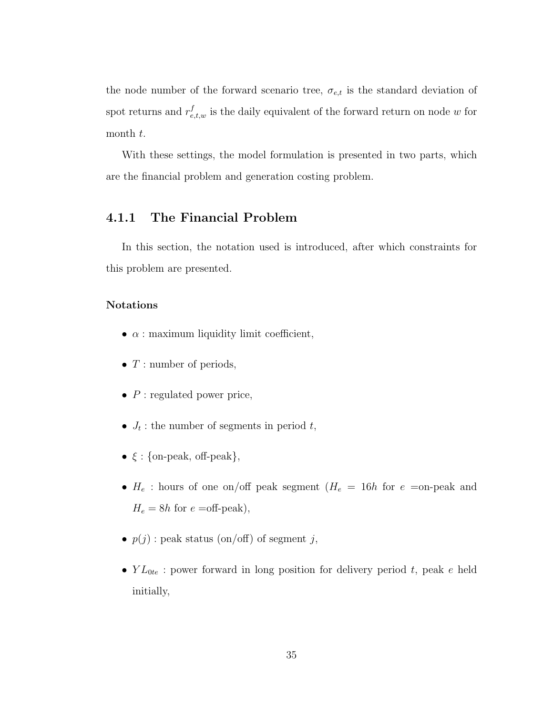the node number of the forward scenario tree,  $\sigma_{e,t}$  is the standard deviation of spot returns and  $r_{e,t,w}^f$  is the daily equivalent of the forward return on node w for month t.

With these settings, the model formulation is presented in two parts, which are the financial problem and generation costing problem.

### 4.1.1 The Financial Problem

In this section, the notation used is introduced, after which constraints for this problem are presented.

#### Notations

- $\alpha$  : maximum liquidity limit coefficient,
- $T$ : number of periods,
- $P$ : regulated power price,
- $J_t$ : the number of segments in period t,
- $\xi$  : {on-peak, off-peak},
- $H_e$ : hours of one on/off peak segment  $(H_e = 16h$  for  $e =$ on-peak and  $H_e = 8h$  for  $e$  =off-peak),
- $p(j)$ : peak status (on/off) of segment j,
- $YL_{0te}$ : power forward in long position for delivery period t, peak e held initially,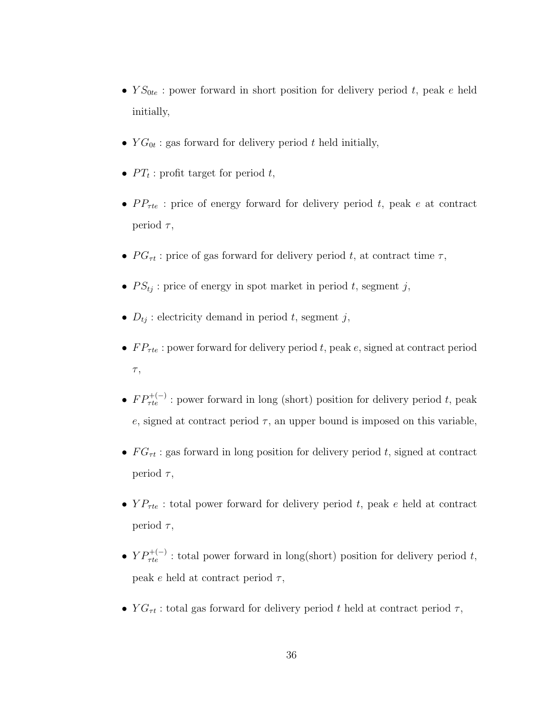- $YS_{0te}$ : power forward in short position for delivery period t, peak e held initially,
- $YG_{0t}$ : gas forward for delivery period t held initially,
- $PT_t$ : profit target for period t,
- $PP_{\tau te}$ : price of energy forward for delivery period t, peak e at contract period  $\tau$ ,
- $PG_{\tau t}$ : price of gas forward for delivery period t, at contract time  $\tau$ ,
- $PS_{tj}$ : price of energy in spot market in period t, segment j,
- $D_{tj}$ : electricity demand in period t, segment j,
- $FP_{\tau te}$ : power forward for delivery period t, peak e, signed at contract period  $\tau,$
- $FP_{\tau te}^{+(-)}$ : power forward in long (short) position for delivery period t, peak e, signed at contract period  $\tau$ , an upper bound is imposed on this variable,
- $FG_{\tau t}$ : gas forward in long position for delivery period t, signed at contract period  $\tau$ ,
- $YP_{\tau te}$ : total power forward for delivery period t, peak e held at contract period  $\tau$ ,
- $YP_{\tau te}^{+(-)}$ : total power forward in long(short) position for delivery period t, peak e held at contract period  $\tau$ ,
- $YG_{\tau t}$ : total gas forward for delivery period t held at contract period  $\tau$ ,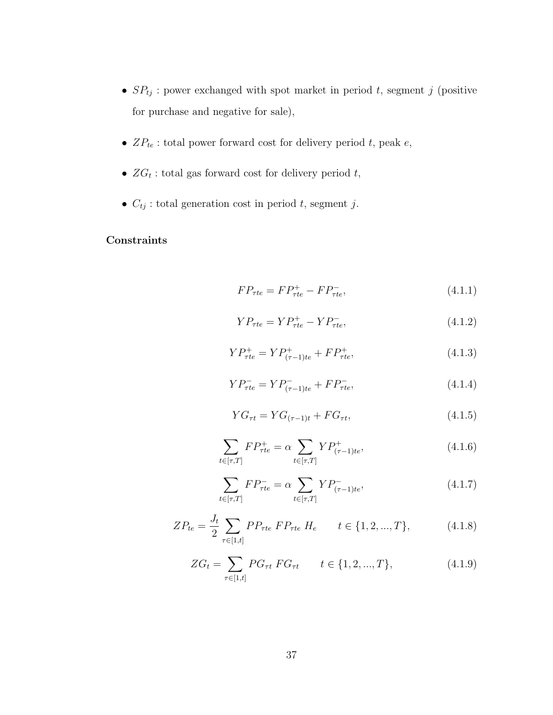- $SP_{tj}$ : power exchanged with spot market in period t, segment j (positive for purchase and negative for sale),
- $\bullet$   $\hspace{0.1 cm} ZP_{te}$  : total power forward cost for delivery period  $t,$  peak  $e,$
- $ZG_t$ : total gas forward cost for delivery period t,
- $C_{tj}$ : total generation cost in period t, segment j.

## **Constraints**

$$
FP_{\tau te} = FP_{\tau te}^+ - FP_{\tau te}^-,\tag{4.1.1}
$$

$$
YP_{\tau te} = YP_{\tau te}^+ - YP_{\tau te}^-,\tag{4.1.2}
$$

$$
YP_{\tau te}^+ = YP_{(\tau-1)te}^+ + FP_{\tau te}^+,
$$
 (4.1.3)

$$
YP_{\tau te}^- = YP_{(\tau-1)te}^- + FP_{\tau te}^-,\tag{4.1.4}
$$

$$
YG_{\tau t} = YG_{(\tau - 1)t} + FG_{\tau t}, \tag{4.1.5}
$$

$$
\sum_{t \in [\tau, T]} FP_{\tau te}^+ = \alpha \sum_{t \in [\tau, T]} Y P_{(\tau - 1)te}^+, \tag{4.1.6}
$$

$$
\sum_{t \in [\tau, T]} FP_{\tau te}^- = \alpha \sum_{t \in [\tau, T]} Y P_{(\tau - 1)te}^-,\tag{4.1.7}
$$

$$
ZP_{te} = \frac{J_t}{2} \sum_{\tau \in [1,t]} PP_{\tau te} \ FP_{\tau te} \ H_e \qquad t \in \{1, 2, ..., T\}, \tag{4.1.8}
$$

$$
ZG_t = \sum_{\tau \in [1,t]} PG_{\tau t} FG_{\tau t} \qquad t \in \{1, 2, ..., T\},
$$
\n(4.1.9)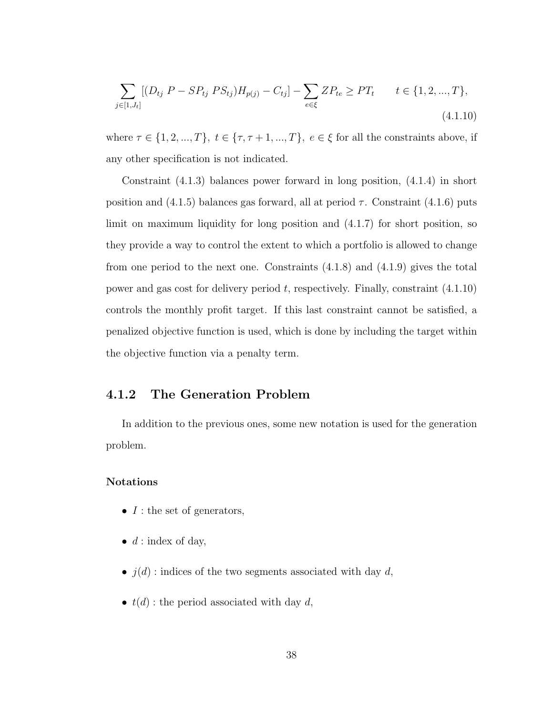$$
\sum_{j \in [1, J_t]} [(D_{tj} \ P - SP_{tj} \ PS_{tj}) H_{p(j)} - C_{tj}] - \sum_{e \in \xi} Z P_{te} \ge PT_t \qquad t \in \{1, 2, ..., T\},\tag{4.1.10}
$$

where  $\tau \in \{1, 2, ..., T\}$ ,  $t \in \{\tau, \tau + 1, ..., T\}$ ,  $e \in \xi$  for all the constraints above, if any other specification is not indicated.

Constraint (4.1.3) balances power forward in long position, (4.1.4) in short position and  $(4.1.5)$  balances gas forward, all at period  $\tau$ . Constraint  $(4.1.6)$  puts limit on maximum liquidity for long position and (4.1.7) for short position, so they provide a way to control the extent to which a portfolio is allowed to change from one period to the next one. Constraints (4.1.8) and (4.1.9) gives the total power and gas cost for delivery period  $t$ , respectively. Finally, constraint  $(4.1.10)$ controls the monthly profit target. If this last constraint cannot be satisfied, a penalized objective function is used, which is done by including the target within the objective function via a penalty term.

#### 4.1.2 The Generation Problem

In addition to the previous ones, some new notation is used for the generation problem.

#### Notations

- $I$  : the set of generators,
- $d:$  index of day,
- $\bullet$   $j(d)$  : indices of the two segments associated with day  $d,$
- $t(d)$ : the period associated with day d,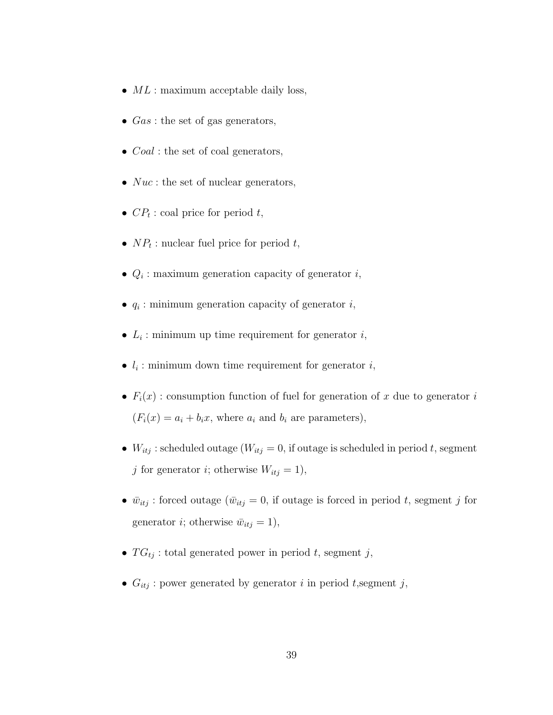- $ML$ : maximum acceptable daily loss,
- $Gas:$  the set of gas generators,
- $Coal$ : the set of coal generators,
- $Nuc$ : the set of nuclear generators,
- $CP_t$ : coal price for period t,
- $NP_t$ : nuclear fuel price for period t,
- $Q_i$ : maximum generation capacity of generator i,
- $q_i$ : minimum generation capacity of generator  $i$ ,
- $L_i$ : minimum up time requirement for generator  $i$ ,
- $l_i$ : minimum down time requirement for generator  $i$ ,
- $F_i(x)$ : consumption function of fuel for generation of x due to generator i  $(F_i(x) = a_i + b_i x$ , where  $a_i$  and  $b_i$  are parameters),
- $W_{itj}$ : scheduled outage  $(W_{itj} = 0)$ , if outage is scheduled in period t, segment j for generator i; otherwise  $W_{itj} = 1$ ),
- $\bar{w}_{itj}$ : forced outage  $(\bar{w}_{itj} = 0)$ , if outage is forced in period t, segment j for generator *i*; otherwise  $\bar{w}_{itj} = 1$ ,
- $TG_{tj}$ : total generated power in period t, segment j,
- $G_{itj}$ : power generated by generator i in period t, segment j,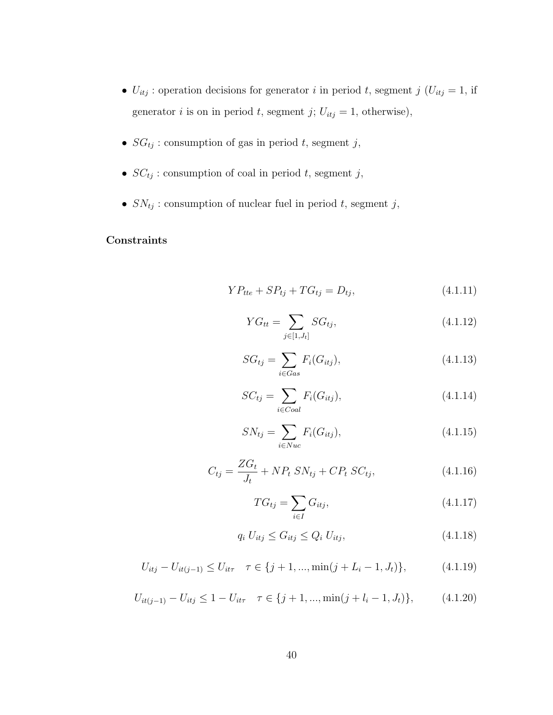- $U_{itj}$ : operation decisions for generator i in period t, segment j ( $U_{itj} = 1$ , if generator *i* is on in period *t*, segment *j*;  $U_{itj} = 1$ , otherwise),
- $SG_{tj}$ : consumption of gas in period t, segment j,
- $\bullet$   $SC_{tj}$  : consumption of coal in period  $t,$  segment  $j,$
- $\bullet$   $SN_{tj}$  : consumption of nuclear fuel in period  $t,$  segment  $j,$

#### **Constraints**

$$
YP_{tte} + SP_{tj} + TG_{tj} = D_{tj},
$$
 (4.1.11)

$$
YG_{tt} = \sum_{j \in [1, J_t]} SG_{tj}, \tag{4.1.12}
$$

$$
SG_{tj} = \sum_{i \in Gas} F_i(G_{itj}), \tag{4.1.13}
$$

$$
SC_{tj} = \sum_{i \in Coul} F_i(G_{itj}),
$$
\n(4.1.14)

$$
SN_{tj} = \sum_{i \in Nuc} F_i(G_{itj}),
$$
\n(4.1.15)

$$
C_{tj} = \frac{ZG_t}{J_t} + NP_t SN_{tj} + CP_t SC_{tj},
$$
\n(4.1.16)

$$
TG_{tj} = \sum_{i \in I} G_{itj},\tag{4.1.17}
$$

$$
q_i U_{itj} \le G_{itj} \le Q_i U_{itj},\tag{4.1.18}
$$

$$
U_{itj} - U_{it(j-1)} \le U_{it\tau} \quad \tau \in \{j+1, ..., \min(j+L_i-1, J_t)\},\tag{4.1.19}
$$

$$
U_{it(j-1)} - U_{itj} \le 1 - U_{it\tau} \quad \tau \in \{j+1, ..., \min(j+l_i-1, J_t)\},\tag{4.1.20}
$$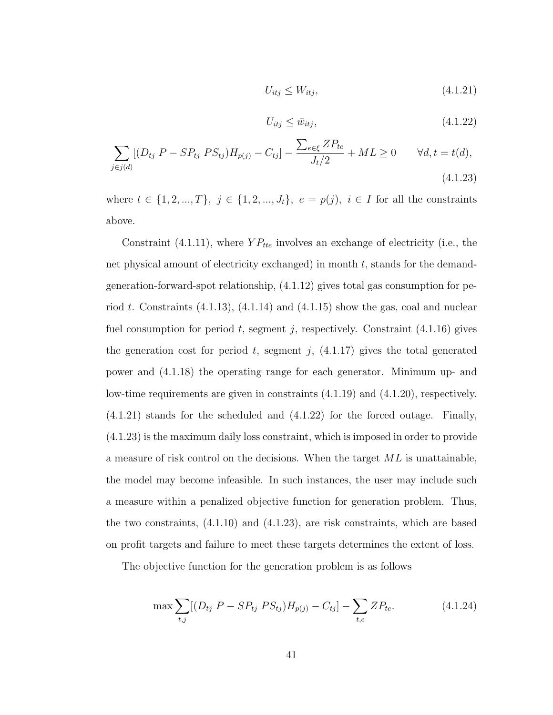$$
U_{itj} \le W_{itj},\tag{4.1.21}
$$

$$
U_{itj} \le \bar{w}_{itj},\tag{4.1.22}
$$

$$
\sum_{j \in j(d)} [(D_{tj} \ P - SP_{tj} \ PS_{tj})H_{p(j)} - C_{tj}] - \frac{\sum_{e \in \xi} ZP_{te}}{J_t/2} + ML \ge 0 \qquad \forall d, t = t(d),
$$
\n(4.1.23)

where  $t \in \{1, 2, ..., T\}, j \in \{1, 2, ..., J_t\}, e = p(j), i \in I$  for all the constraints above.

Constraint (4.1.11), where  $YP_{tte}$  involves an exchange of electricity (i.e., the net physical amount of electricity exchanged) in month  $t$ , stands for the demandgeneration-forward-spot relationship, (4.1.12) gives total gas consumption for period t. Constraints  $(4.1.13)$ ,  $(4.1.14)$  and  $(4.1.15)$  show the gas, coal and nuclear fuel consumption for period t, segment j, respectively. Constraint  $(4.1.16)$  gives the generation cost for period t, segment j,  $(4.1.17)$  gives the total generated power and (4.1.18) the operating range for each generator. Minimum up- and low-time requirements are given in constraints (4.1.19) and (4.1.20), respectively. (4.1.21) stands for the scheduled and (4.1.22) for the forced outage. Finally, (4.1.23) is the maximum daily loss constraint, which is imposed in order to provide a measure of risk control on the decisions. When the target ML is unattainable, the model may become infeasible. In such instances, the user may include such a measure within a penalized objective function for generation problem. Thus, the two constraints, (4.1.10) and (4.1.23), are risk constraints, which are based on profit targets and failure to meet these targets determines the extent of loss.

The objective function for the generation problem is as follows

$$
\max \sum_{t,j} [(D_{tj} P - SP_{tj} PS_{tj})H_{p(j)} - C_{tj}] - \sum_{t,e} ZP_{te}.
$$
 (4.1.24)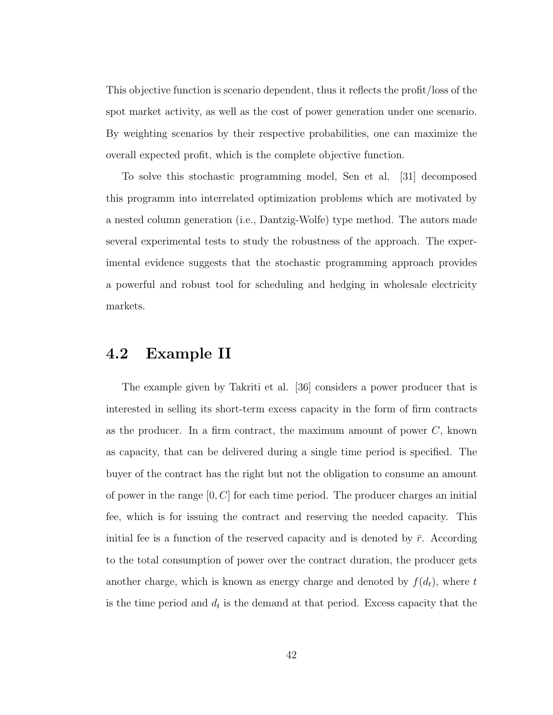This objective function is scenario dependent, thus it reflects the profit/loss of the spot market activity, as well as the cost of power generation under one scenario. By weighting scenarios by their respective probabilities, one can maximize the overall expected profit, which is the complete objective function.

To solve this stochastic programming model, Sen et al. [31] decomposed this programm into interrelated optimization problems which are motivated by a nested column generation (i.e., Dantzig-Wolfe) type method. The autors made several experimental tests to study the robustness of the approach. The experimental evidence suggests that the stochastic programming approach provides a powerful and robust tool for scheduling and hedging in wholesale electricity markets.

## 4.2 Example II

The example given by Takriti et al. [36] considers a power producer that is interested in selling its short-term excess capacity in the form of firm contracts as the producer. In a firm contract, the maximum amount of power  $C$ , known as capacity, that can be delivered during a single time period is specified. The buyer of the contract has the right but not the obligation to consume an amount of power in the range  $[0, C]$  for each time period. The producer charges an initial fee, which is for issuing the contract and reserving the needed capacity. This initial fee is a function of the reserved capacity and is denoted by  $\bar{r}$ . According to the total consumption of power over the contract duration, the producer gets another charge, which is known as energy charge and denoted by  $f(d_t)$ , where t is the time period and  $d_t$  is the demand at that period. Excess capacity that the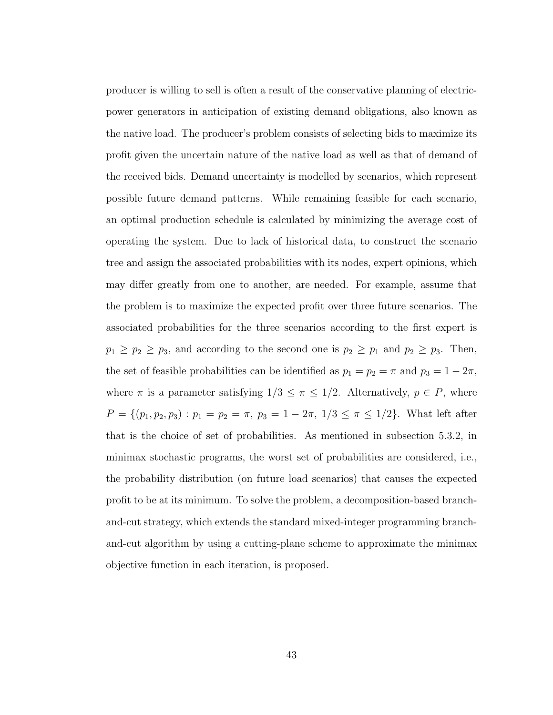producer is willing to sell is often a result of the conservative planning of electricpower generators in anticipation of existing demand obligations, also known as the native load. The producer's problem consists of selecting bids to maximize its profit given the uncertain nature of the native load as well as that of demand of the received bids. Demand uncertainty is modelled by scenarios, which represent possible future demand patterns. While remaining feasible for each scenario, an optimal production schedule is calculated by minimizing the average cost of operating the system. Due to lack of historical data, to construct the scenario tree and assign the associated probabilities with its nodes, expert opinions, which may differ greatly from one to another, are needed. For example, assume that the problem is to maximize the expected profit over three future scenarios. The associated probabilities for the three scenarios according to the first expert is  $p_1 \geq p_2 \geq p_3$ , and according to the second one is  $p_2 \geq p_1$  and  $p_2 \geq p_3$ . Then, the set of feasible probabilities can be identified as  $p_1 = p_2 = \pi$  and  $p_3 = 1 - 2\pi$ , where  $\pi$  is a parameter satisfying  $1/3 \leq \pi \leq 1/2$ . Alternatively,  $p \in P$ , where  $P = \{(p_1, p_2, p_3) : p_1 = p_2 = \pi, p_3 = 1 - 2\pi, 1/3 \leq \pi \leq 1/2\}$ . What left after that is the choice of set of probabilities. As mentioned in subsection 5.3.2, in minimax stochastic programs, the worst set of probabilities are considered, i.e., the probability distribution (on future load scenarios) that causes the expected profit to be at its minimum. To solve the problem, a decomposition-based branchand-cut strategy, which extends the standard mixed-integer programming branchand-cut algorithm by using a cutting-plane scheme to approximate the minimax objective function in each iteration, is proposed.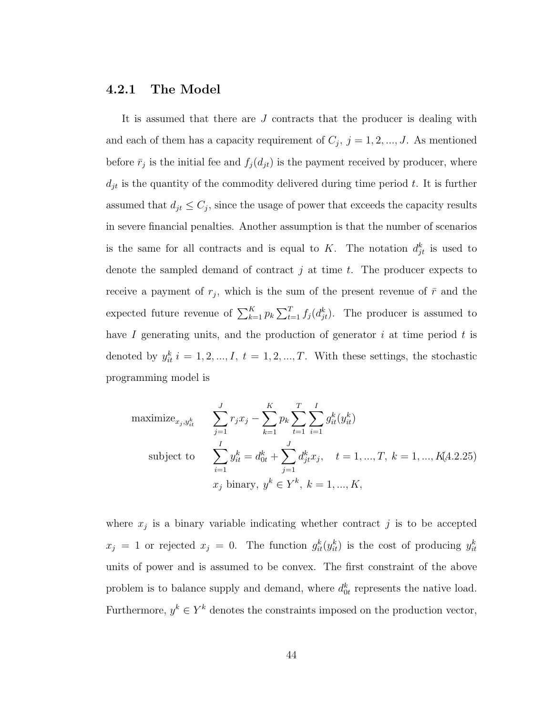#### 4.2.1 The Model

It is assumed that there are J contracts that the producer is dealing with and each of them has a capacity requirement of  $C_j$ ,  $j = 1, 2, ..., J$ . As mentioned before  $\bar{r}_j$  is the initial fee and  $f_j(d_{jt})$  is the payment received by producer, where  $d_{jt}$  is the quantity of the commodity delivered during time period t. It is further assumed that  $d_{jt} \leq C_j$ , since the usage of power that exceeds the capacity results in severe financial penalties. Another assumption is that the number of scenarios is the same for all contracts and is equal to K. The notation  $d_{jt}^k$  is used to denote the sampled demand of contract j at time t. The producer expects to receive a payment of  $r_j$ , which is the sum of the present revenue of  $\bar{r}$  and the expected future revenue of  $\sum_{k=1}^{K} p_k$  $\overline{\nabla^T}$  $_{t=1}^{T} f_j(d_{jt}^k)$ . The producer is assumed to have  $I$  generating units, and the production of generator  $i$  at time period  $t$  is denoted by  $y_{it}^k$  i = 1, 2, ..., I, t = 1, 2, ..., T. With these settings, the stochastic programming model is

maximize<sub>*x<sub>j</sub>,y<sub>it</sub>*</sub> 
$$
\sum_{j=1}^{J} r_j x_j - \sum_{k=1}^{K} p_k \sum_{t=1}^{T} \sum_{i=1}^{I} g_{it}^k (y_{it}^k)
$$
  
subject to 
$$
\sum_{i=1}^{I} y_{it}^k = d_{0t}^k + \sum_{j=1}^{J} d_{jt}^k x_j, \quad t = 1, ..., T, k = 1, ..., K(4.2.25)
$$

$$
x_j \text{ binary}, y^k \in Y^k, k = 1, ..., K,
$$

where  $x_j$  is a binary variable indicating whether contract j is to be accepted  $x_j = 1$  or rejected  $x_j = 0$ . The function  $g_{it}^k(y_{it}^k)$  is the cost of producing  $y_{it}^k$ units of power and is assumed to be convex. The first constraint of the above problem is to balance supply and demand, where  $d_{0t}^k$  represents the native load. Furthermore,  $y^k \in Y^k$  denotes the constraints imposed on the production vector,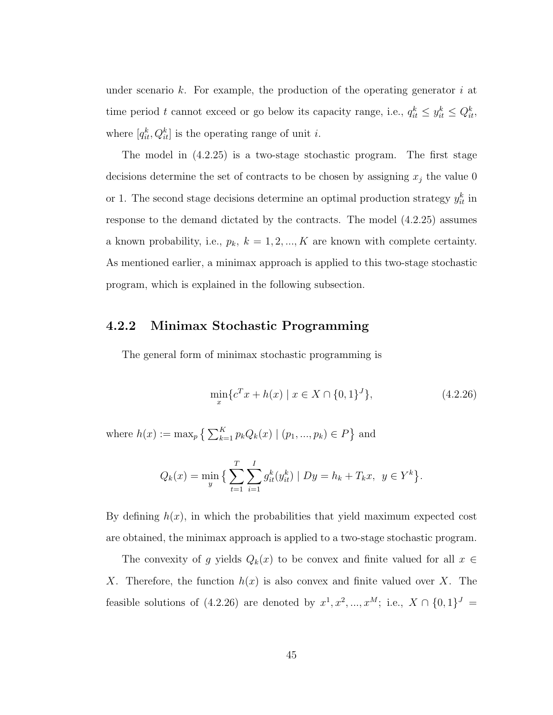under scenario k. For example, the production of the operating generator i at time period t cannot exceed or go below its capacity range, i.e.,  $q_{it}^k \leq y_{it}^k \leq Q_{it}^k$ , where  $[q_{it}^k, Q_{it}^k]$  is the operating range of unit *i*.

The model in (4.2.25) is a two-stage stochastic program. The first stage decisions determine the set of contracts to be chosen by assigning  $x_j$  the value 0 or 1. The second stage decisions determine an optimal production strategy  $y_{it}^k$  in response to the demand dictated by the contracts. The model (4.2.25) assumes a known probability, i.e.,  $p_k$ ,  $k = 1, 2, ..., K$  are known with complete certainty. As mentioned earlier, a minimax approach is applied to this two-stage stochastic program, which is explained in the following subsection.

#### 4.2.2 Minimax Stochastic Programming

The general form of minimax stochastic programming is

$$
\min_{x} \{c^T x + h(x) \mid x \in X \cap \{0, 1\}^J\},\tag{4.2.26}
$$

where  $h(x) := \max_p \left\{ \sum_{k=1}^K x_k \right\}$  $_{k=1}^{K} p_{k} Q_{k}(x) \mid (p_{1},...,p_{k}) \in P$ ª and

$$
Q_k(x) = \min_{y} \left\{ \sum_{t=1}^{T} \sum_{i=1}^{I} g_{it}^k(y_{it}^k) \mid Dy = h_k + T_k x, \ y \in Y^k \right\}.
$$

By defining  $h(x)$ , in which the probabilities that yield maximum expected cost are obtained, the minimax approach is applied to a two-stage stochastic program.

The convexity of g yields  $Q_k(x)$  to be convex and finite valued for all  $x \in$ X. Therefore, the function  $h(x)$  is also convex and finite valued over X. The feasible solutions of (4.2.26) are denoted by  $x^1, x^2, ..., x^M$ ; i.e.,  $X \cap \{0,1\}^J =$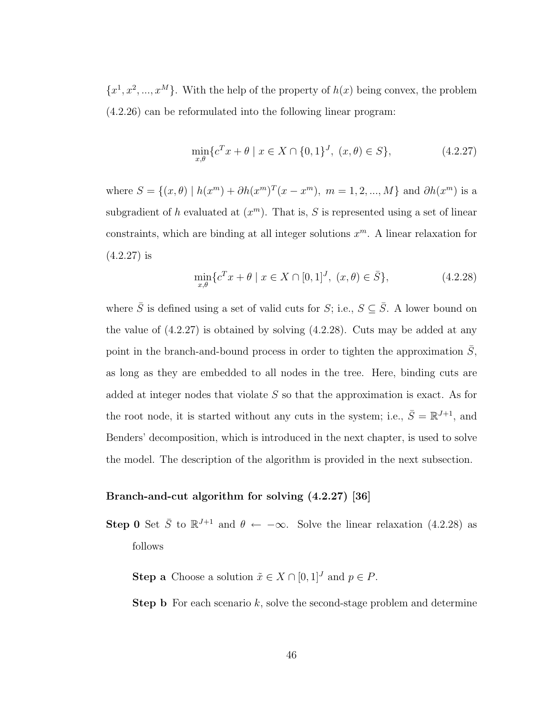$\{x^1, x^2, ..., x^M\}$ . With the help of the property of  $h(x)$  being convex, the problem (4.2.26) can be reformulated into the following linear program:

$$
\min_{x,\theta} \{ c^T x + \theta \mid x \in X \cap \{0,1\}^J, \ (x,\theta) \in S \},\tag{4.2.27}
$$

where  $S = \{(x, \theta) \mid h(x^m) + \partial h(x^m)^T (x - x^m), m = 1, 2, ..., M\}$  and  $\partial h(x^m)$  is a subgradient of h evaluated at  $(x^m)$ . That is, S is represented using a set of linear constraints, which are binding at all integer solutions  $x^m$ . A linear relaxation for (4.2.27) is

$$
\min_{x,\theta} \{ c^T x + \theta \mid x \in X \cap [0,1]^J, (x,\theta) \in \overline{S} \},\tag{4.2.28}
$$

where  $\bar{S}$  is defined using a set of valid cuts for  $S$ ; i.e.,  $S \subseteq \bar{S}$ . A lower bound on the value of (4.2.27) is obtained by solving (4.2.28). Cuts may be added at any point in the branch-and-bound process in order to tighten the approximation  $\overline{S}$ , as long as they are embedded to all nodes in the tree. Here, binding cuts are added at integer nodes that violate  $S$  so that the approximation is exact. As for the root node, it is started without any cuts in the system; i.e.,  $\bar{S} = \mathbb{R}^{J+1}$ , and Benders' decomposition, which is introduced in the next chapter, is used to solve the model. The description of the algorithm is provided in the next subsection.

#### Branch-and-cut algorithm for solving (4.2.27) [36]

- **Step 0** Set  $\bar{S}$  to  $\mathbb{R}^{J+1}$  and  $\theta \leftarrow -\infty$ . Solve the linear relaxation (4.2.28) as follows
	- **Step a** Choose a solution  $\tilde{x} \in X \cap [0, 1]^J$  and  $p \in P$ .
	- **Step b** For each scenario  $k$ , solve the second-stage problem and determine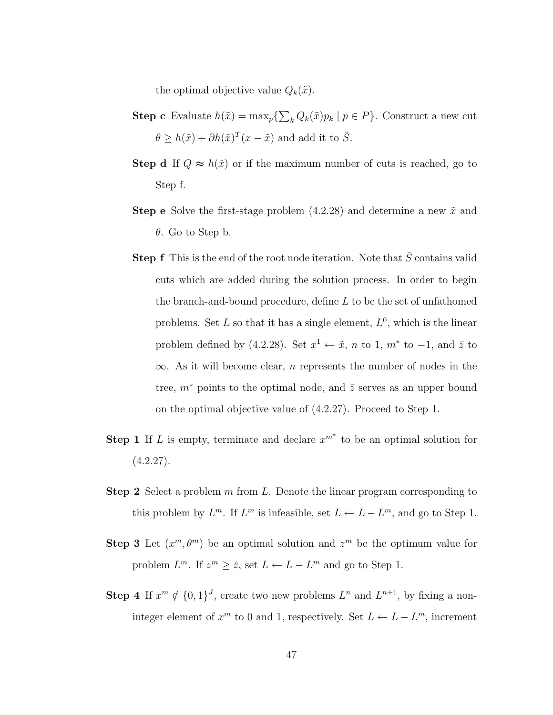the optimal objective value  $Q_k(\tilde{x})$ .

- **Step c** Evaluate  $h(\tilde{x}) = \max_{p} \{$  $\overline{ }$  $_{k} Q_{k}(\tilde{x})p_{k} | p \in P$ . Construct a new cut  $\theta \geq h(\tilde{x}) + \partial h(\tilde{x})^T (x - \tilde{x})$  and add it to  $\overline{S}$ .
- **Step d** If  $Q \approx h(\tilde{x})$  or if the maximum number of cuts is reached, go to Step f.
- **Step e** Solve the first-stage problem  $(4.2.28)$  and determine a new  $\tilde{x}$  and θ. Go to Step b.
- **Step f** This is the end of the root node iteration. Note that  $\overline{S}$  contains valid cuts which are added during the solution process. In order to begin the branch-and-bound procedure, define  $L$  to be the set of unfathomed problems. Set  $L$  so that it has a single element,  $L^0$ , which is the linear problem defined by (4.2.28). Set  $x^1 \leftarrow \tilde{x}$ , n to 1,  $m^*$  to  $-1$ , and  $\bar{z}$  to  $\infty$ . As it will become clear, *n* represents the number of nodes in the tree,  $m^*$  points to the optimal node, and  $\overline{z}$  serves as an upper bound on the optimal objective value of (4.2.27). Proceed to Step 1.
- **Step 1** If L is empty, terminate and declare  $x^{m^*}$  to be an optimal solution for  $(4.2.27).$
- **Step 2** Select a problem  $m$  from  $L$ . Denote the linear program corresponding to this problem by  $L^m$ . If  $L^m$  is infeasible, set  $L \leftarrow L - L^m$ , and go to Step 1.
- **Step 3** Let  $(x^m, \theta^m)$  be an optimal solution and  $z^m$  be the optimum value for problem  $L^m$ . If  $z^m \geq \overline{z}$ , set  $L \leftarrow L - L^m$  and go to Step 1.
- **Step 4** If  $x^m \notin \{0,1\}^J$ , create two new problems  $L^n$  and  $L^{n+1}$ , by fixing a noninteger element of  $x^m$  to 0 and 1, respectively. Set  $L \leftarrow L - L^m$ , increment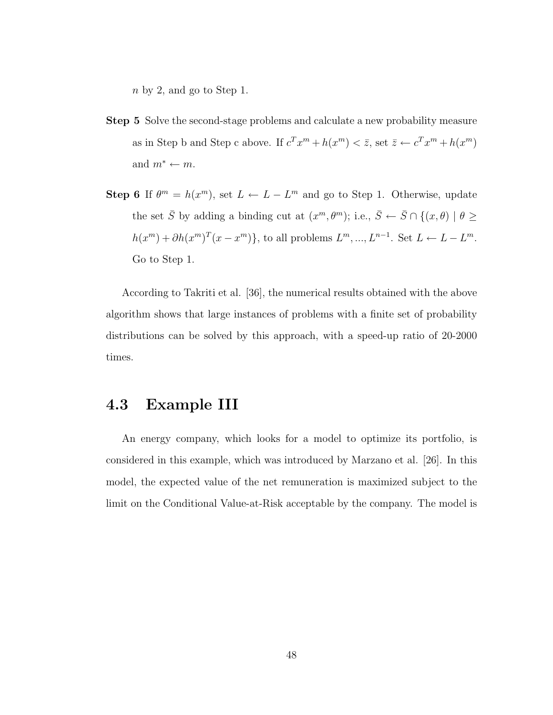n by 2, and go to Step 1.

- Step 5 Solve the second-stage problems and calculate a new probability measure as in Step b and Step c above. If  $c^T x^m + h(x^m) < \overline{z}$ , set  $\overline{z} \leftarrow c^T x^m + h(x^m)$ and  $m^* \leftarrow m$ .
- Step 6 If  $\theta^m = h(x^m)$ , set  $L \leftarrow L L^m$  and go to Step 1. Otherwise, update the set  $\bar{S}$  by adding a binding cut at  $(x^m, \theta^m)$ ; i.e.,  $\bar{S} \leftarrow \bar{S} \cap \{(x, \theta) \mid \theta \geq \theta\}$  $h(x^m) + \partial h(x^m)^T (x - x^m)$ , to all problems  $L^m, ..., L^{n-1}$ . Set  $L \leftarrow L - L^m$ . Go to Step 1.

According to Takriti et al. [36], the numerical results obtained with the above algorithm shows that large instances of problems with a finite set of probability distributions can be solved by this approach, with a speed-up ratio of 20-2000 times.

## 4.3 Example III

An energy company, which looks for a model to optimize its portfolio, is considered in this example, which was introduced by Marzano et al. [26]. In this model, the expected value of the net remuneration is maximized subject to the limit on the Conditional Value-at-Risk acceptable by the company. The model is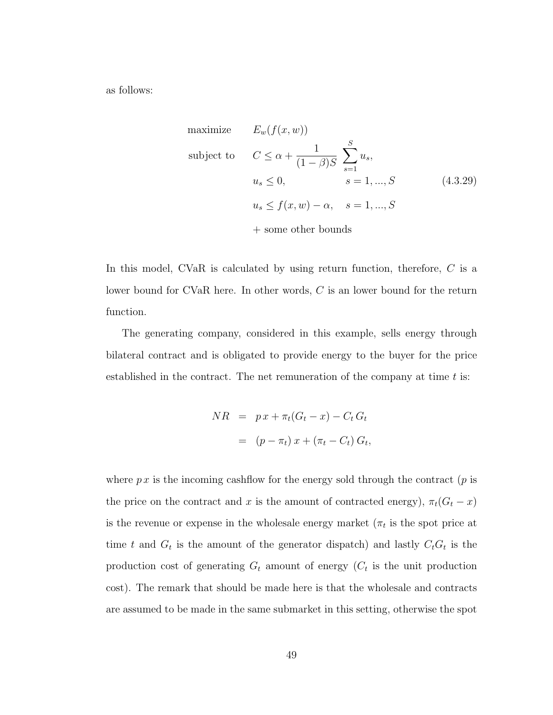as follows:

maximize 
$$
E_w(f(x, w))
$$
  
\nsubject to  $C \le \alpha + \frac{1}{(1 - \beta)S} \sum_{s=1}^{S} u_s$ ,  
\n $u_s \le 0$ ,  $s = 1, ..., S$  (4.3.29)  
\n $u_s \le f(x, w) - \alpha$ ,  $s = 1, ..., S$   
\n $+ \text{some other bounds}$ 

In this model, CVaR is calculated by using return function, therefore, C is a lower bound for CVaR here. In other words, C is an lower bound for the return function.

The generating company, considered in this example, sells energy through bilateral contract and is obligated to provide energy to the buyer for the price established in the contract. The net remuneration of the company at time  $t$  is:

$$
NR = px + \pi_t(G_t - x) - C_t G_t
$$

$$
= (p - \pi_t) x + (\pi_t - C_t) G_t,
$$

where  $p x$  is the incoming cashflow for the energy sold through the contract  $(p$  is the price on the contract and x is the amount of contracted energy),  $\pi_t(G_t - x)$ is the revenue or expense in the wholesale energy market  $(\pi_t$  is the spot price at time t and  $G_t$  is the amount of the generator dispatch) and lastly  $C_tG_t$  is the production cost of generating  $G_t$  amount of energy  $(C_t$  is the unit production cost). The remark that should be made here is that the wholesale and contracts are assumed to be made in the same submarket in this setting, otherwise the spot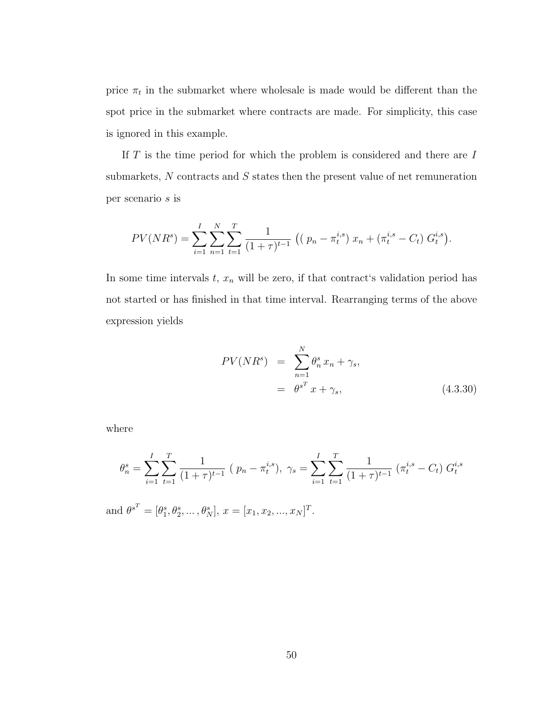price  $\pi_t$  in the submarket where wholesale is made would be different than the spot price in the submarket where contracts are made. For simplicity, this case is ignored in this example.

If  $T$  is the time period for which the problem is considered and there are  $I$ submarkets, N contracts and S states then the present value of net remuneration per scenario s is

$$
PV(NR^{s}) = \sum_{i=1}^{I} \sum_{n=1}^{N} \sum_{t=1}^{T} \frac{1}{(1+\tau)^{t-1}} \left( \left( p_n - \pi_t^{i,s} \right) x_n + \left( \pi_t^{i,s} - C_t \right) G_t^{i,s} \right).
$$

In some time intervals  $t, x_n$  will be zero, if that contract's validation period has not started or has finished in that time interval. Rearranging terms of the above expression yields

$$
PV(NRs) = \sum_{n=1}^{N} \theta_n^s x_n + \gamma_s,
$$
  
=  $\theta^{s^T} x + \gamma_s,$  (4.3.30)

where

$$
\theta_n^s = \sum_{i=1}^I \sum_{t=1}^T \frac{1}{(1+\tau)^{t-1}} (p_n - \pi_t^{i,s}), \ \gamma_s = \sum_{i=1}^I \sum_{t=1}^T \frac{1}{(1+\tau)^{t-1}} (\pi_t^{i,s} - C_t) G_t^{i,s}
$$

and  $\theta^{s^T} = [\theta_1^s, \theta_2^s, ..., \theta_N^s], x = [x_1, x_2, ..., x_N]^T$ .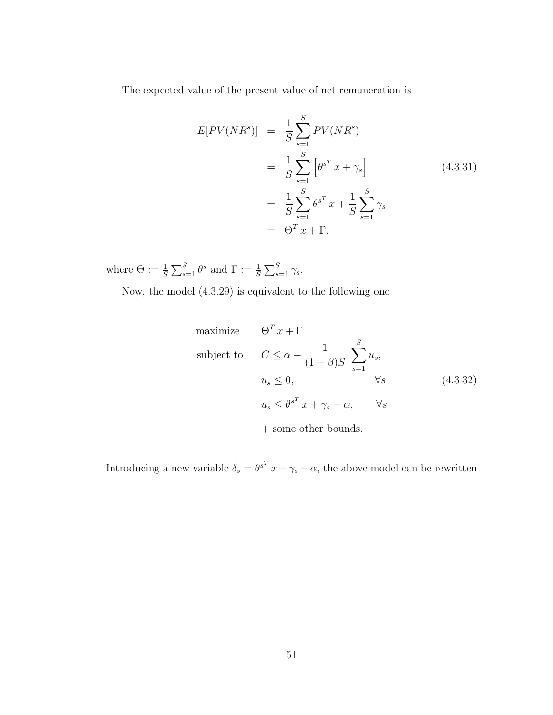The expected value of the present value of net remuneration is

$$
E[PV(NRs)] = \frac{1}{S} \sum_{s=1}^{S} PV(NRs)
$$
  
= 
$$
\frac{1}{S} \sum_{s=1}^{S} \left[ \theta^{s^T} x + \gamma_s \right]
$$
(4.3.31)  
= 
$$
\frac{1}{S} \sum_{s=1}^{S} \theta^{s^T} x + \frac{1}{S} \sum_{s=1}^{S} \gamma_s
$$
  
= 
$$
\Theta^T x + \Gamma,
$$

where  $\Theta := \frac{1}{S}$  $\overline{\nabla^S}$  $S_{s=1}^{S} \theta^s$  and  $\Gamma := \frac{1}{S}$  $\overline{\nabla^S}$  $\frac{s}{s=1} \gamma_s$ .

Now, the model (4.3.29) is equivalent to the following one

maximize 
$$
\Theta^T x + \Gamma
$$
  
\nsubject to  $C \le \alpha + \frac{1}{(1-\beta)S} \sum_{s=1}^S u_s$ ,  
\n $u_s \le 0$ ,  $\forall s$  (4.3.32)  
\n $u_s \le \theta^{s^T} x + \gamma_s - \alpha$ ,  $\forall s$ 

+ some other bounds.

Introducing a new variable  $\delta_s = \theta^{s^T} x + \gamma_s - \alpha$ , the above model can be rewritten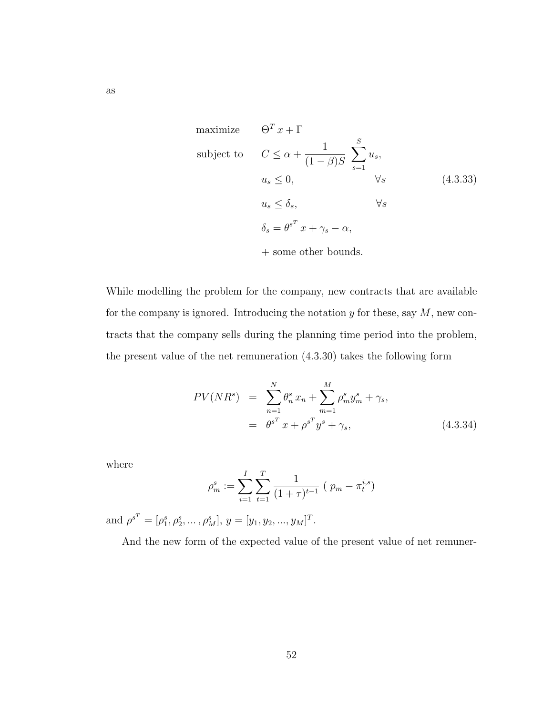maximize 
$$
\Theta^T x + \Gamma
$$
  
\nsubject to  $C \le \alpha + \frac{1}{(1-\beta)S} \sum_{s=1}^S u_s$ ,  
\n $u_s \le 0$ ,  $\forall s$  (4.3.33)  
\n $u_s \le \delta_s$ ,  $\forall s$   
\n $\delta_s = \theta^{s^T} x + \gamma_s - \alpha$ ,  
\n $+ \text{some other bounds.}$ 

While modelling the problem for the company, new contracts that are available for the company is ignored. Introducing the notation  $y$  for these, say  $M$ , new contracts that the company sells during the planning time period into the problem, the present value of the net remuneration (4.3.30) takes the following form

$$
PV(NRs) = \sum_{n=1}^{N} \theta_n^s x_n + \sum_{m=1}^{M} \rho_m^s y_m^s + \gamma_s,
$$
  
=  $\theta^{s^T} x + \rho^{s^T} y^s + \gamma_s,$  (4.3.34)

where

$$
\rho_m^s := \sum_{i=1}^I \sum_{t=1}^T \frac{1}{(1+\tau)^{t-1}} (p_m - \pi_t^{i,s})
$$

and  $\rho^{s^T} = [\rho_1^s, \rho_2^s, \dots, \rho_M^s], y = [y_1, y_2, \dots, y_M]^T$ .

And the new form of the expected value of the present value of net remuner-

as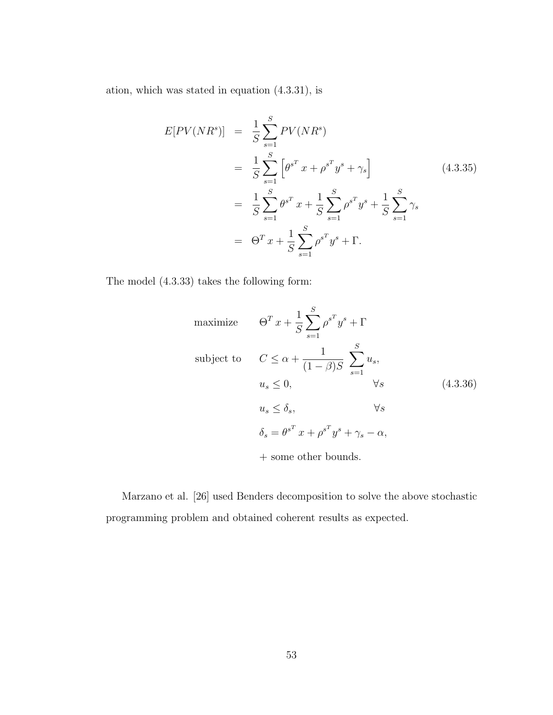ation, which was stated in equation (4.3.31), is

$$
E[PV(NRs)] = \frac{1}{S} \sum_{s=1}^{S} PV(NRs)
$$
  
=  $\frac{1}{S} \sum_{s=1}^{S} \left[ \theta^{s^T} x + \rho^{s^T} y^s + \gamma_s \right]$  (4.3.35)  
=  $\frac{1}{S} \sum_{s=1}^{S} \theta^{s^T} x + \frac{1}{S} \sum_{s=1}^{S} \rho^{s^T} y^s + \frac{1}{S} \sum_{s=1}^{S} \gamma_s$   
=  $\Theta^T x + \frac{1}{S} \sum_{s=1}^{S} \rho^{s^T} y^s + \Gamma.$ 

The model (4.3.33) takes the following form:

maximize 
$$
\Theta^T x + \frac{1}{S} \sum_{s=1}^S \rho^{s^T} y^s + \Gamma
$$
  
\nsubject to  $C \le \alpha + \frac{1}{(1-\beta)S} \sum_{s=1}^S u_s$ ,  
\n $u_s \le 0$ ,  $\forall s$  (4.3.36)  
\n $u_s \le \delta_s$ ,  $\forall s$   
\n $\delta_s = \theta^{s^T} x + \rho^{s^T} y^s + \gamma_s - \alpha$ ,  
\n $+ \text{ some other bounds.}$ 

Marzano et al. [26] used Benders decomposition to solve the above stochastic programming problem and obtained coherent results as expected.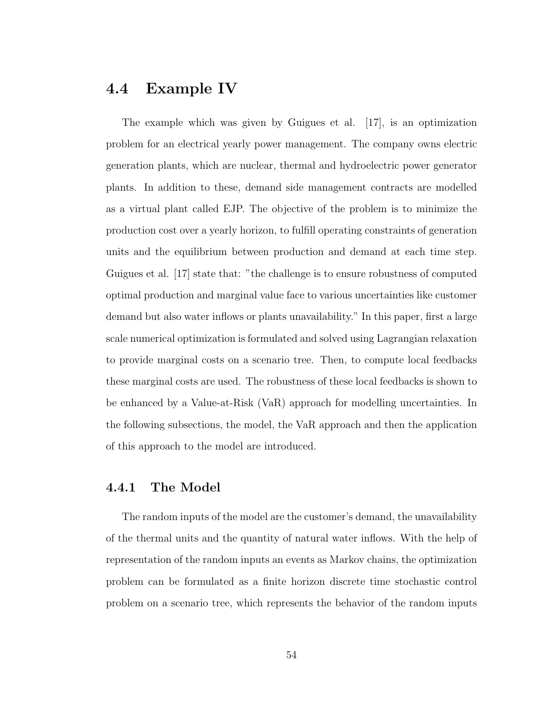## 4.4 Example IV

The example which was given by Guigues et al. [17], is an optimization problem for an electrical yearly power management. The company owns electric generation plants, which are nuclear, thermal and hydroelectric power generator plants. In addition to these, demand side management contracts are modelled as a virtual plant called EJP. The objective of the problem is to minimize the production cost over a yearly horizon, to fulfill operating constraints of generation units and the equilibrium between production and demand at each time step. Guigues et al. [17] state that: "the challenge is to ensure robustness of computed optimal production and marginal value face to various uncertainties like customer demand but also water inflows or plants unavailability." In this paper, first a large scale numerical optimization is formulated and solved using Lagrangian relaxation to provide marginal costs on a scenario tree. Then, to compute local feedbacks these marginal costs are used. The robustness of these local feedbacks is shown to be enhanced by a Value-at-Risk (VaR) approach for modelling uncertainties. In the following subsections, the model, the VaR approach and then the application of this approach to the model are introduced.

#### 4.4.1 The Model

The random inputs of the model are the customer's demand, the unavailability of the thermal units and the quantity of natural water inflows. With the help of representation of the random inputs an events as Markov chains, the optimization problem can be formulated as a finite horizon discrete time stochastic control problem on a scenario tree, which represents the behavior of the random inputs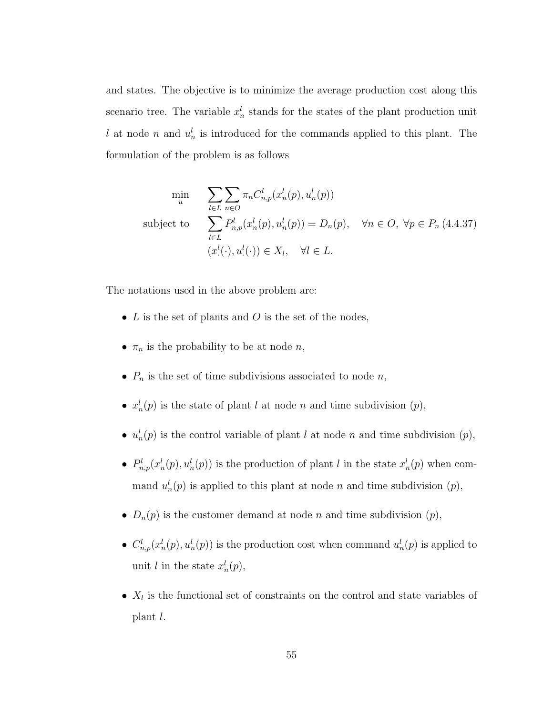and states. The objective is to minimize the average production cost along this scenario tree. The variable  $x_n^l$  stands for the states of the plant production unit l at node n and  $u_n^l$  is introduced for the commands applied to this plant. The formulation of the problem is as follows

$$
\min_{u} \sum_{l \in L} \sum_{n \in O} \pi_n C_{n,p}^l(x_n^l(p), u_n^l(p))
$$
\nsubject to\n
$$
\sum_{l \in L} P_{n,p}^l(x_n^l(p), u_n^l(p)) = D_n(p), \quad \forall n \in O, \ \forall p \in P_n \ (4.4.37)
$$
\n
$$
(x^l(\cdot), u^l(\cdot)) \in X_l, \quad \forall l \in L.
$$

The notations used in the above problem are:

- $L$  is the set of plants and  $O$  is the set of the nodes,
- $\pi_n$  is the probability to be at node *n*,
- $P_n$  is the set of time subdivisions associated to node n,
- $x_n^l(p)$  is the state of plant l at node n and time subdivision  $(p)$ ,
- $u_n^l(p)$  is the control variable of plant l at node n and time subdivision  $(p)$ ,
- $P_{n,p}^l(x_n^l(p), u_n^l(p))$  is the production of plant l in the state  $x_n^l(p)$  when command  $u_n^l(p)$  is applied to this plant at node n and time subdivision  $(p)$ ,
- $D_n(p)$  is the customer demand at node n and time subdivision  $(p)$ ,
- $C_{n,p}^l(x_n^l(p), u_n^l(p))$  is the production cost when command  $u_n^l(p)$  is applied to unit *l* in the state  $x_n^l(p)$ ,
- $X_l$  is the functional set of constraints on the control and state variables of plant l.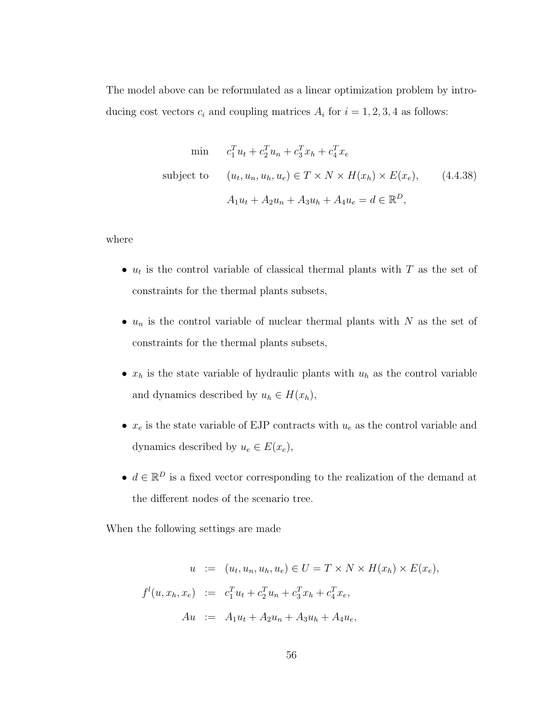The model above can be reformulated as a linear optimization problem by introducing cost vectors  $c_i$  and coupling matrices  $A_i$  for  $i = 1, 2, 3, 4$  as follows:

min 
$$
c_1^T u_t + c_2^T u_n + c_3^T x_h + c_4^T x_e
$$
  
\nsubject to  $(u_t, u_n, u_h, u_e) \in T \times N \times H(x_h) \times E(x_e),$  (4.4.38)  
\n $A_1 u_t + A_2 u_n + A_3 u_h + A_4 u_e = d \in \mathbb{R}^D,$ 

where

- $u_t$  is the control variable of classical thermal plants with T as the set of constraints for the thermal plants subsets,
- $u_n$  is the control variable of nuclear thermal plants with N as the set of constraints for the thermal plants subsets,
- $x_h$  is the state variable of hydraulic plants with  $u_h$  as the control variable and dynamics described by  $u_h \in H(x_h)$ ,
- $x_e$  is the state variable of EJP contracts with  $u_e$  as the control variable and dynamics described by  $u_e \in E(x_e)$ ,
- $d \in \mathbb{R}^D$  is a fixed vector corresponding to the realization of the demand at the different nodes of the scenario tree.

When the following settings are made

$$
u := (u_t, u_n, u_h, u_e) \in U = T \times N \times H(x_h) \times E(x_e),
$$
  

$$
f^l(u, x_h, x_e) := c_1^T u_t + c_2^T u_n + c_3^T x_h + c_4^T x_e,
$$
  

$$
Au := A_1 u_t + A_2 u_n + A_3 u_h + A_4 u_e,
$$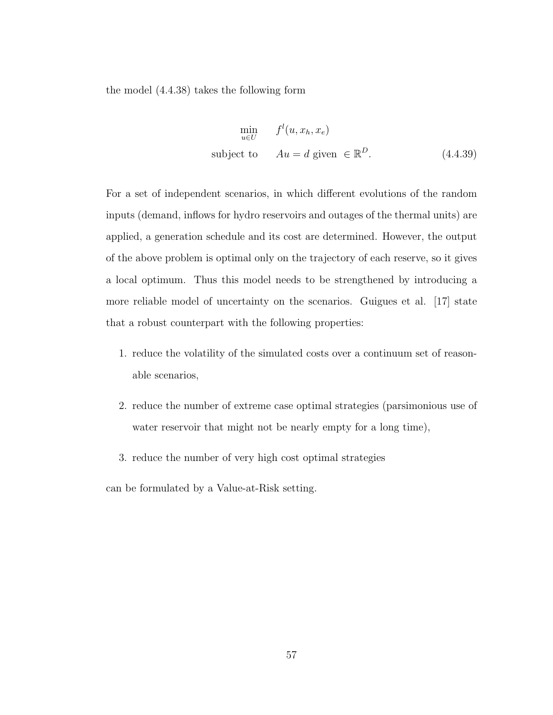the model (4.4.38) takes the following form

$$
\min_{u \in U} f^{l}(u, x_{h}, x_{e})
$$
\nsubject to 
$$
Au = d \text{ given } \in \mathbb{R}^{D}.
$$
\n(4.4.39)

For a set of independent scenarios, in which different evolutions of the random inputs (demand, inflows for hydro reservoirs and outages of the thermal units) are applied, a generation schedule and its cost are determined. However, the output of the above problem is optimal only on the trajectory of each reserve, so it gives a local optimum. Thus this model needs to be strengthened by introducing a more reliable model of uncertainty on the scenarios. Guigues et al. [17] state that a robust counterpart with the following properties:

- 1. reduce the volatility of the simulated costs over a continuum set of reasonable scenarios,
- 2. reduce the number of extreme case optimal strategies (parsimonious use of water reservoir that might not be nearly empty for a long time),
- 3. reduce the number of very high cost optimal strategies

can be formulated by a Value-at-Risk setting.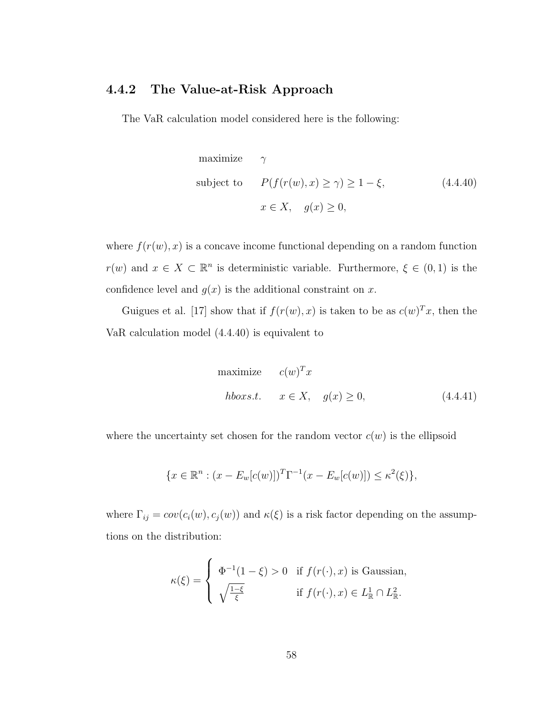#### 4.4.2 The Value-at-Risk Approach

The VaR calculation model considered here is the following:

maximize 
$$
\gamma
$$
  
\nsubject to  $P(f(r(w), x) \ge \gamma) \ge 1 - \xi,$  (4.4.40)  
\n $x \in X, \quad g(x) \ge 0,$ 

where  $f(r(w), x)$  is a concave income functional depending on a random function  $r(w)$  and  $x \in X \subset \mathbb{R}^n$  is deterministic variable. Furthermore,  $\xi \in (0,1)$  is the confidence level and  $g(x)$  is the additional constraint on x.

Guigues et al. [17] show that if  $f(r(w), x)$  is taken to be as  $c(w)^{T}x$ , then the VaR calculation model (4.4.40) is equivalent to

maximize 
$$
c(w)^T x
$$
  
\n*hboxs.t.*  $x \in X$ ,  $g(x) \ge 0$ ,  $(4.4.41)$ 

where the uncertainty set chosen for the random vector  $c(w)$  is the ellipsoid

$$
\{x \in \mathbb{R}^n : (x - E_w[c(w)])^T \Gamma^{-1} (x - E_w[c(w)]) \le \kappa^2(\xi) \},\
$$

where  $\Gamma_{ij} = cov(c_i(w), c_j(w))$  and  $\kappa(\xi)$  is a risk factor depending on the assumptions on the distribution:

$$
\kappa(\xi) = \begin{cases} \Phi^{-1}(1-\xi) > 0 & \text{if } f(r(\cdot),x) \text{ is Gaussian,} \\ \sqrt{\frac{1-\xi}{\xi}} & \text{if } f(r(\cdot),x) \in L^1_{\mathbb{R}} \cap L^2_{\mathbb{R}}. \end{cases}
$$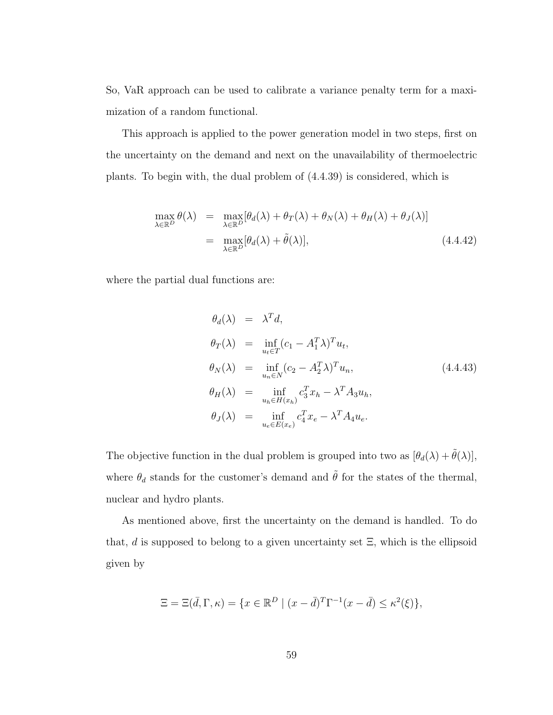So, VaR approach can be used to calibrate a variance penalty term for a maximization of a random functional.

This approach is applied to the power generation model in two steps, first on the uncertainty on the demand and next on the unavailability of thermoelectric plants. To begin with, the dual problem of (4.4.39) is considered, which is

$$
\max_{\lambda \in \mathbb{R}^D} \theta(\lambda) = \max_{\lambda \in \mathbb{R}^D} [\theta_d(\lambda) + \theta_T(\lambda) + \theta_N(\lambda) + \theta_H(\lambda) + \theta_J(\lambda)]
$$
  
= 
$$
\max_{\lambda \in \mathbb{R}^D} [\theta_d(\lambda) + \tilde{\theta}(\lambda)],
$$
 (4.4.42)

where the partial dual functions are:

$$
\theta_d(\lambda) = \lambda^T d,
$$
  
\n
$$
\theta_T(\lambda) = \inf_{u_t \in T} (c_1 - A_1^T \lambda)^T u_t,
$$
  
\n
$$
\theta_N(\lambda) = \inf_{u_n \in N} (c_2 - A_2^T \lambda)^T u_n,
$$
  
\n
$$
\theta_H(\lambda) = \inf_{u_h \in H(x_h)} c_3^T x_h - \lambda^T A_3 u_h,
$$
  
\n
$$
\theta_J(\lambda) = \inf_{u_e \in E(x_e)} c_4^T x_e - \lambda^T A_4 u_e.
$$
\n(4.4.43)

The objective function in the dual problem is grouped into two as  $[\theta_d(\lambda) + \tilde{\theta}(\lambda)],$ where  $\theta_d$  stands for the customer's demand and  $\tilde{\theta}$  for the states of the thermal, nuclear and hydro plants.

As mentioned above, first the uncertainty on the demand is handled. To do that, d is supposed to belong to a given uncertainty set  $\Xi$ , which is the ellipsoid given by

$$
\Xi = \Xi(\bar{d}, \Gamma, \kappa) = \{x \in \mathbb{R}^D \mid (x - \bar{d})^T \Gamma^{-1} (x - \bar{d}) \le \kappa^2(\xi)\},
$$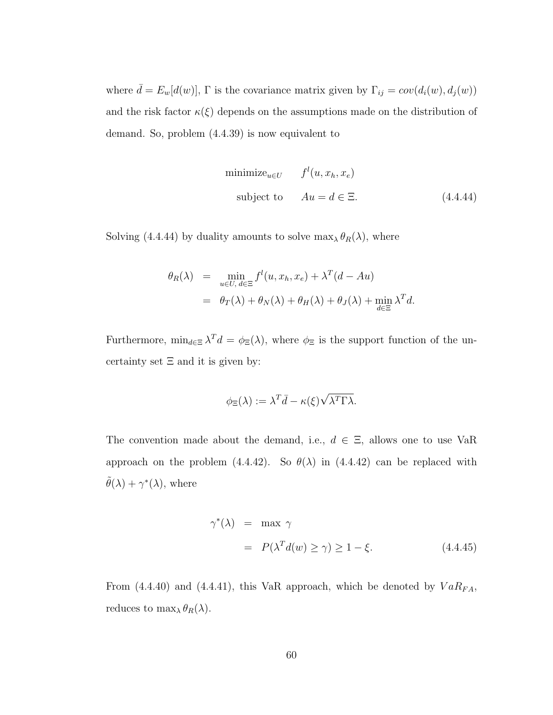where  $\bar{d} = E_w[d(w)]$ ,  $\Gamma$  is the covariance matrix given by  $\Gamma_{ij} = cov(d_i(w), d_j(w))$ and the risk factor  $\kappa(\xi)$  depends on the assumptions made on the distribution of demand. So, problem (4.4.39) is now equivalent to

$$
\text{minimize}_{u \in U} \qquad f^{l}(u, x_{h}, x_{e})
$$
\n
$$
\text{subject to} \qquad Au = d \in \Xi. \tag{4.4.44}
$$

Solving (4.4.44) by duality amounts to solve  $\max_{\lambda} \theta_R(\lambda)$ , where

$$
\theta_R(\lambda) = \min_{u \in U, d \in \Xi} f^l(u, x_h, x_e) + \lambda^T(d - Au)
$$
  
=  $\theta_T(\lambda) + \theta_N(\lambda) + \theta_H(\lambda) + \theta_J(\lambda) + \min_{d \in \Xi} \lambda^T d.$ 

Furthermore,  $\min_{d \in \Xi} \lambda^T d = \phi_{\Xi}(\lambda)$ , where  $\phi_{\Xi}$  is the support function of the uncertainty set  $\Xi$  and it is given by:

$$
\phi_{\Xi}(\lambda) := \lambda^T \bar{d} - \kappa(\xi) \sqrt{\lambda^T \Gamma \lambda}.
$$

The convention made about the demand, i.e.,  $d \in \Xi$ , allows one to use VaR approach on the problem (4.4.42). So  $\theta(\lambda)$  in (4.4.42) can be replaced with  $\tilde{\theta}(\lambda) + \gamma^*(\lambda)$ , where

$$
\gamma^*(\lambda) = \max \gamma
$$
  
=  $P(\lambda^T d(w) \ge \gamma) \ge 1 - \xi.$  (4.4.45)

From (4.4.40) and (4.4.41), this VaR approach, which be denoted by  $VaR_{FA}$ , reduces to  $\max_{\lambda} \theta_R(\lambda)$ .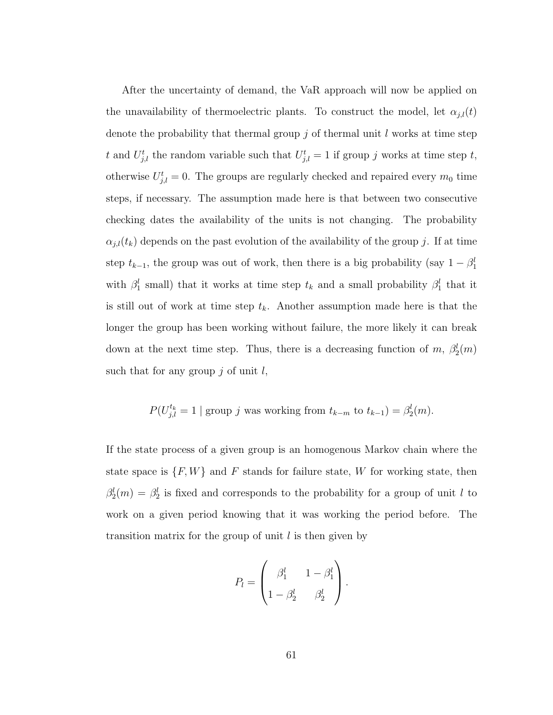After the uncertainty of demand, the VaR approach will now be applied on the unavailability of thermoelectric plants. To construct the model, let  $\alpha_{j,l}(t)$ denote the probability that thermal group  $j$  of thermal unit  $l$  works at time step t and  $U_{j,l}^t$  the random variable such that  $U_{j,l}^t = 1$  if group j works at time step t, otherwise  $U_{j,l}^t = 0$ . The groups are regularly checked and repaired every  $m_0$  time steps, if necessary. The assumption made here is that between two consecutive checking dates the availability of the units is not changing. The probability  $\alpha_{i,l}(t_k)$  depends on the past evolution of the availability of the group j. If at time step  $t_{k-1}$ , the group was out of work, then there is a big probability (say  $1 - \beta_1^l$ ) with  $\beta_1^l$  small) that it works at time step  $t_k$  and a small probability  $\beta_1^l$  that it is still out of work at time step  $t_k$ . Another assumption made here is that the longer the group has been working without failure, the more likely it can break down at the next time step. Thus, there is a decreasing function of m,  $\beta_2^l(m)$ such that for any group  $j$  of unit  $l$ ,

$$
P(U_{j,l}^{t_k} = 1 \mid \text{group } j \text{ was working from } t_{k-m} \text{ to } t_{k-1}) = \beta_2^l(m).
$$

If the state process of a given group is an homogenous Markov chain where the state space is  $\{F, W\}$  and F stands for failure state, W for working state, then  $\beta_2^l(m) = \beta_2^l$  is fixed and corresponds to the probability for a group of unit l to work on a given period knowing that it was working the period before. The transition matrix for the group of unit  $l$  is then given by

$$
P_l = \begin{pmatrix} \beta_1^l & 1 - \beta_1^l \\ 1 - \beta_2^l & \beta_2^l \end{pmatrix}.
$$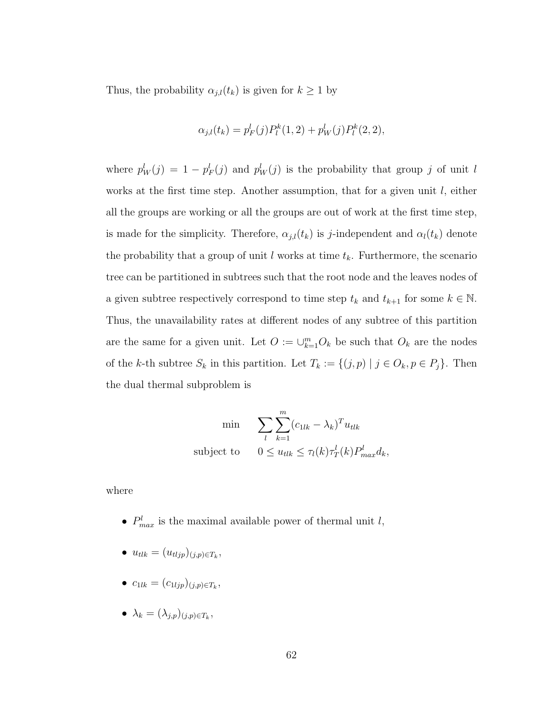Thus, the probability  $\alpha_{j,l}(t_k)$  is given for  $k \geq 1$  by

$$
\alpha_{j,l}(t_k) = p_F^l(j)P_l^k(1,2) + p_W^l(j)P_l^k(2,2),
$$

where  $p_W^l(j) = 1 - p_F^l(j)$  and  $p_W^l(j)$  is the probability that group j of unit l works at the first time step. Another assumption, that for a given unit  $l$ , either all the groups are working or all the groups are out of work at the first time step, is made for the simplicity. Therefore,  $\alpha_{j,l}(t_k)$  is j-independent and  $\alpha_l(t_k)$  denote the probability that a group of unit  $l$  works at time  $t_k$ . Furthermore, the scenario tree can be partitioned in subtrees such that the root node and the leaves nodes of a given subtree respectively correspond to time step  $t_k$  and  $t_{k+1}$  for some  $k \in \mathbb{N}$ . Thus, the unavailability rates at different nodes of any subtree of this partition are the same for a given unit. Let  $O := \bigcup_{k=1}^{m} O_k$  be such that  $O_k$  are the nodes of the k-th subtree  $S_k$  in this partition. Let  $T_k := \{(j, p) | j \in O_k, p \in P_j\}$ . Then the dual thermal subproblem is

min 
$$
\sum_{l} \sum_{k=1}^{m} (c_{1lk} - \lambda_k)^T u_{tlk}
$$
  
subject to 
$$
0 \le u_{tlk} \le \tau_l(k) \tau_T^l(k) P_{max}^l d_k,
$$

where

- $P_{max}^l$  is the maximal available power of thermal unit l,
- $u_{tlk} = (u_{tljp})_{(j,p)\in T_k},$
- $c_{1lk} = (c_{1ljp})_{(j,p)\in T_k},$
- $\lambda_k = (\lambda_{j,p})_{(j,p)\in T_k},$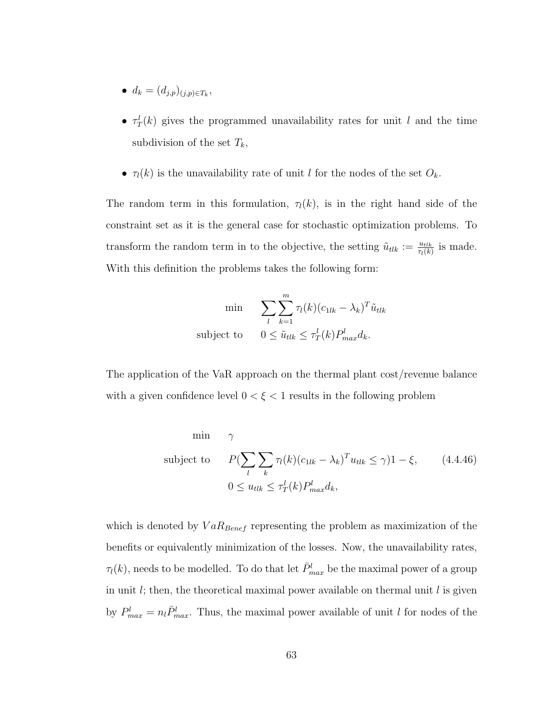- $d_k = (d_{j,p})_{(j,p)\in T_k},$
- $\tau_T^l(k)$  gives the programmed unavailability rates for unit l and the time subdivision of the set  $T_k$ ,
- $\tau_l(k)$  is the unavailability rate of unit l for the nodes of the set  $O_k$ .

The random term in this formulation,  $\tau_l(k)$ , is in the right hand side of the constraint set as it is the general case for stochastic optimization problems. To transform the random term in to the objective, the setting  $\tilde{u}_{tlk} := \frac{u_{tlk}}{\tau_l(k)}$  is made. With this definition the problems takes the following form:

min 
$$
\sum_{l} \sum_{k=1}^{m} \tau_{l}(k)(c_{1lk} - \lambda_{k})^{T} \tilde{u}_{tlk}
$$
subject to 
$$
0 \leq \tilde{u}_{tlk} \leq \tau_{T}^{l}(k) P_{max}^{l} d_{k}.
$$

The application of the VaR approach on the thermal plant cost/revenue balance with a given confidence level  $0 < \xi < 1$  results in the following problem

min 
$$
\gamma
$$
  
\nsubject to  $P(\sum_{l} \sum_{k} \tau_{l}(k)(c_{1lk} - \lambda_{k})^{T} u_{tlk} \leq \gamma)1 - \xi,$  (4.4.46)  
\n $0 \leq u_{tlk} \leq \tau_{T}^{l}(k) P_{max}^{l} d_{k},$ 

which is denoted by  $VaR_{Bener}$  representing the problem as maximization of the benefits or equivalently minimization of the losses. Now, the unavailability rates,  $\tau_l(k)$ , needs to be modelled. To do that let  $\bar{P}^l_{max}$  be the maximal power of a group in unit  $l$ ; then, the theoretical maximal power available on thermal unit  $l$  is given by  $P_{max}^l = n_l \bar{P}_{max}^l$ . Thus, the maximal power available of unit l for nodes of the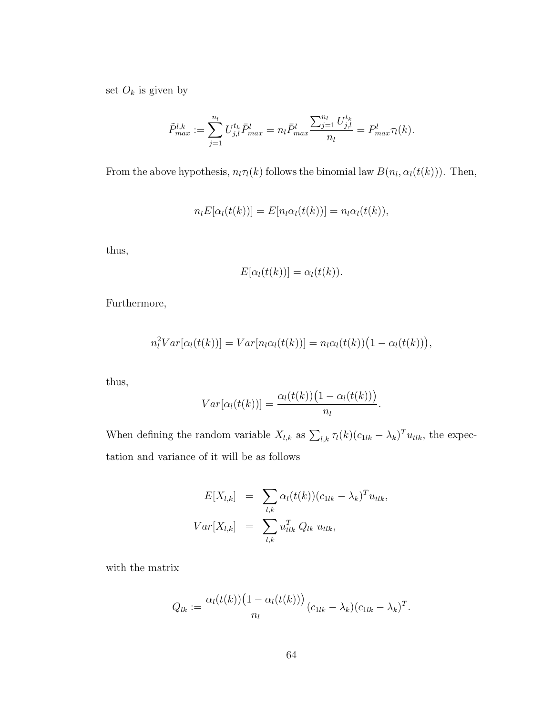set  $O_k$  is given by

$$
\tilde{P}_{max}^{l,k} := \sum_{j=1}^{n_l} U_{j,l}^{t_k} \bar{P}_{max}^l = n_l \bar{P}_{max}^l \frac{\sum_{j=1}^{n_l} U_{j,l}^{t_k}}{n_l} = P_{max}^l \tau_l(k).
$$

From the above hypothesis,  $n_l\tau_l(k)$  follows the binomial law  $B(n_l, \alpha_l(t(k)))$ . Then,

$$
n_l E[\alpha_l(t(k))] = E[n_l \alpha_l(t(k))] = n_l \alpha_l(t(k)),
$$

thus,

$$
E[\alpha_l(t(k))] = \alpha_l(t(k)).
$$

Furthermore,

$$
n_l^2 Var[\alpha_l(t(k))] = Var[n_l\alpha_l(t(k))] = n_l\alpha_l(t(k))(1 - \alpha_l(t(k))),
$$

thus,

$$
Var[\alpha_l(t(k))] = \frac{\alpha_l(t(k))(1-\alpha_l(t(k)))}{n_l}.
$$

When defining the random variable  $X_{l,k}$  as  $\sum_{l,k} \tau_l(k) (c_{1lk} - \lambda_k)^T u_{tlk}$ , the expectation and variance of it will be as follows

$$
E[X_{l,k}] = \sum_{l,k} \alpha_l(t(k))(c_{1lk} - \lambda_k)^T u_{tlk},
$$
  

$$
Var[X_{l,k}] = \sum_{l,k} u_{tlk}^T Q_{lk} u_{tlk},
$$

with the matrix

$$
Q_{lk} := \frac{\alpha_l(t(k)) (1 - \alpha_l(t(k)))}{n_l} (c_{1lk} - \lambda_k) (c_{1lk} - \lambda_k)^T.
$$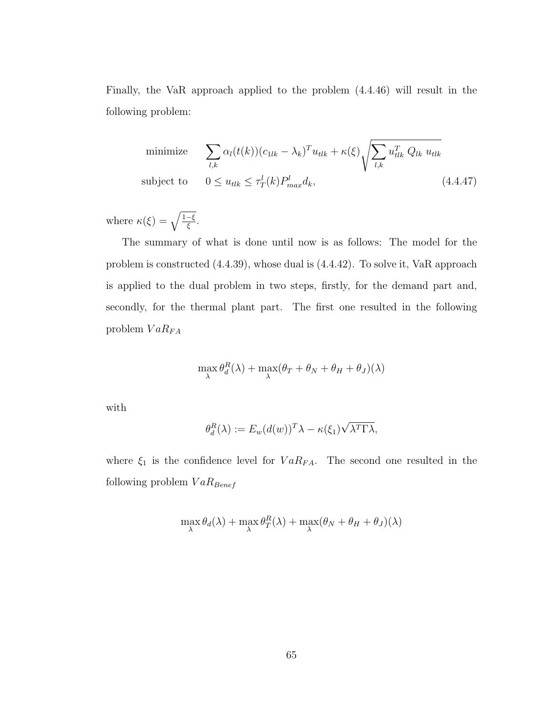Finally, the VaR approach applied to the problem (4.4.46) will result in the following problem:

minimize 
$$
\sum_{l,k} \alpha_l(t(k))(c_{1lk} - \lambda_k)^T u_{tlk} + \kappa(\xi) \sqrt{\sum_{l,k} u_{tlk}^T Q_{lk} u_{tlk}}
$$
  
subject to 
$$
0 \le u_{tlk} \le \tau_T^l(k) P_{max}^l d_k,
$$
 (4.4.47)

where  $\kappa(\xi) = \sqrt{\frac{1-\xi}{\xi}}$ .

The summary of what is done until now is as follows: The model for the problem is constructed (4.4.39), whose dual is (4.4.42). To solve it, VaR approach is applied to the dual problem in two steps, firstly, for the demand part and, secondly, for the thermal plant part. The first one resulted in the following problem  $VaR_{FA}$ 

$$
\max_{\lambda} \theta_d^R(\lambda) + \max_{\lambda} (\theta_T + \theta_N + \theta_H + \theta_J)(\lambda)
$$

with

$$
\theta_d^R(\lambda) := E_w(d(w))^T \lambda - \kappa(\xi_1) \sqrt{\lambda^T \Gamma \lambda},
$$

where  $\xi_1$  is the confidence level for  $VaR_{FA}$ . The second one resulted in the following problem  $VaR_{Benerf}$ 

$$
\max_{\lambda} \theta_d(\lambda) + \max_{\lambda} \theta_T^R(\lambda) + \max_{\lambda} (\theta_N + \theta_H + \theta_J)(\lambda)
$$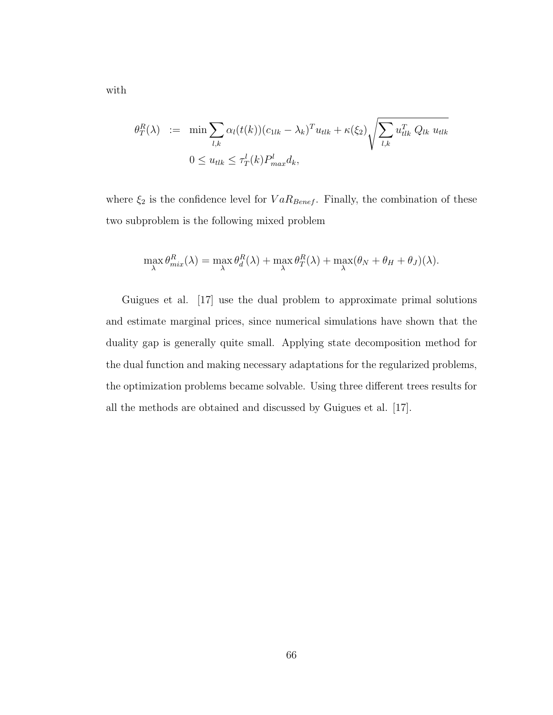$$
\theta_T^R(\lambda) := \min \sum_{l,k} \alpha_l(t(k))(c_{1lk} - \lambda_k)^T u_{tlk} + \kappa(\xi_2) \sqrt{\sum_{l,k} u_{tlk}^T Q_{lk} u_{tlk}}
$$
  

$$
0 \le u_{tlk} \le \tau_T^l(k) P_{max}^l d_k,
$$

where  $\xi_2$  is the confidence level for  $VaR_{Benerf}$ . Finally, the combination of these two subproblem is the following mixed problem

$$
\max_{\lambda} \theta_{mix}^R(\lambda) = \max_{\lambda} \theta_d^R(\lambda) + \max_{\lambda} \theta_T^R(\lambda) + \max_{\lambda} (\theta_N + \theta_H + \theta_J)(\lambda).
$$

Guigues et al. [17] use the dual problem to approximate primal solutions and estimate marginal prices, since numerical simulations have shown that the duality gap is generally quite small. Applying state decomposition method for the dual function and making necessary adaptations for the regularized problems, the optimization problems became solvable. Using three different trees results for all the methods are obtained and discussed by Guigues et al. [17].

with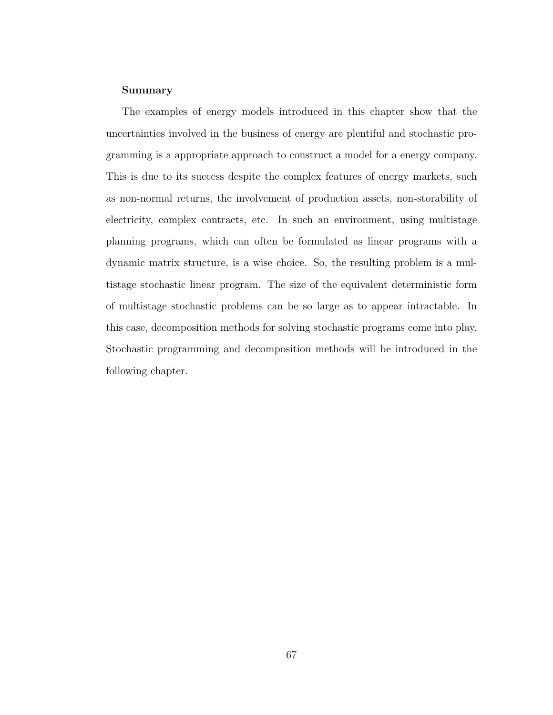#### Summary

The examples of energy models introduced in this chapter show that the uncertainties involved in the business of energy are plentiful and stochastic programming is a appropriate approach to construct a model for a energy company. This is due to its success despite the complex features of energy markets, such as non-normal returns, the involvement of production assets, non-storability of electricity, complex contracts, etc. In such an environment, using multistage planning programs, which can often be formulated as linear programs with a dynamic matrix structure, is a wise choice. So, the resulting problem is a multistage stochastic linear program. The size of the equivalent deterministic form of multistage stochastic problems can be so large as to appear intractable. In this case, decomposition methods for solving stochastic programs come into play. Stochastic programming and decomposition methods will be introduced in the following chapter.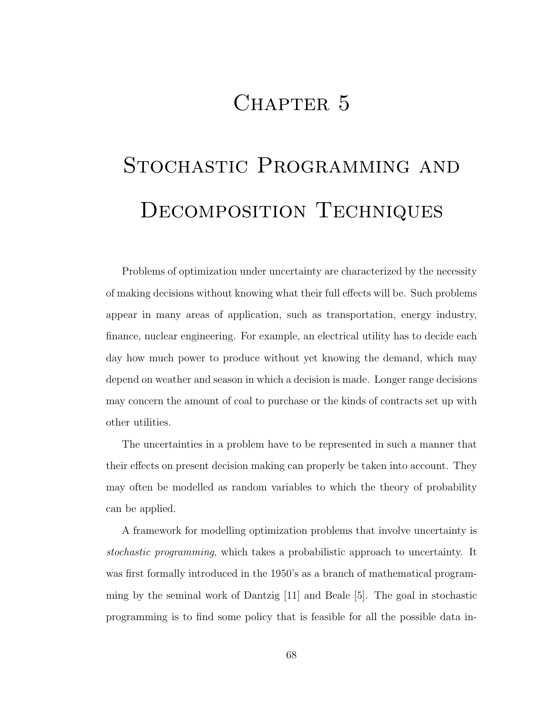# CHAPTER 5

# STOCHASTIC PROGRAMMING AND Decomposition Techniques

Problems of optimization under uncertainty are characterized by the necessity of making decisions without knowing what their full effects will be. Such problems appear in many areas of application, such as transportation, energy industry, finance, nuclear engineering. For example, an electrical utility has to decide each day how much power to produce without yet knowing the demand, which may depend on weather and season in which a decision is made. Longer range decisions may concern the amount of coal to purchase or the kinds of contracts set up with other utilities.

The uncertainties in a problem have to be represented in such a manner that their effects on present decision making can properly be taken into account. They may often be modelled as random variables to which the theory of probability can be applied.

A framework for modelling optimization problems that involve uncertainty is stochastic programming, which takes a probabilistic approach to uncertainty. It was first formally introduced in the 1950's as a branch of mathematical programming by the seminal work of Dantzig [11] and Beale [5]. The goal in stochastic programming is to find some policy that is feasible for all the possible data in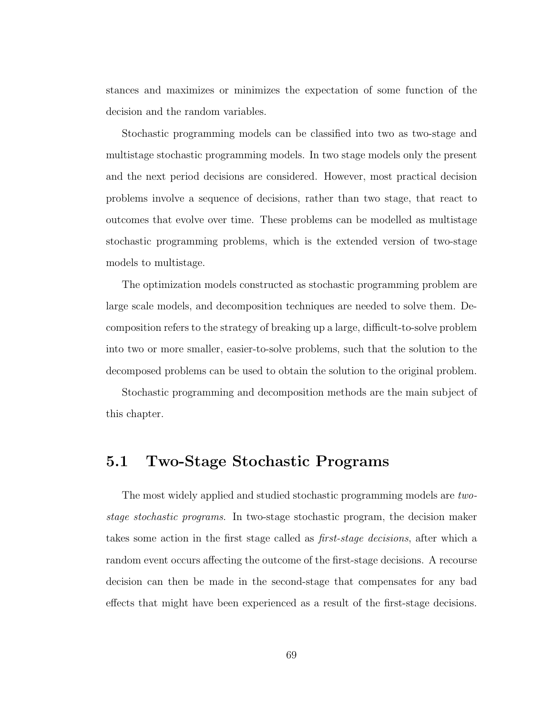stances and maximizes or minimizes the expectation of some function of the decision and the random variables.

Stochastic programming models can be classified into two as two-stage and multistage stochastic programming models. In two stage models only the present and the next period decisions are considered. However, most practical decision problems involve a sequence of decisions, rather than two stage, that react to outcomes that evolve over time. These problems can be modelled as multistage stochastic programming problems, which is the extended version of two-stage models to multistage.

The optimization models constructed as stochastic programming problem are large scale models, and decomposition techniques are needed to solve them. Decomposition refers to the strategy of breaking up a large, difficult-to-solve problem into two or more smaller, easier-to-solve problems, such that the solution to the decomposed problems can be used to obtain the solution to the original problem.

Stochastic programming and decomposition methods are the main subject of this chapter.

## 5.1 Two-Stage Stochastic Programs

The most widely applied and studied stochastic programming models are twostage stochastic programs. In two-stage stochastic program, the decision maker takes some action in the first stage called as first-stage decisions, after which a random event occurs affecting the outcome of the first-stage decisions. A recourse decision can then be made in the second-stage that compensates for any bad effects that might have been experienced as a result of the first-stage decisions.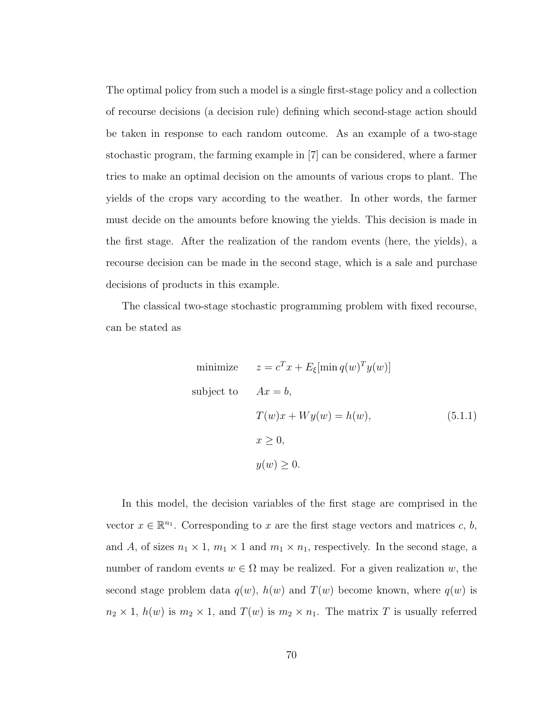The optimal policy from such a model is a single first-stage policy and a collection of recourse decisions (a decision rule) defining which second-stage action should be taken in response to each random outcome. As an example of a two-stage stochastic program, the farming example in [7] can be considered, where a farmer tries to make an optimal decision on the amounts of various crops to plant. The yields of the crops vary according to the weather. In other words, the farmer must decide on the amounts before knowing the yields. This decision is made in the first stage. After the realization of the random events (here, the yields), a recourse decision can be made in the second stage, which is a sale and purchase decisions of products in this example.

The classical two-stage stochastic programming problem with fixed recourse, can be stated as

minimize 
$$
z = c^T x + E_{\xi}[\min q(w)^T y(w)]
$$
  
\nsubject to  $Ax = b$ ,  
\n $T(w)x + Wy(w) = h(w)$ , (5.1.1)  
\n $x \ge 0$ ,  
\n $y(w) \ge 0$ .

In this model, the decision variables of the first stage are comprised in the vector  $x \in \mathbb{R}^{n_1}$ . Corresponding to x are the first stage vectors and matrices c, b, and A, of sizes  $n_1 \times 1$ ,  $m_1 \times 1$  and  $m_1 \times n_1$ , respectively. In the second stage, a number of random events  $w \in \Omega$  may be realized. For a given realization w, the second stage problem data  $q(w)$ ,  $h(w)$  and  $T(w)$  become known, where  $q(w)$  is  $n_2 \times 1$ ,  $h(w)$  is  $m_2 \times 1$ , and  $T(w)$  is  $m_2 \times n_1$ . The matrix T is usually referred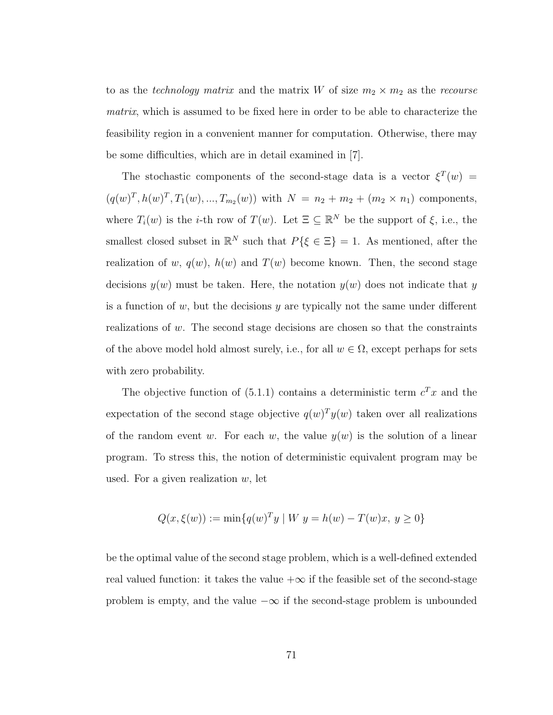to as the *technology matrix* and the matrix W of size  $m_2 \times m_2$  as the *recourse* matrix, which is assumed to be fixed here in order to be able to characterize the feasibility region in a convenient manner for computation. Otherwise, there may be some difficulties, which are in detail examined in [7].

The stochastic components of the second-stage data is a vector  $\xi^{T}(w)$  =  $(q(w)^T, h(w)^T, T_1(w), ..., T_{m_2}(w))$  with  $N = n_2 + m_2 + (m_2 \times n_1)$  components, where  $T_i(w)$  is the *i*-th row of  $T(w)$ . Let  $\Xi \subseteq \mathbb{R}^N$  be the support of  $\xi$ , i.e., the smallest closed subset in  $\mathbb{R}^N$  such that  $P\{\xi \in \Xi\} = 1$ . As mentioned, after the realization of w,  $q(w)$ ,  $h(w)$  and  $T(w)$  become known. Then, the second stage decisions  $y(w)$  must be taken. Here, the notation  $y(w)$  does not indicate that y is a function of  $w$ , but the decisions  $y$  are typically not the same under different realizations of w. The second stage decisions are chosen so that the constraints of the above model hold almost surely, i.e., for all  $w \in \Omega$ , except perhaps for sets with zero probability.

The objective function of  $(5.1.1)$  contains a deterministic term  $c^T x$  and the expectation of the second stage objective  $q(w)^T y(w)$  taken over all realizations of the random event w. For each w, the value  $y(w)$  is the solution of a linear program. To stress this, the notion of deterministic equivalent program may be used. For a given realization  $w$ , let

$$
Q(x, \xi(w)) := \min\{q(w)^T y \mid W \ y = h(w) - T(w)x, \ y \ge 0\}
$$

be the optimal value of the second stage problem, which is a well-defined extended real valued function: it takes the value  $+\infty$  if the feasible set of the second-stage problem is empty, and the value  $-\infty$  if the second-stage problem is unbounded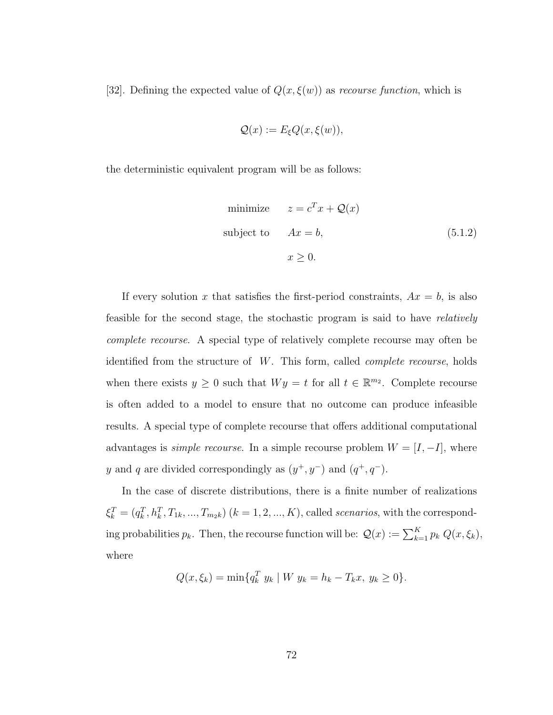[32]. Defining the expected value of  $Q(x, \xi(w))$  as *recourse function*, which is

$$
\mathcal{Q}(x) := E_{\xi} Q(x, \xi(w)),
$$

the deterministic equivalent program will be as follows:

minimize 
$$
z = c^T x + \mathcal{Q}(x)
$$
  
subject to  $Ax = b$ ,  $x \ge 0$ .  $(5.1.2)$ 

If every solution x that satisfies the first-period constraints,  $Ax = b$ , is also feasible for the second stage, the stochastic program is said to have relatively complete recourse. A special type of relatively complete recourse may often be identified from the structure of W. This form, called complete recourse, holds when there exists  $y \geq 0$  such that  $Wy = t$  for all  $t \in \mathbb{R}^{m_2}$ . Complete recourse is often added to a model to ensure that no outcome can produce infeasible results. A special type of complete recourse that offers additional computational advantages is *simple recourse*. In a simple recourse problem  $W = [I, -I]$ , where y and q are divided correspondingly as  $(y^+, y^-)$  and  $(q^+, q^-)$ .

In the case of discrete distributions, there is a finite number of realizations  $\xi_k^T = (q_k^T, h_k^T, T_{1k}, ..., T_{m_2k})$   $(k = 1, 2, ..., K)$ , called *scenarios*, with the corresponding probabilities  $p_k$ . Then, the recourse function will be:  $\mathcal{Q}(x) := \sum_{k=1}^K p_k Q(x, \xi_k)$ , where

$$
Q(x, \xi_k) = \min\{q_k^T y_k \mid W y_k = h_k - T_k x, y_k \ge 0\}.
$$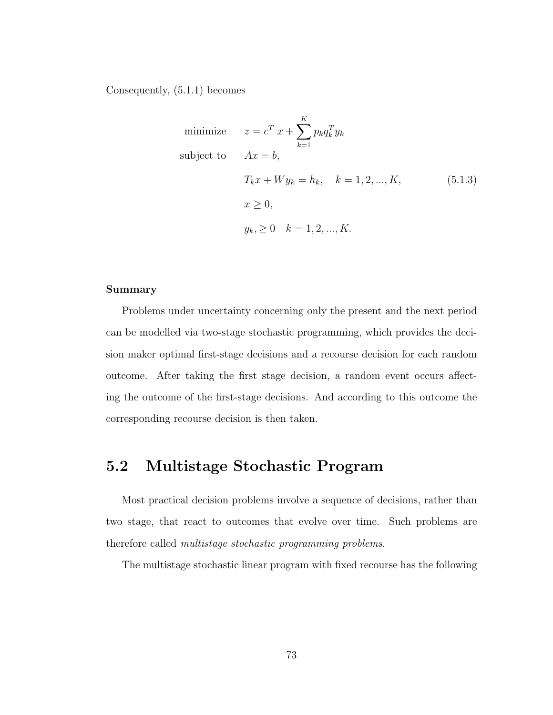Consequently, (5.1.1) becomes

minimize 
$$
z = c^T x + \sum_{k=1}^K p_k q_k^T y_k
$$
  
\nsubject to  $Ax = b$ ,  
\n $T_k x + W y_k = h_k$ ,  $k = 1, 2, ..., K$ ,  
\n $x \ge 0$ ,  
\n $y_k, \ge 0$   $k = 1, 2, ..., K$ .

#### Summary

Problems under uncertainty concerning only the present and the next period can be modelled via two-stage stochastic programming, which provides the decision maker optimal first-stage decisions and a recourse decision for each random outcome. After taking the first stage decision, a random event occurs affecting the outcome of the first-stage decisions. And according to this outcome the corresponding recourse decision is then taken.

# 5.2 Multistage Stochastic Program

Most practical decision problems involve a sequence of decisions, rather than two stage, that react to outcomes that evolve over time. Such problems are therefore called multistage stochastic programming problems.

The multistage stochastic linear program with fixed recourse has the following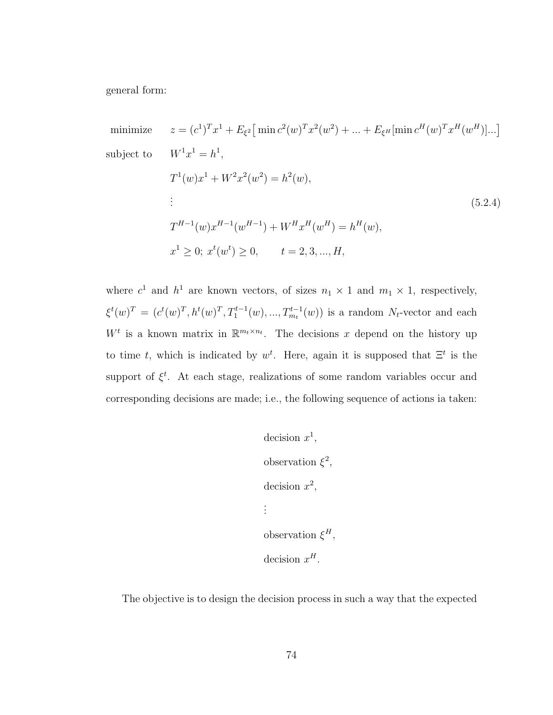general form:

minimize 
$$
z = (c^1)^T x^1 + E_{\xi^2} [\min c^2(w)^T x^2(w^2) + ... + E_{\xi^H} [\min c^H(w)^T x^H(w^H)]...]
$$
  
\nsubject to  $W^1 x^1 = h^1$ ,  
\n $T^1(w)x^1 + W^2 x^2(w^2) = h^2(w)$ ,  
\n:  
\n $T^{H-1}(w)x^{H-1}(w^{H-1}) + W^H x^H(w^H) = h^H(w)$ ,  
\n $x^1 \ge 0; x^t(w^t) \ge 0, \qquad t = 2, 3, ..., H$ ,

where  $c^1$  and  $h^1$  are known vectors, of sizes  $n_1 \times 1$  and  $m_1 \times 1$ , respectively,  $\xi^t(w)^T = (c^t(w)^T, h^t(w)^T, T_1^{t-1}(w), ..., T_{m_t}^{t-1}(w))$  is a random  $N_t$ -vector and each  $W^t$  is a known matrix in  $\mathbb{R}^{m_t \times n_t}$ . The decisions x depend on the history up to time t, which is indicated by  $w^t$ . Here, again it is supposed that  $\Xi^t$  is the support of  $\xi^t$ . At each stage, realizations of some random variables occur and corresponding decisions are made; i.e., the following sequence of actions ia taken:

decision 
$$
x^1
$$
,  
observation  $\xi^2$ ,  
decision  $x^2$ ,  
:  
observation  $\xi^H$ ,  
decision  $x^H$ .

The objective is to design the decision process in such a way that the expected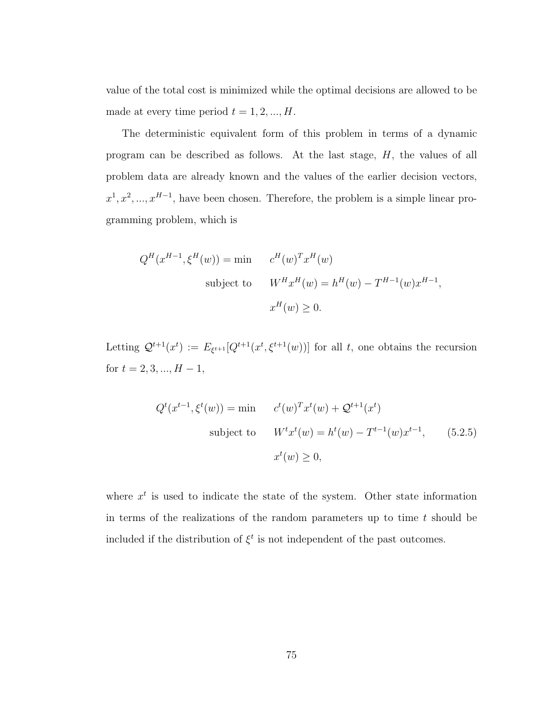value of the total cost is minimized while the optimal decisions are allowed to be made at every time period  $t = 1, 2, ..., H$ .

The deterministic equivalent form of this problem in terms of a dynamic program can be described as follows. At the last stage,  $H$ , the values of all problem data are already known and the values of the earlier decision vectors,  $x^1, x^2, ..., x^{H-1}$ , have been chosen. Therefore, the problem is a simple linear programming problem, which is

$$
Q^{H}(x^{H-1}, \xi^{H}(w)) = \min \t c^{H}(w)^{T}x^{H}(w)
$$
  
subject to 
$$
W^{H}x^{H}(w) = h^{H}(w) - T^{H-1}(w)x^{H-1},
$$

$$
x^{H}(w) \ge 0.
$$

Letting  $\mathcal{Q}^{t+1}(x^t) := E_{\xi^{t+1}}[Q^{t+1}(x^t, \xi^{t+1}(w))]$  for all t, one obtains the recursion for  $t = 2, 3, ..., H - 1$ ,

$$
Q^{t}(x^{t-1}, \xi^{t}(w)) = \min \qquad c^{t}(w)^{T}x^{t}(w) + \mathcal{Q}^{t+1}(x^{t})
$$
\nsubject to\n
$$
W^{t}x^{t}(w) = h^{t}(w) - T^{t-1}(w)x^{t-1}, \qquad (5.2.5)
$$
\n
$$
x^{t}(w) \geq 0,
$$

where  $x<sup>t</sup>$  is used to indicate the state of the system. Other state information in terms of the realizations of the random parameters up to time  $t$  should be included if the distribution of  $\xi^t$  is not independent of the past outcomes.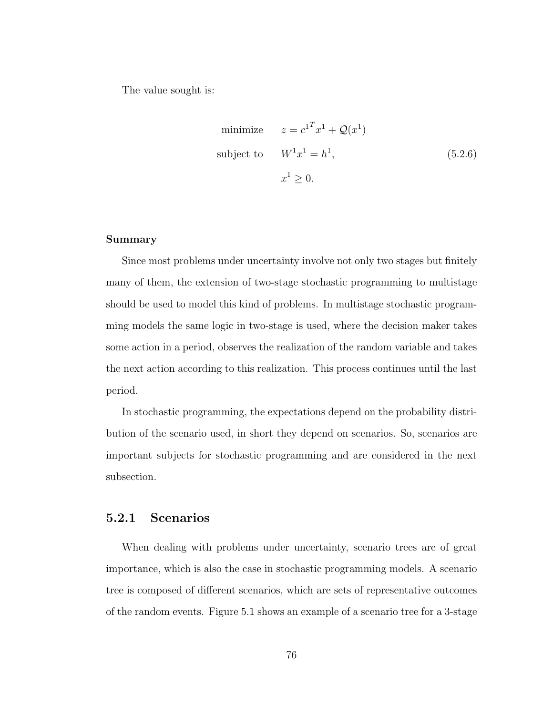The value sought is:

minimize 
$$
z = c^{1T}x^1 + \mathcal{Q}(x^1)
$$
  
\nsubject to  $W^1x^1 = h^1$ , (5.2.6)  
\n $x^1 \ge 0$ .

#### Summary

Since most problems under uncertainty involve not only two stages but finitely many of them, the extension of two-stage stochastic programming to multistage should be used to model this kind of problems. In multistage stochastic programming models the same logic in two-stage is used, where the decision maker takes some action in a period, observes the realization of the random variable and takes the next action according to this realization. This process continues until the last period.

In stochastic programming, the expectations depend on the probability distribution of the scenario used, in short they depend on scenarios. So, scenarios are important subjects for stochastic programming and are considered in the next subsection.

#### 5.2.1 Scenarios

When dealing with problems under uncertainty, scenario trees are of great importance, which is also the case in stochastic programming models. A scenario tree is composed of different scenarios, which are sets of representative outcomes of the random events. Figure 5.1 shows an example of a scenario tree for a 3-stage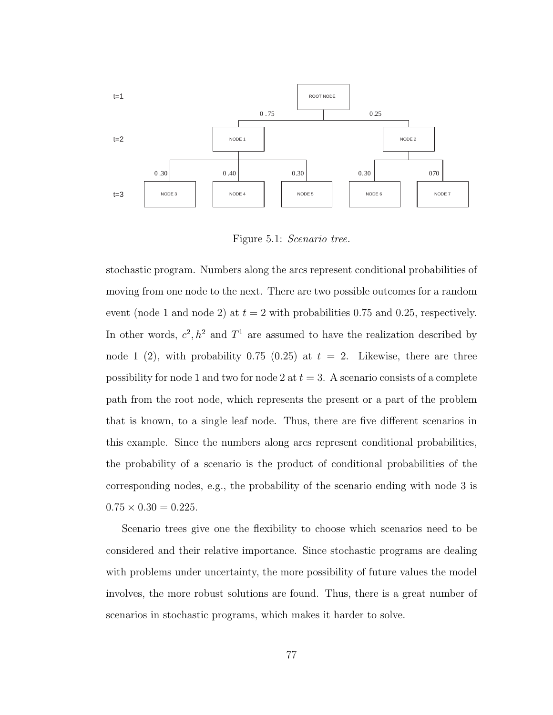

Figure 5.1: Scenario tree.

stochastic program. Numbers along the arcs represent conditional probabilities of moving from one node to the next. There are two possible outcomes for a random event (node 1 and node 2) at  $t = 2$  with probabilities 0.75 and 0.25, respectively. In other words,  $c^2$ ,  $h^2$  and  $T^1$  are assumed to have the realization described by node 1 (2), with probability 0.75 (0.25) at  $t = 2$ . Likewise, there are three possibility for node 1 and two for node 2 at  $t = 3$ . A scenario consists of a complete path from the root node, which represents the present or a part of the problem that is known, to a single leaf node. Thus, there are five different scenarios in this example. Since the numbers along arcs represent conditional probabilities, the probability of a scenario is the product of conditional probabilities of the corresponding nodes, e.g., the probability of the scenario ending with node 3 is  $0.75 \times 0.30 = 0.225$ .

Scenario trees give one the flexibility to choose which scenarios need to be considered and their relative importance. Since stochastic programs are dealing with problems under uncertainty, the more possibility of future values the model involves, the more robust solutions are found. Thus, there is a great number of scenarios in stochastic programs, which makes it harder to solve.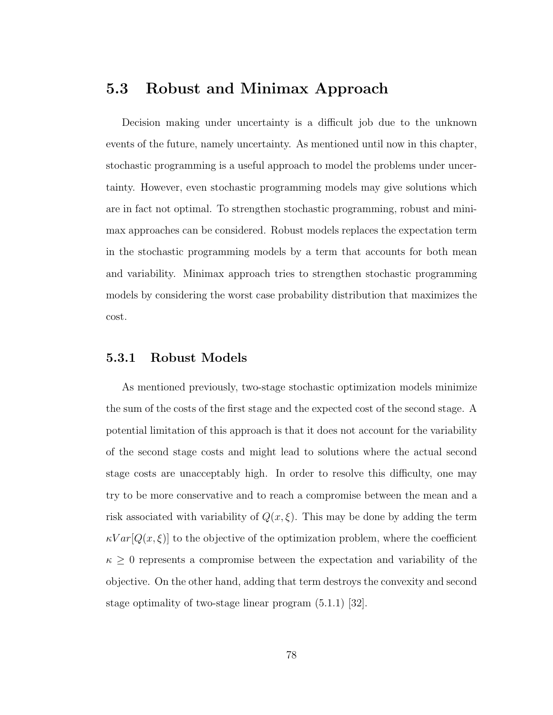# 5.3 Robust and Minimax Approach

Decision making under uncertainty is a difficult job due to the unknown events of the future, namely uncertainty. As mentioned until now in this chapter, stochastic programming is a useful approach to model the problems under uncertainty. However, even stochastic programming models may give solutions which are in fact not optimal. To strengthen stochastic programming, robust and minimax approaches can be considered. Robust models replaces the expectation term in the stochastic programming models by a term that accounts for both mean and variability. Minimax approach tries to strengthen stochastic programming models by considering the worst case probability distribution that maximizes the cost.

#### 5.3.1 Robust Models

As mentioned previously, two-stage stochastic optimization models minimize the sum of the costs of the first stage and the expected cost of the second stage. A potential limitation of this approach is that it does not account for the variability of the second stage costs and might lead to solutions where the actual second stage costs are unacceptably high. In order to resolve this difficulty, one may try to be more conservative and to reach a compromise between the mean and a risk associated with variability of  $Q(x,\xi)$ . This may be done by adding the term  $\kappa Var[Q(x,\xi)]$  to the objective of the optimization problem, where the coefficient  $\kappa \geq 0$  represents a compromise between the expectation and variability of the objective. On the other hand, adding that term destroys the convexity and second stage optimality of two-stage linear program (5.1.1) [32].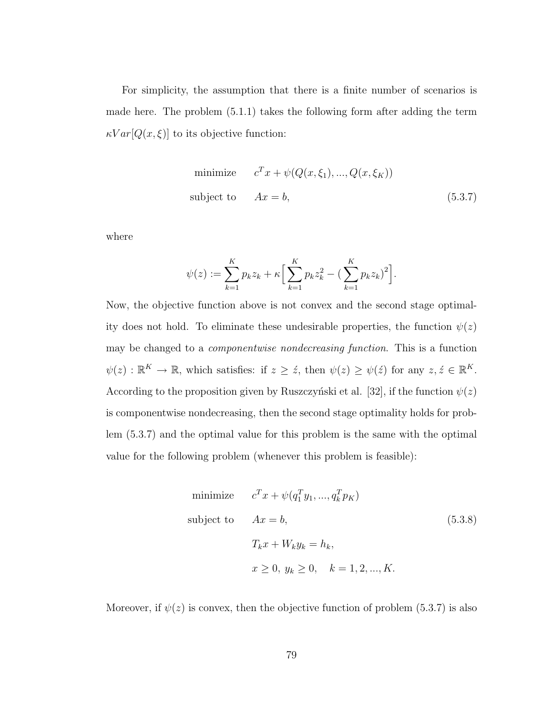For simplicity, the assumption that there is a finite number of scenarios is made here. The problem (5.1.1) takes the following form after adding the term  $\kappa Var[Q(x,\xi)]$  to its objective function:

minimize 
$$
c^T x + \psi(Q(x, \xi_1), ..., Q(x, \xi_K))
$$
  
subject to  $Ax = b$ , (5.3.7)

where

$$
\psi(z) := \sum_{k=1}^{K} p_k z_k + \kappa \Big[ \sum_{k=1}^{K} p_k z_k^2 - \big( \sum_{k=1}^{K} p_k z_k \big)^2 \Big].
$$

Now, the objective function above is not convex and the second stage optimality does not hold. To eliminate these undesirable properties, the function  $\psi(z)$ may be changed to a componentwise nondecreasing function. This is a function  $\psi(z) : \mathbb{R}^K \to \mathbb{R}$ , which satisfies: if  $z \geq \dot{z}$ , then  $\psi(z) \geq \psi(\dot{z})$  for any  $z, \dot{z} \in \mathbb{R}^K$ . According to the proposition given by Ruszczyński et al. [32], if the function  $\psi(z)$ is componentwise nondecreasing, then the second stage optimality holds for problem (5.3.7) and the optimal value for this problem is the same with the optimal value for the following problem (whenever this problem is feasible):

minimize 
$$
c^T x + \psi(q_1^T y_1, ..., q_k^T p_K)
$$
  
\nsubject to  $Ax = b$ ,  $(5.3.8)$   
\n $T_k x + W_k y_k = h_k$ ,  
\n $x \ge 0, y_k \ge 0, k = 1, 2, ..., K$ .

Moreover, if  $\psi(z)$  is convex, then the objective function of problem (5.3.7) is also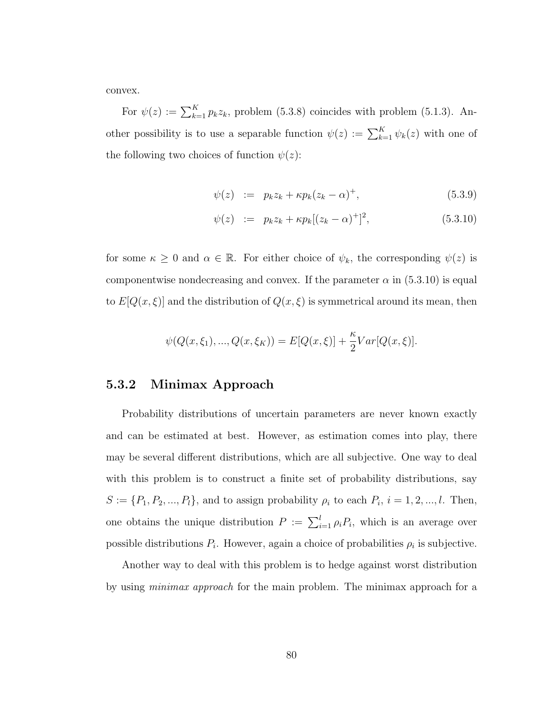convex.

For  $\psi(z) := \sum_{k=1}^{K} p_k z_k$ , problem (5.3.8) coincides with problem (5.1.3). Another possibility is to use a separable function  $\psi(z) := \sum_{k=1}^{K} \psi_k(z)$  with one of the following two choices of function  $\psi(z)$ :

$$
\psi(z) := p_k z_k + \kappa p_k (z_k - \alpha)^+, \tag{5.3.9}
$$

$$
\psi(z) := p_k z_k + \kappa p_k [(z_k - \alpha)^+]^2, \tag{5.3.10}
$$

for some  $\kappa \geq 0$  and  $\alpha \in \mathbb{R}$ . For either choice of  $\psi_k$ , the corresponding  $\psi(z)$  is componentwise nondecreasing and convex. If the parameter  $\alpha$  in (5.3.10) is equal to  $E[Q(x,\xi)]$  and the distribution of  $Q(x,\xi)$  is symmetrical around its mean, then

$$
\psi(Q(x,\xi_1),...,Q(x,\xi_K)) = E[Q(x,\xi)] + \frac{\kappa}{2}Var[Q(x,\xi)].
$$

#### 5.3.2 Minimax Approach

Probability distributions of uncertain parameters are never known exactly and can be estimated at best. However, as estimation comes into play, there may be several different distributions, which are all subjective. One way to deal with this problem is to construct a finite set of probability distributions, say  $S := \{P_1, P_2, ..., P_l\}$ , and to assign probability  $\rho_i$  to each  $P_i$ ,  $i = 1, 2, ..., l$ . Then, one obtains the unique distribution  $P := \sum_{i=1}^{l} \rho_i P_i$ , which is an average over possible distributions  $P_i$ . However, again a choice of probabilities  $\rho_i$  is subjective.

Another way to deal with this problem is to hedge against worst distribution by using *minimax approach* for the main problem. The minimax approach for a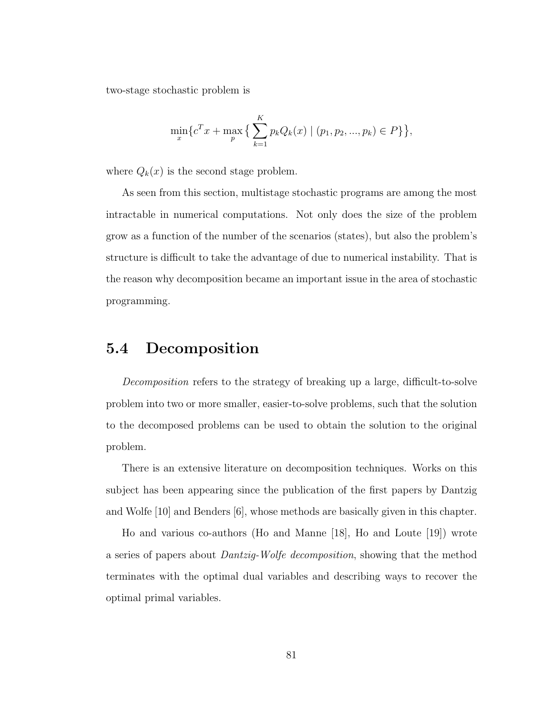two-stage stochastic problem is

$$
\min_{x} \{c^T x + \max_{p} \{ \sum_{k=1}^{K} p_k Q_k(x) \mid (p_1, p_2, ..., p_k) \in P \} \},
$$

where  $Q_k(x)$  is the second stage problem.

As seen from this section, multistage stochastic programs are among the most intractable in numerical computations. Not only does the size of the problem grow as a function of the number of the scenarios (states), but also the problem's structure is difficult to take the advantage of due to numerical instability. That is the reason why decomposition became an important issue in the area of stochastic programming.

## 5.4 Decomposition

Decomposition refers to the strategy of breaking up a large, difficult-to-solve problem into two or more smaller, easier-to-solve problems, such that the solution to the decomposed problems can be used to obtain the solution to the original problem.

There is an extensive literature on decomposition techniques. Works on this subject has been appearing since the publication of the first papers by Dantzig and Wolfe [10] and Benders [6], whose methods are basically given in this chapter.

Ho and various co-authors (Ho and Manne [18], Ho and Loute [19]) wrote a series of papers about Dantzig-Wolfe decomposition, showing that the method terminates with the optimal dual variables and describing ways to recover the optimal primal variables.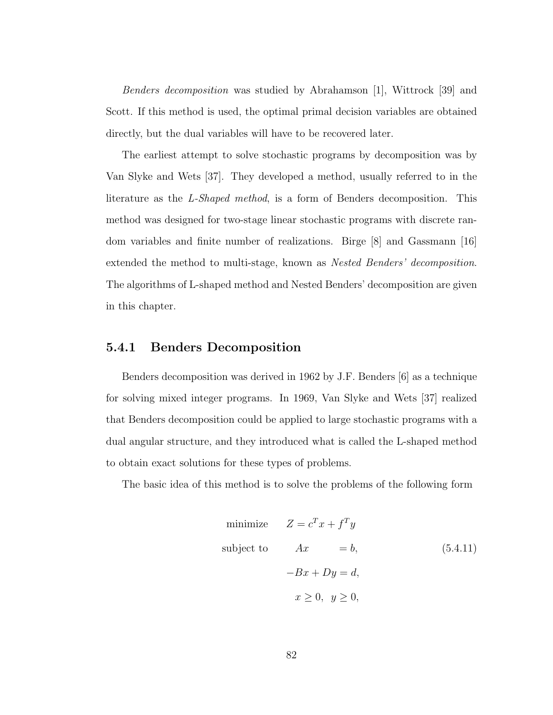Benders decomposition was studied by Abrahamson [1], Wittrock [39] and Scott. If this method is used, the optimal primal decision variables are obtained directly, but the dual variables will have to be recovered later.

The earliest attempt to solve stochastic programs by decomposition was by Van Slyke and Wets [37]. They developed a method, usually referred to in the literature as the L-Shaped method, is a form of Benders decomposition. This method was designed for two-stage linear stochastic programs with discrete random variables and finite number of realizations. Birge [8] and Gassmann [16] extended the method to multi-stage, known as Nested Benders' decomposition. The algorithms of L-shaped method and Nested Benders' decomposition are given in this chapter.

#### 5.4.1 Benders Decomposition

Benders decomposition was derived in 1962 by J.F. Benders [6] as a technique for solving mixed integer programs. In 1969, Van Slyke and Wets [37] realized that Benders decomposition could be applied to large stochastic programs with a dual angular structure, and they introduced what is called the L-shaped method to obtain exact solutions for these types of problems.

The basic idea of this method is to solve the problems of the following form

minimize 
$$
Z = c^T x + f^T y
$$
  
\nsubject to  $Ax = b$ , (5.4.11)  
\n $-Bx + Dy = d$ ,  
\n $x \ge 0, y \ge 0$ ,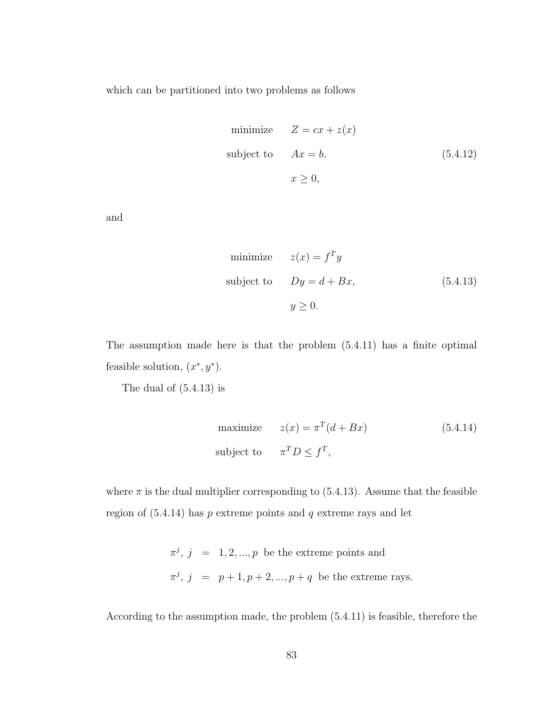which can be partitioned into two problems as follows

minimize 
$$
Z = cx + z(x)
$$
  
subject to  $Ax = b$ ,  $(5.4.12)$   
 $x \ge 0$ ,

and

minimize 
$$
z(x) = f^T y
$$
  
\nsubject to  $Dy = d + Bx$ , (5.4.13)  
\n $y \ge 0$ .

The assumption made here is that the problem (5.4.11) has a finite optimal feasible solution,  $(x^*, y^*)$ .

The dual of (5.4.13) is

maximize 
$$
z(x) = \pi^T (d + Bx)
$$
 (5.4.14)  
subject to  $\pi^T D \le f^T$ ,

where  $\pi$  is the dual multiplier corresponding to (5.4.13). Assume that the feasible region of  $(5.4.14)$  has p extreme points and q extreme rays and let

> $\pi^j$ ,  $j = 1, 2, ..., p$  be the extreme points and  $\pi^j$ ,  $j = p+1, p+2, ..., p+q$  be the extreme rays.

According to the assumption made, the problem (5.4.11) is feasible, therefore the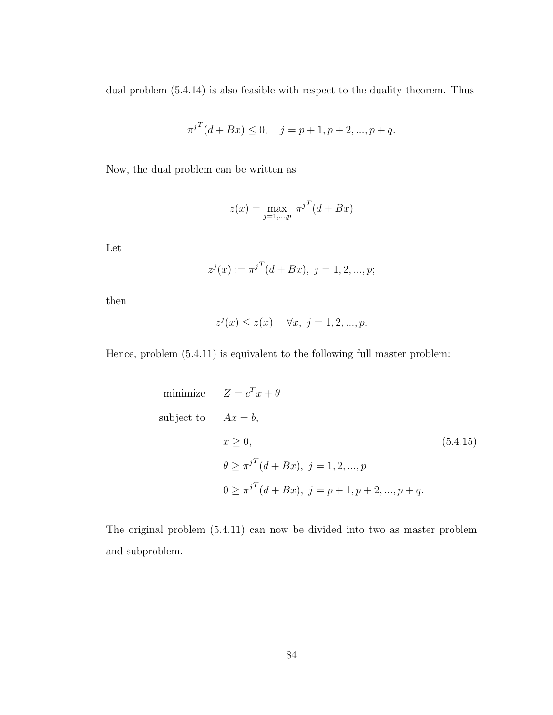dual problem (5.4.14) is also feasible with respect to the duality theorem. Thus

$$
\pi^{jT}(d + Bx) \le 0, \quad j = p + 1, p + 2, ..., p + q.
$$

Now, the dual problem can be written as

$$
z(x) = \max_{j=1,...,p} \pi^{jT} (d + Bx)
$$

Let

$$
z^{j}(x) := \pi^{jT}(d + Bx), \ j = 1, 2, ..., p;
$$

then

$$
z^{j}(x) \le z(x) \quad \forall x, \ j = 1, 2, ..., p.
$$

Hence, problem (5.4.11) is equivalent to the following full master problem:

minimize 
$$
Z = c^T x + \theta
$$
  
\nsubject to  $Ax = b$ ,  
\n $x \ge 0$ , (5.4.15)  
\n $\theta \ge \pi^{jT} (d + Bx)$ ,  $j = 1, 2, ..., p$   
\n $0 \ge \pi^{jT} (d + Bx)$ ,  $j = p + 1, p + 2, ..., p + q$ .

The original problem (5.4.11) can now be divided into two as master problem and subproblem.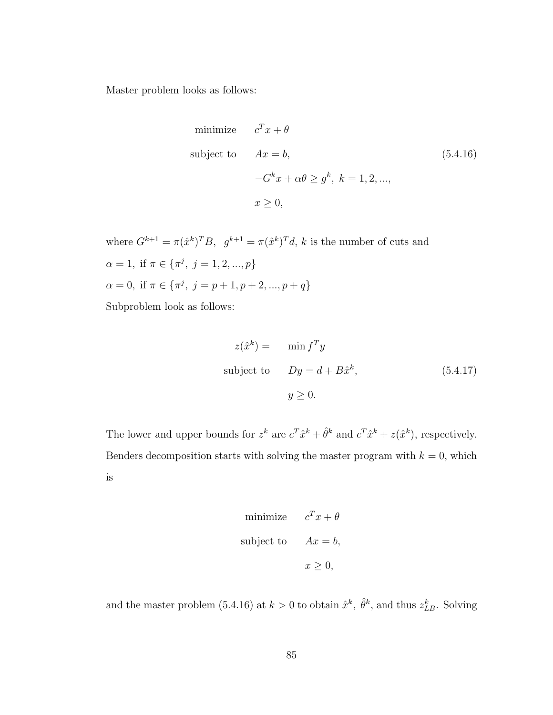Master problem looks as follows:

minimize 
$$
c^T x + \theta
$$
  
\nsubject to  $Ax = b$ , (5.4.16)  
\n $-G^k x + \alpha \theta \ge g^k$ ,  $k = 1, 2, ...,$   
\n $x \ge 0$ ,

where  $G^{k+1} = \pi(\hat{x}^k)^T B$ ,  $g^{k+1} = \pi(\hat{x}^k)^T d$ , k is the number of cuts and  $\alpha = 1$ , if  $\pi \in {\pi^j, j = 1, 2, ..., p}$  $\alpha = 0$ , if  $\pi \in {\pi^j, j = p + 1, p + 2, ..., p + q}$ Subproblem look as follows:

$$
z(\hat{x}^{k}) = \min f^{T} y
$$
  
subject to  $Dy = d + B\hat{x}^{k}$ ,  $(5.4.17)$   
 $y \ge 0$ .

The lower and upper bounds for  $z^k$  are  $c^T \hat{x}^k + \hat{\theta}^k$  and  $c^T \hat{x}^k + z(\hat{x}^k)$ , respectively. Benders decomposition starts with solving the master program with  $k = 0$ , which is

minimize 
$$
c^T x + \theta
$$
  
subject to  $Ax = b$ ,  
 $x \ge 0$ ,

and the master problem (5.4.16) at  $k > 0$  to obtain  $\hat{x}^k$ ,  $\hat{\theta}^k$ , and thus  $z_{LB}^k$ . Solving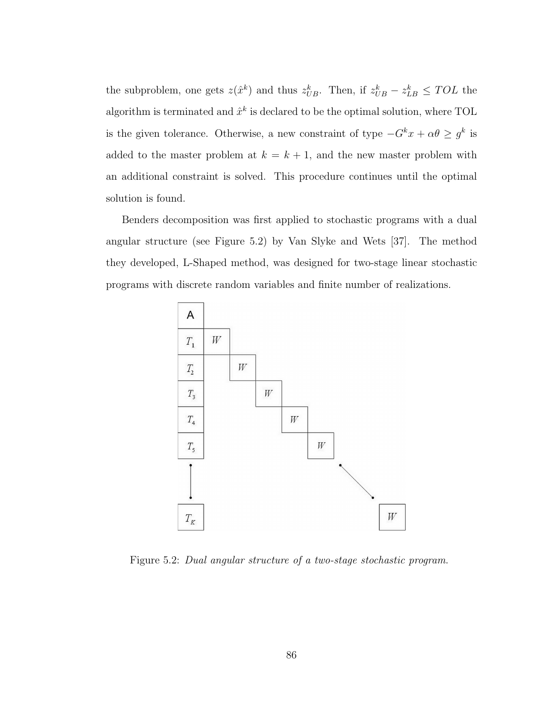the subproblem, one gets  $z(\hat{x}^k)$  and thus  $z_{UB}^k$ . Then, if  $z_{UB}^k - z_{LB}^k \leq TOL$  the algorithm is terminated and  $\hat{x}^k$  is declared to be the optimal solution, where TOL is the given tolerance. Otherwise, a new constraint of type  $-G^k x + \alpha \theta \geq g^k$  is added to the master problem at  $k = k + 1$ , and the new master problem with an additional constraint is solved. This procedure continues until the optimal solution is found.

Benders decomposition was first applied to stochastic programs with a dual angular structure (see Figure 5.2) by Van Slyke and Wets [37]. The method they developed, L-Shaped method, was designed for two-stage linear stochastic programs with discrete random variables and finite number of realizations.



Figure 5.2: Dual angular structure of a two-stage stochastic program.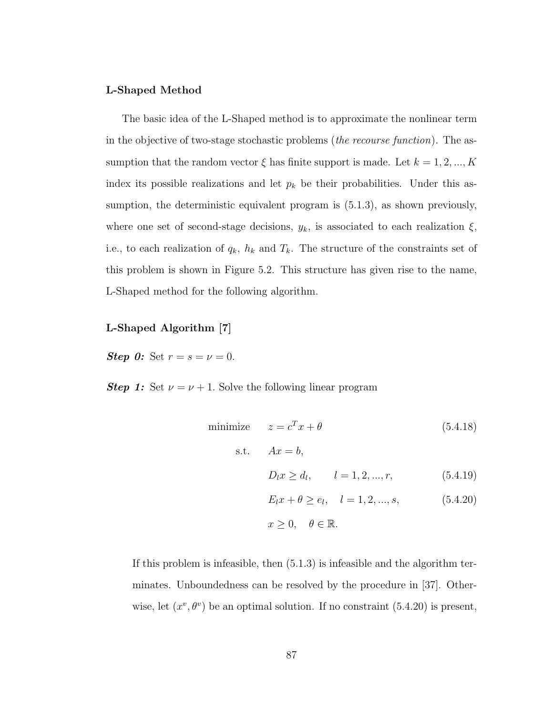#### L-Shaped Method

The basic idea of the L-Shaped method is to approximate the nonlinear term in the objective of two-stage stochastic problems (the recourse function). The assumption that the random vector  $\xi$  has finite support is made. Let  $k = 1, 2, ..., K$ index its possible realizations and let  $p_k$  be their probabilities. Under this assumption, the deterministic equivalent program is  $(5.1.3)$ , as shown previously, where one set of second-stage decisions,  $y_k$ , is associated to each realization  $\xi$ , i.e., to each realization of  $q_k$ ,  $h_k$  and  $T_k$ . The structure of the constraints set of this problem is shown in Figure 5.2. This structure has given rise to the name, L-Shaped method for the following algorithm.

#### L-Shaped Algorithm [7]

**Step 0:** Set  $r = s = v = 0$ .

**Step 1:** Set  $\nu = \nu + 1$ . Solve the following linear program

minimize 
$$
z = c^T x + \theta
$$
 (5.4.18)  
\ns.t.  $Ax = b$ ,  
\n $D_l x \ge d_l$ ,  $l = 1, 2, ..., r$ , (5.4.19)  
\n $E_l x + \theta \ge e_l$ ,  $l = 1, 2, ..., s$ , (5.4.20)  
\n $x \ge 0$ ,  $\theta \in \mathbb{R}$ .

If this problem is infeasible, then (5.1.3) is infeasible and the algorithm terminates. Unboundedness can be resolved by the procedure in [37]. Otherwise, let  $(x^v, \theta^v)$  be an optimal solution. If no constraint (5.4.20) is present,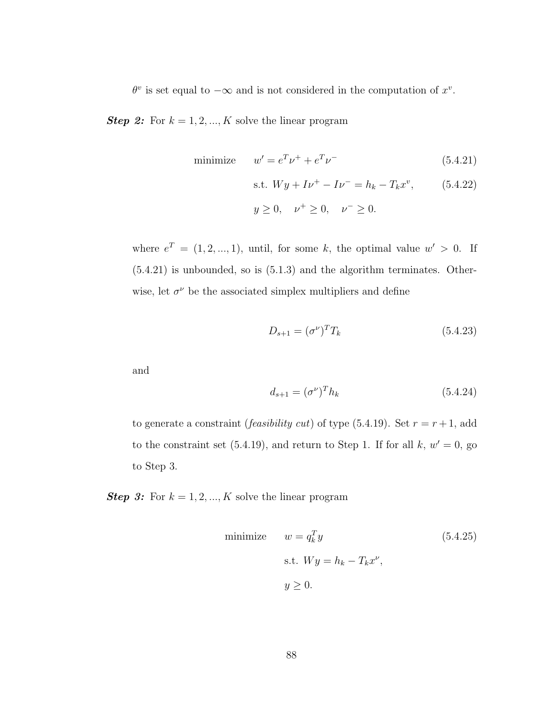$\theta^v$  is set equal to  $-\infty$  and is not considered in the computation of  $x^v$ .

**Step 2:** For  $k = 1, 2, ..., K$  solve the linear program

minimize 
$$
w' = e^T \nu^+ + e^T \nu^-
$$
 (5.4.21)

s.t. 
$$
Wy + Iv^+ - Iv^- = h_k - T_k x^v
$$
, (5.4.22)

$$
y \ge 0
$$
,  $\nu^+ \ge 0$ ,  $\nu^- \ge 0$ .

where  $e^T = (1, 2, ..., 1)$ , until, for some k, the optimal value  $w' > 0$ . If (5.4.21) is unbounded, so is (5.1.3) and the algorithm terminates. Otherwise, let  $\sigma^{\nu}$  be the associated simplex multipliers and define

$$
D_{s+1} = (\sigma^{\nu})^T T_k \tag{5.4.23}
$$

and

$$
d_{s+1} = (\sigma^{\nu})^T h_k \tag{5.4.24}
$$

to generate a constraint (*feasibility cut*) of type (5.4.19). Set  $r = r + 1$ , add to the constraint set  $(5.4.19)$ , and return to Step 1. If for all  $k, w' = 0$ , go to Step 3.

**Step 3:** For  $k = 1, 2, ..., K$  solve the linear program

minimize 
$$
w = q_k^T y
$$
 (5.4.25)  
s.t.  $Wy = h_k - T_k x^{\nu}$ ,  
 $y \ge 0$ .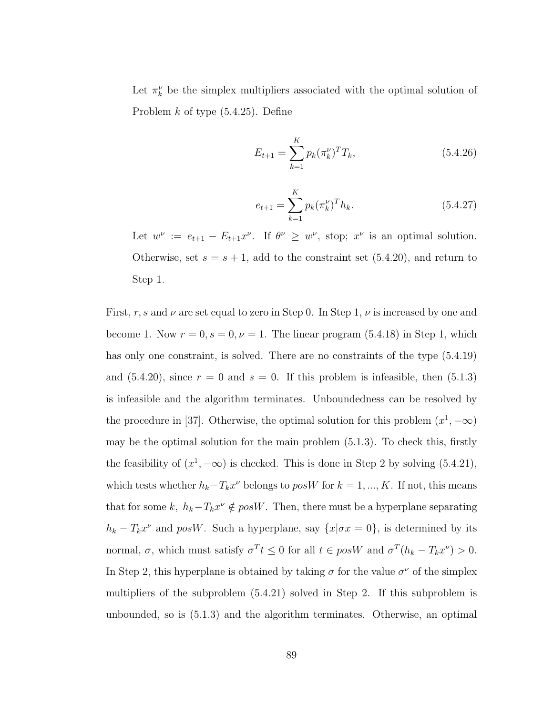Let  $\pi_k^{\nu}$  be the simplex multipliers associated with the optimal solution of Problem  $k$  of type  $(5.4.25)$ . Define

$$
E_{t+1} = \sum_{k=1}^{K} p_k (\pi_k^{\nu})^T T_k,
$$
\n(5.4.26)

$$
e_{t+1} = \sum_{k=1}^{K} p_k (\pi_k^{\nu})^T h_k.
$$
 (5.4.27)

Let  $w^{\nu} := e_{t+1} - E_{t+1}x^{\nu}$ . If  $\theta^{\nu} \geq w^{\nu}$ , stop;  $x^{\nu}$  is an optimal solution. Otherwise, set  $s = s + 1$ , add to the constraint set  $(5.4.20)$ , and return to Step 1.

First, r, s and  $\nu$  are set equal to zero in Step 0. In Step 1,  $\nu$  is increased by one and become 1. Now  $r = 0$ ,  $s = 0$ ,  $\nu = 1$ . The linear program (5.4.18) in Step 1, which has only one constraint, is solved. There are no constraints of the type (5.4.19) and  $(5.4.20)$ , since  $r = 0$  and  $s = 0$ . If this problem is infeasible, then  $(5.1.3)$ is infeasible and the algorithm terminates. Unboundedness can be resolved by the procedure in [37]. Otherwise, the optimal solution for this problem  $(x^1, -\infty)$ may be the optimal solution for the main problem (5.1.3). To check this, firstly the feasibility of  $(x^1, -\infty)$  is checked. This is done in Step 2 by solving (5.4.21), which tests whether  $h_k - T_k x^{\nu}$  belongs to posW for  $k = 1, ..., K$ . If not, this means that for some k,  $h_k - T_k x^{\nu} \notin posW$ . Then, there must be a hyperplane separating  $h_k - T_k x^{\nu}$  and posW. Such a hyperplane, say  $\{x | \sigma x = 0\}$ , is determined by its normal,  $\sigma$ , which must satisfy  $\sigma^T t \leq 0$  for all  $t \in pos W$  and  $\sigma^T(h_k - T_k x^{\nu}) > 0$ . In Step 2, this hyperplane is obtained by taking  $\sigma$  for the value  $\sigma^{\nu}$  of the simplex multipliers of the subproblem (5.4.21) solved in Step 2. If this subproblem is unbounded, so is (5.1.3) and the algorithm terminates. Otherwise, an optimal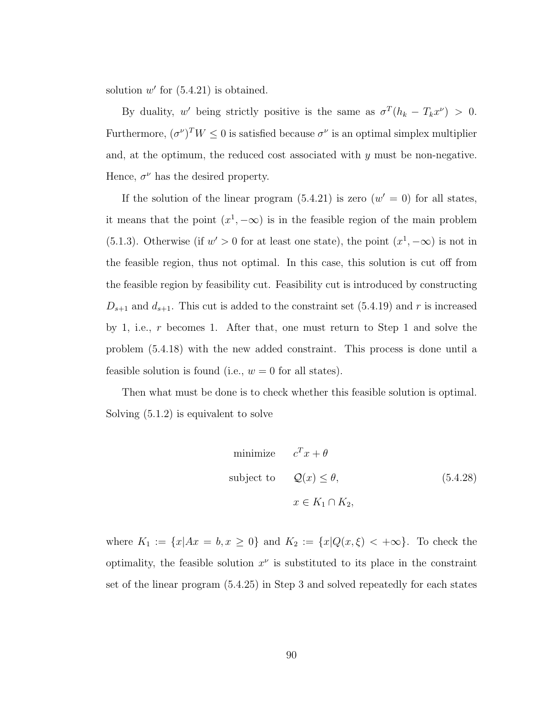solution  $w'$  for  $(5.4.21)$  is obtained.

By duality, w' being strictly positive is the same as  $\sigma^T(h_k - T_k x^{\nu}) > 0$ . Furthermore,  $(\sigma^{\nu})^T W \leq 0$  is satisfied because  $\sigma^{\nu}$  is an optimal simplex multiplier and, at the optimum, the reduced cost associated with  $y$  must be non-negative. Hence,  $\sigma^{\nu}$  has the desired property.

If the solution of the linear program  $(5.4.21)$  is zero  $(w' = 0)$  for all states, it means that the point  $(x^1, -\infty)$  is in the feasible region of the main problem (5.1.3). Otherwise (if  $w' > 0$  for at least one state), the point  $(x^1, -\infty)$  is not in the feasible region, thus not optimal. In this case, this solution is cut off from the feasible region by feasibility cut. Feasibility cut is introduced by constructing  $D_{s+1}$  and  $d_{s+1}$ . This cut is added to the constraint set (5.4.19) and r is increased by 1, i.e.,  $r$  becomes 1. After that, one must return to Step 1 and solve the problem (5.4.18) with the new added constraint. This process is done until a feasible solution is found (i.e.,  $w = 0$  for all states).

Then what must be done is to check whether this feasible solution is optimal. Solving (5.1.2) is equivalent to solve

minimize 
$$
c^T x + \theta
$$
  
\nsubject to  $Q(x) \le \theta$ ,  $(5.4.28)$   
\n $x \in K_1 \cap K_2$ ,

where  $K_1 := \{x | Ax = b, x \ge 0\}$  and  $K_2 := \{x | Q(x, \xi) < +\infty\}$ . To check the optimality, the feasible solution  $x^{\nu}$  is substituted to its place in the constraint set of the linear program (5.4.25) in Step 3 and solved repeatedly for each states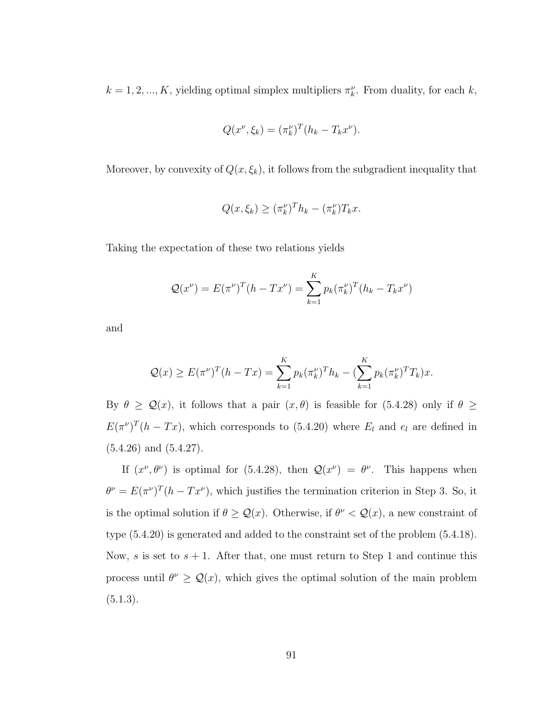$k = 1, 2, ..., K$ , yielding optimal simplex multipliers  $\pi_k^{\nu}$ . From duality, for each k,

$$
Q(x^{\nu}, \xi_k) = (\pi_k^{\nu})^T (h_k - T_k x^{\nu}).
$$

Moreover, by convexity of  $Q(x, \xi_k)$ , it follows from the subgradient inequality that

$$
Q(x,\xi_k) \ge (\pi_k^{\nu})^T h_k - (\pi_k^{\nu}) T_k x.
$$

Taking the expectation of these two relations yields

$$
Q(x^{\nu}) = E(\pi^{\nu})^T (h - Tx^{\nu}) = \sum_{k=1}^{K} p_k (\pi_k^{\nu})^T (h_k - T_k x^{\nu})
$$

and

$$
Q(x) \ge E(\pi^{\nu})^{T} (h - Tx) = \sum_{k=1}^{K} p_k (\pi_k^{\nu})^{T} h_k - (\sum_{k=1}^{K} p_k (\pi_k^{\nu})^{T} T_k) x.
$$

By  $\theta \geq \mathcal{Q}(x)$ , it follows that a pair  $(x, \theta)$  is feasible for (5.4.28) only if  $\theta \geq$  $E(\pi^{\nu})^T(h - Tx)$ , which corresponds to (5.4.20) where  $E_l$  and  $e_l$  are defined in  $(5.4.26)$  and  $(5.4.27)$ .

If  $(x^{\nu}, \theta^{\nu})$  is optimal for (5.4.28), then  $\mathcal{Q}(x^{\nu}) = \theta^{\nu}$ . This happens when  $\theta^{\nu} = E(\pi^{\nu})^T (h - Tx^{\nu})$ , which justifies the termination criterion in Step 3. So, it is the optimal solution if  $\theta \geq \mathcal{Q}(x)$ . Otherwise, if  $\theta^{\nu} < \mathcal{Q}(x)$ , a new constraint of type (5.4.20) is generated and added to the constraint set of the problem (5.4.18). Now, s is set to  $s + 1$ . After that, one must return to Step 1 and continue this process until  $\theta^{\nu} \geq \mathcal{Q}(x)$ , which gives the optimal solution of the main problem  $(5.1.3).$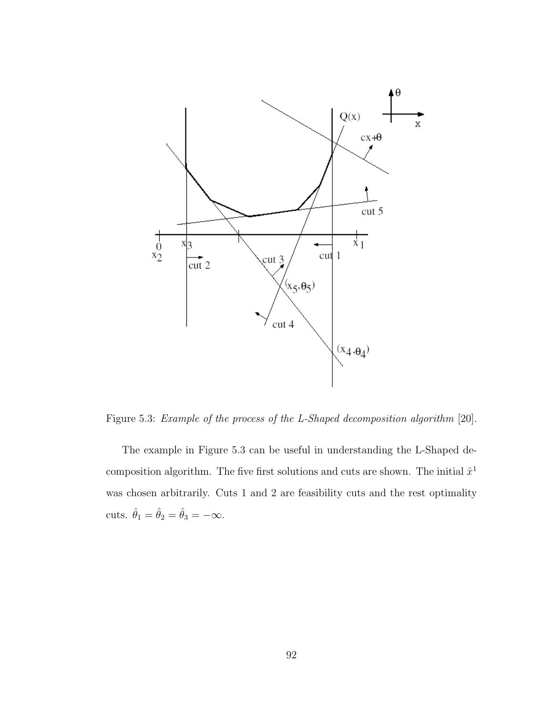

Figure 5.3: Example of the process of the L-Shaped decomposition algorithm [20].

The example in Figure 5.3 can be useful in understanding the L-Shaped decomposition algorithm. The five first solutions and cuts are shown. The initial  $\hat{x}^1$ was chosen arbitrarily. Cuts 1 and 2 are feasibility cuts and the rest optimality cuts.  $\hat{\theta}_1 = \hat{\theta}_2 = \hat{\theta}_3 = -\infty$ .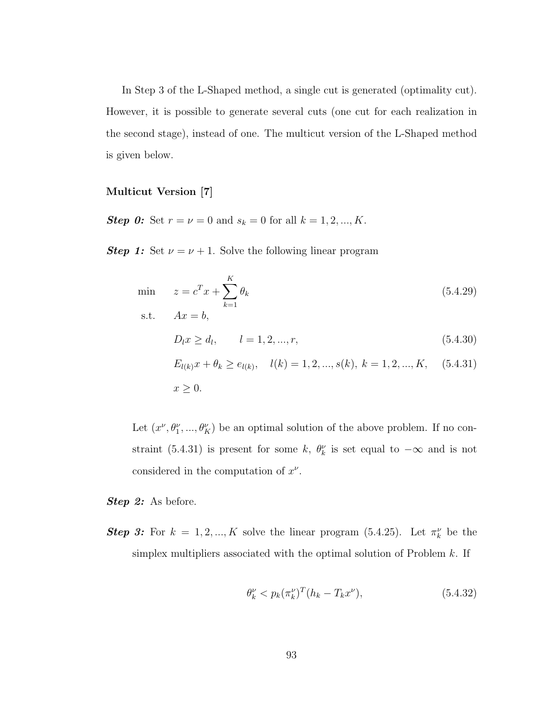In Step 3 of the L-Shaped method, a single cut is generated (optimality cut). However, it is possible to generate several cuts (one cut for each realization in the second stage), instead of one. The multicut version of the L-Shaped method is given below.

#### Multicut Version [7]

**Step 0:** Set  $r = \nu = 0$  and  $s_k = 0$  for all  $k = 1, 2, ..., K$ .

**Step 1:** Set  $\nu = \nu + 1$ . Solve the following linear program

$$
\begin{aligned}\n\min \quad & z = c^T x + \sum_{k=1}^K \theta_k \quad (5.4.29) \\
\text{s.t.} \quad & Ax = b, \\
& D_l x \ge d_l, \quad l = 1, 2, \dots, r, \\
& E_{l(k)} x + \theta_k \ge e_{l(k)}, \quad l(k) = 1, 2, \dots, s(k), \quad k = 1, 2, \dots, K, \quad (5.4.31) \\
& x \ge 0.\n\end{aligned}
$$

Let  $(x^{\nu}, \theta_1^{\nu}, ..., \theta_K^{\nu})$  be an optimal solution of the above problem. If no constraint (5.4.31) is present for some k,  $\theta_k^{\nu}$  is set equal to  $-\infty$  and is not considered in the computation of  $x^{\nu}$ .

Step 2: As before.

**Step 3:** For  $k = 1, 2, ..., K$  solve the linear program (5.4.25). Let  $\pi_k^{\nu}$  be the simplex multipliers associated with the optimal solution of Problem  $k$ . If

$$
\theta_k^{\nu} < p_k(\pi_k^{\nu})^T (h_k - T_k x^{\nu}),\tag{5.4.32}
$$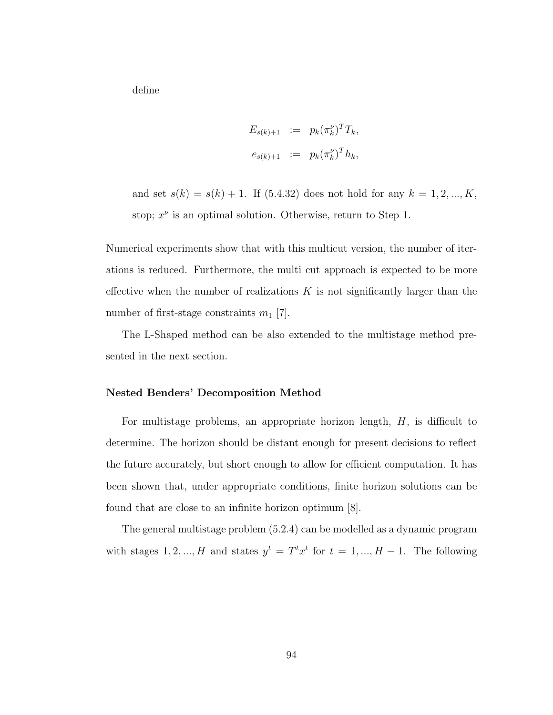define

$$
E_{s(k)+1} := p_k(\pi_k^{\nu})^T T_k,
$$
  

$$
e_{s(k)+1} := p_k(\pi_k^{\nu})^T h_k,
$$

and set  $s(k) = s(k) + 1$ . If (5.4.32) does not hold for any  $k = 1, 2, ..., K$ , stop;  $x^{\nu}$  is an optimal solution. Otherwise, return to Step 1.

Numerical experiments show that with this multicut version, the number of iterations is reduced. Furthermore, the multi cut approach is expected to be more effective when the number of realizations  $K$  is not significantly larger than the number of first-stage constraints  $m_1$  [7].

The L-Shaped method can be also extended to the multistage method presented in the next section.

#### Nested Benders' Decomposition Method

For multistage problems, an appropriate horizon length,  $H$ , is difficult to determine. The horizon should be distant enough for present decisions to reflect the future accurately, but short enough to allow for efficient computation. It has been shown that, under appropriate conditions, finite horizon solutions can be found that are close to an infinite horizon optimum [8].

The general multistage problem (5.2.4) can be modelled as a dynamic program with stages 1, 2, ..., H and states  $y^t = T^t x^t$  for  $t = 1, ..., H - 1$ . The following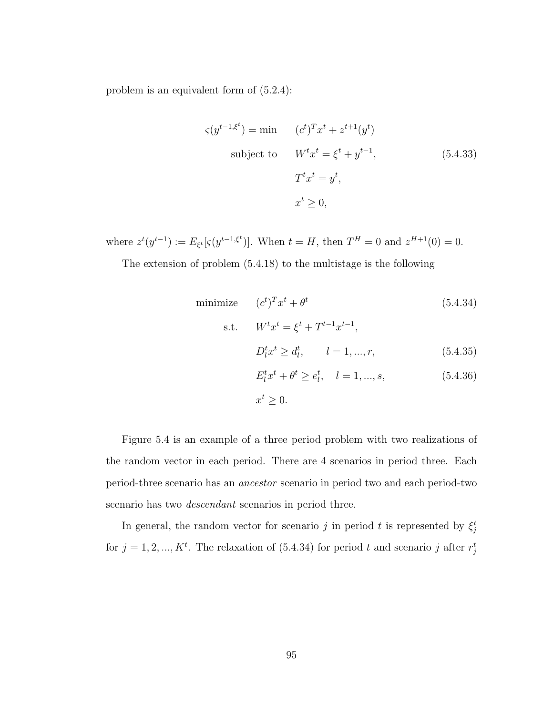problem is an equivalent form of (5.2.4):

$$
\varsigma(y^{t-1,\xi^{t}}) = \min \qquad (c^{t})^{T} x^{t} + z^{t+1}(y^{t})
$$
  
subject to 
$$
W^{t} x^{t} = \xi^{t} + y^{t-1},
$$

$$
T^{t} x^{t} = y^{t},
$$

$$
x^{t} \geq 0,
$$
 (5.4.33)

where  $z^t(y^{t-1}) := E_{\xi^t}[s(y^{t-1,\xi^t})]$ . When  $t = H$ , then  $T^H = 0$  and  $z^{H+1}(0) = 0$ . The extension of problem (5.4.18) to the multistage is the following

minimize 
$$
(c^t)^T x^t + \theta^t
$$
 (5.4.34)  
\ns.t.  $W^t x^t = \xi^t + T^{t-1} x^{t-1}$ ,  
\n $D_l^t x^t \ge d_l^t$ ,  $l = 1, ..., r$ , (5.4.35)  
\n $E_l^t x^t + \theta^t \ge e_l^t$ ,  $l = 1, ..., s$ , (5.4.36)  
\n $x^t \ge 0$ .

Figure 5.4 is an example of a three period problem with two realizations of the random vector in each period. There are 4 scenarios in period three. Each period-three scenario has an ancestor scenario in period two and each period-two scenario has two descendant scenarios in period three.

In general, the random vector for scenario j in period t is represented by  $\xi_j^t$ for  $j = 1, 2, ..., K<sup>t</sup>$ . The relaxation of (5.4.34) for period t and scenario j after  $r_j^t$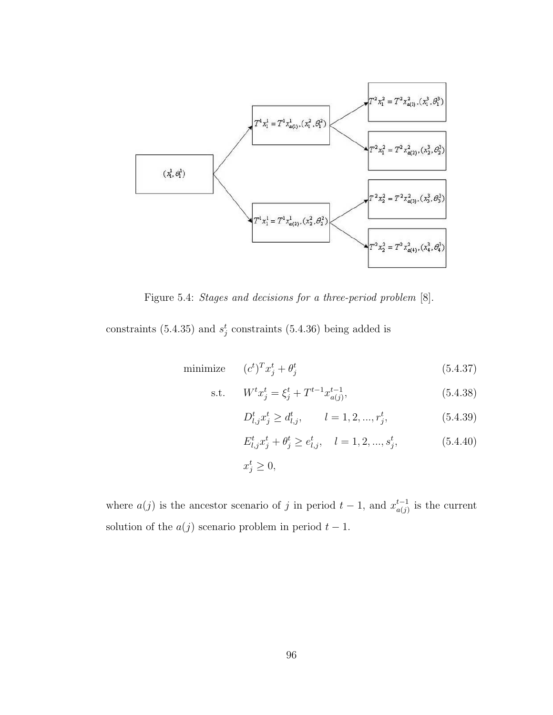

Figure 5.4: Stages and decisions for a three-period problem [8].

constraints (5.4.35) and  $s_j^t$  constraints (5.4.36) being added is

$$
\text{minimize} \qquad (c^t)^T x_j^t + \theta_j^t \tag{5.4.37}
$$

s.t. 
$$
W^t x_j^t = \xi_j^t + T^{t-1} x_{a(j)}^{t-1},
$$
 (5.4.38)

$$
D_{l,j}^{t} x_j^{t} \ge d_{l,j}^{t}, \qquad l = 1, 2, ..., r_j^{t}, \qquad (5.4.39)
$$

$$
E_{l,j}^t x_j^t + \theta_j^t \ge e_{l,j}^t, \quad l = 1, 2, ..., s_j^t,
$$
\n(5.4.40)

$$
x_j^t \ge 0,
$$

where  $a(j)$  is the ancestor scenario of j in period  $t-1$ , and  $x_{a(i)}^{t-1}$  $_{a(j)}^{t-1}$  is the current solution of the  $a(j)$  scenario problem in period  $t - 1$ .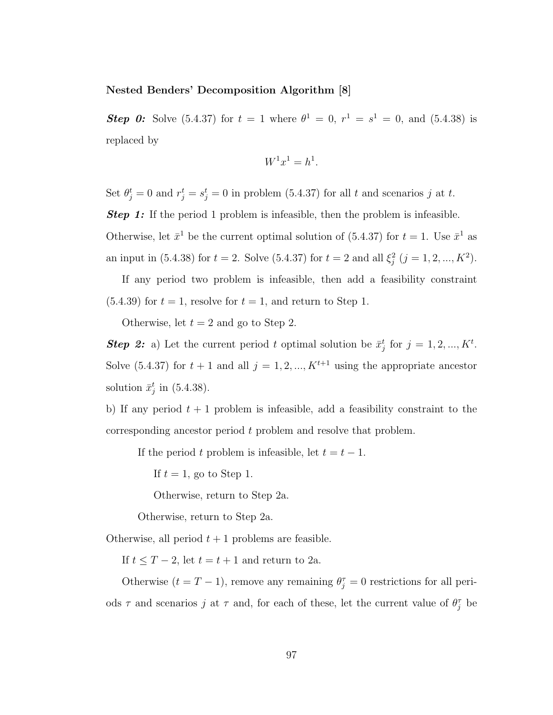#### Nested Benders' Decomposition Algorithm [8]

**Step 0:** Solve (5.4.37) for  $t = 1$  where  $\theta^1 = 0$ ,  $r^1 = s^1 = 0$ , and (5.4.38) is replaced by

$$
W^1 x^1 = h^1.
$$

Set  $\theta_j^t = 0$  and  $r_j^t = s_j^t = 0$  in problem (5.4.37) for all t and scenarios j at t.

**Step 1:** If the period 1 problem is infeasible, then the problem is infeasible.

Otherwise, let  $\bar{x}^1$  be the current optimal solution of (5.4.37) for  $t = 1$ . Use  $\bar{x}^1$  as an input in (5.4.38) for  $t = 2$ . Solve (5.4.37) for  $t = 2$  and all  $\xi_j^2$   $(j = 1, 2, ..., K^2)$ .

If any period two problem is infeasible, then add a feasibility constraint  $(5.4.39)$  for  $t = 1$ , resolve for  $t = 1$ , and return to Step 1.

Otherwise, let  $t = 2$  and go to Step 2.

**Step 2:** a) Let the current period t optimal solution be  $\bar{x}_j^t$  for  $j = 1, 2, ..., K^t$ . Solve (5.4.37) for  $t + 1$  and all  $j = 1, 2, ..., K^{t+1}$  using the appropriate ancestor solution  $\bar{x}_j^t$  in (5.4.38).

b) If any period  $t + 1$  problem is infeasible, add a feasibility constraint to the corresponding ancestor period t problem and resolve that problem.

If the period t problem is infeasible, let  $t = t - 1$ .

If  $t = 1$ , go to Step 1.

Otherwise, return to Step 2a.

Otherwise, return to Step 2a.

Otherwise, all period  $t + 1$  problems are feasible.

If  $t \leq T - 2$ , let  $t = t + 1$  and return to 2a.

Otherwise  $(t = T - 1)$ , remove any remaining  $\theta_j^{\tau} = 0$  restrictions for all periods  $\tau$  and scenarios j at  $\tau$  and, for each of these, let the current value of  $\theta_j^{\tau}$  be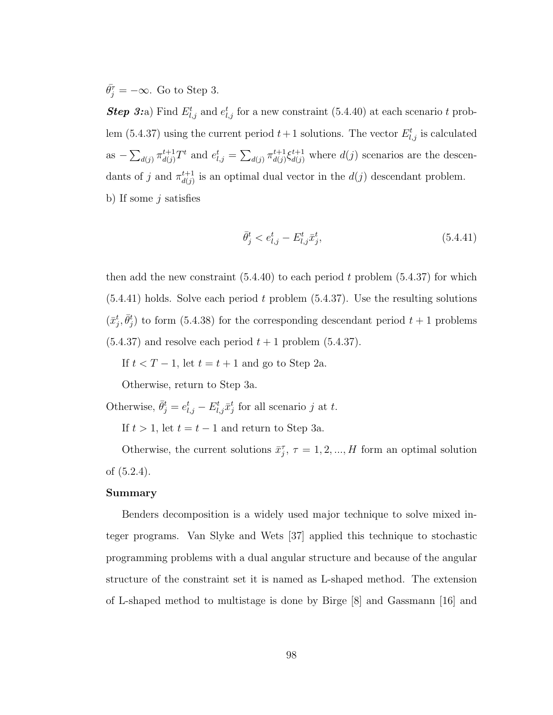$\bar{\theta}_j^{\tau} = -\infty$ . Go to Step 3.

**Step 3:**a) Find  $E_{l,j}^t$  and  $e_{l,j}^t$  for a new constraint (5.4.40) at each scenario t problem (5.4.37) using the current period  $t+1$  solutions. The vector  $E_{l,j}^t$  is calculated as −  $\overline{ }$  $_{d(j)} \pi^{t+1}_{d(j)}$  $t+1$ <sub>d</sub> $(t)$ <sup>t</sup> and  $e_{l,j}$ <sup>t</sup> =  $\overline{ }$  $_{d(j)} \pi^{t+1}_{d(j)}$  $d_{d(j)}^{t+1} \xi_{d(j)}^{t+1}$  where  $d(j)$  scenarios are the descendants of j and  $\pi^{t+1}_{d(i)}$  $d_{d(j)}^{t+1}$  is an optimal dual vector in the  $d(j)$  descendant problem. b) If some  $j$  satisfies

$$
\bar{\theta}_j^t < e_{l,j}^t - E_{l,j}^t \bar{x}_j^t,\tag{5.4.41}
$$

then add the new constraint  $(5.4.40)$  to each period t problem  $(5.4.37)$  for which  $(5.4.41)$  holds. Solve each period t problem  $(5.4.37)$ . Use the resulting solutions  $(\bar{x}_j^t, \bar{\theta}_j^t)$  to form (5.4.38) for the corresponding descendant period  $t+1$  problems  $(5.4.37)$  and resolve each period  $t + 1$  problem  $(5.4.37)$ .

If  $t < T - 1$ , let  $t = t + 1$  and go to Step 2a.

Otherwise, return to Step 3a.

Otherwise,  $\bar{\theta}_{j}^{t} = e_{l,j}^{t} - E_{l,j}^{t} \bar{x}_{j}^{t}$  for all scenario j at t.

If  $t > 1$ , let  $t = t - 1$  and return to Step 3a.

Otherwise, the current solutions  $\bar{x}_j^{\tau}$ ,  $\tau = 1, 2, ..., H$  form an optimal solution of (5.2.4).

#### Summary

Benders decomposition is a widely used major technique to solve mixed integer programs. Van Slyke and Wets [37] applied this technique to stochastic programming problems with a dual angular structure and because of the angular structure of the constraint set it is named as L-shaped method. The extension of L-shaped method to multistage is done by Birge [8] and Gassmann [16] and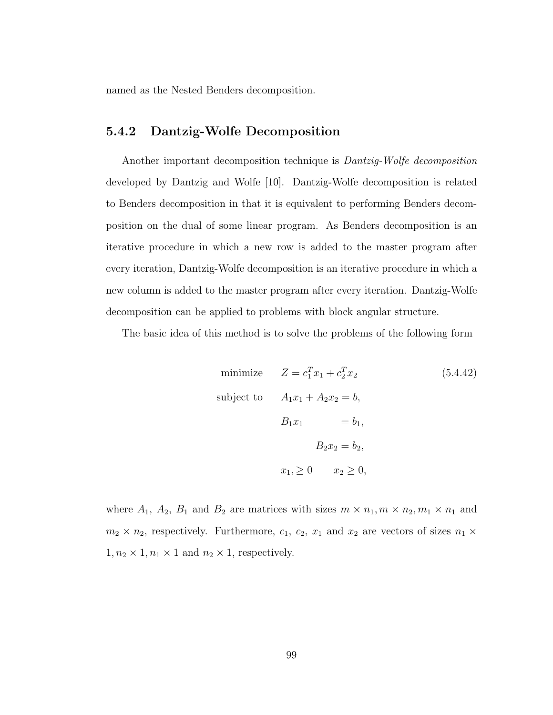named as the Nested Benders decomposition.

### 5.4.2 Dantzig-Wolfe Decomposition

Another important decomposition technique is Dantzig-Wolfe decomposition developed by Dantzig and Wolfe [10]. Dantzig-Wolfe decomposition is related to Benders decomposition in that it is equivalent to performing Benders decomposition on the dual of some linear program. As Benders decomposition is an iterative procedure in which a new row is added to the master program after every iteration, Dantzig-Wolfe decomposition is an iterative procedure in which a new column is added to the master program after every iteration. Dantzig-Wolfe decomposition can be applied to problems with block angular structure.

The basic idea of this method is to solve the problems of the following form

minimize 
$$
Z = c_1^T x_1 + c_2^T x_2
$$
(5.4.42)  
subject to 
$$
A_1 x_1 + A_2 x_2 = b,
$$

$$
B_1 x_1 = b_1,
$$

$$
B_2 x_2 = b_2,
$$

$$
x_1 \ge 0 \qquad x_2 \ge 0,
$$

where  $A_1$ ,  $A_2$ ,  $B_1$  and  $B_2$  are matrices with sizes  $m \times n_1$ ,  $m \times n_2$ ,  $m_1 \times n_1$  and  $m_2 \times n_2$ , respectively. Furthermore,  $c_1$ ,  $c_2$ ,  $x_1$  and  $x_2$  are vectors of sizes  $n_1 \times$  $1, n_2 \times 1, n_1 \times 1$  and  $n_2 \times 1$ , respectively.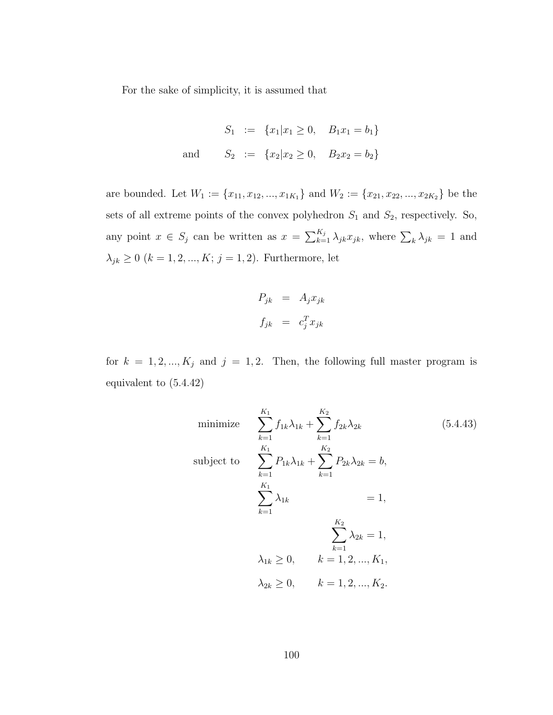For the sake of simplicity, it is assumed that

$$
S_1 := \{x_1 | x_1 \ge 0, B_1 x_1 = b_1\}
$$
  
and 
$$
S_2 := \{x_2 | x_2 \ge 0, B_2 x_2 = b_2\}
$$

are bounded. Let  $W_1 := \{x_{11}, x_{12}, ..., x_{1K_1}\}$  and  $W_2 := \{x_{21}, x_{22}, ..., x_{2K_2}\}$  be the sets of all extreme points of the convex polyhedron  $S_1$  and  $S_2$ , respectively. So, any point  $x \in S_j$  can be written as  $x = \sum_{k=1}^{K_j} \lambda_{jk} x_{jk}$ , where  $\sum_k \lambda_{jk} = 1$  and  $\lambda_{jk}\geq 0$   $(k=1,2,...,K;\,j=1,2).$  Furthermore, let

$$
P_{jk} = A_j x_{jk}
$$
  

$$
f_{jk} = c_j^T x_{jk}
$$

for  $k = 1, 2, ..., K_j$  and  $j = 1, 2$ . Then, the following full master program is equivalent to (5.4.42)

minimize 
$$
\sum_{k=1}^{K_1} f_{1k} \lambda_{1k} + \sum_{k=1}^{K_2} f_{2k} \lambda_{2k}
$$
 (5.4.43)  
\nsubject to 
$$
\sum_{k=1}^{K_1} P_{1k} \lambda_{1k} + \sum_{k=1}^{K_2} P_{2k} \lambda_{2k} = b,
$$

$$
\sum_{k=1}^{K_1} \lambda_{1k} = 1,
$$

$$
\sum_{k=1}^{K_2} \lambda_{2k} = 1,
$$

$$
\lambda_{1k} \ge 0, \qquad k = 1, 2, ..., K_1,
$$

$$
\lambda_{2k} \ge 0, \qquad k = 1, 2, ..., K_2.
$$
 (5.4.43)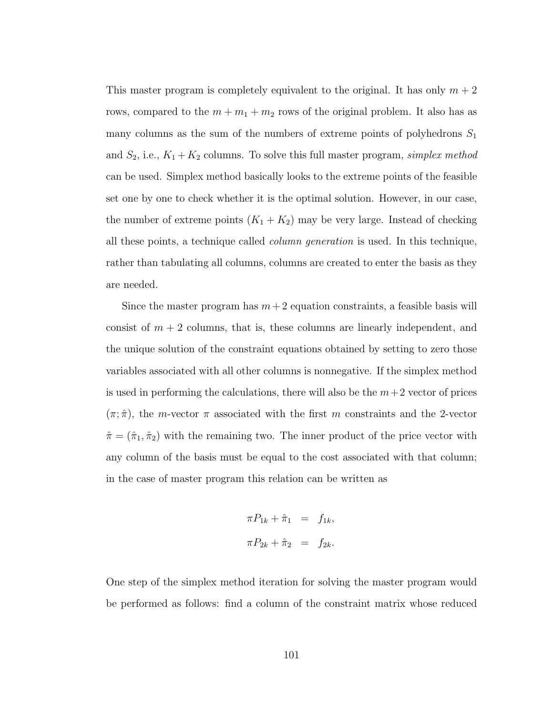This master program is completely equivalent to the original. It has only  $m + 2$ rows, compared to the  $m + m_1 + m_2$  rows of the original problem. It also has as many columns as the sum of the numbers of extreme points of polyhedrons  $S_1$ and  $S_2$ , i.e.,  $K_1 + K_2$  columns. To solve this full master program, simplex method can be used. Simplex method basically looks to the extreme points of the feasible set one by one to check whether it is the optimal solution. However, in our case, the number of extreme points  $(K_1 + K_2)$  may be very large. Instead of checking all these points, a technique called column generation is used. In this technique, rather than tabulating all columns, columns are created to enter the basis as they are needed.

Since the master program has  $m + 2$  equation constraints, a feasible basis will consist of  $m + 2$  columns, that is, these columns are linearly independent, and the unique solution of the constraint equations obtained by setting to zero those variables associated with all other columns is nonnegative. If the simplex method is used in performing the calculations, there will also be the  $m+2$  vector of prices  $(\pi, \hat{\pi})$ , the *m*-vector  $\pi$  associated with the first *m* constraints and the 2-vector  $\hat{\pi} = (\hat{\pi}_1, \hat{\pi}_2)$  with the remaining two. The inner product of the price vector with any column of the basis must be equal to the cost associated with that column; in the case of master program this relation can be written as

$$
\pi P_{1k} + \hat{\pi}_1 = f_{1k},
$$
  

$$
\pi P_{2k} + \hat{\pi}_2 = f_{2k}.
$$

One step of the simplex method iteration for solving the master program would be performed as follows: find a column of the constraint matrix whose reduced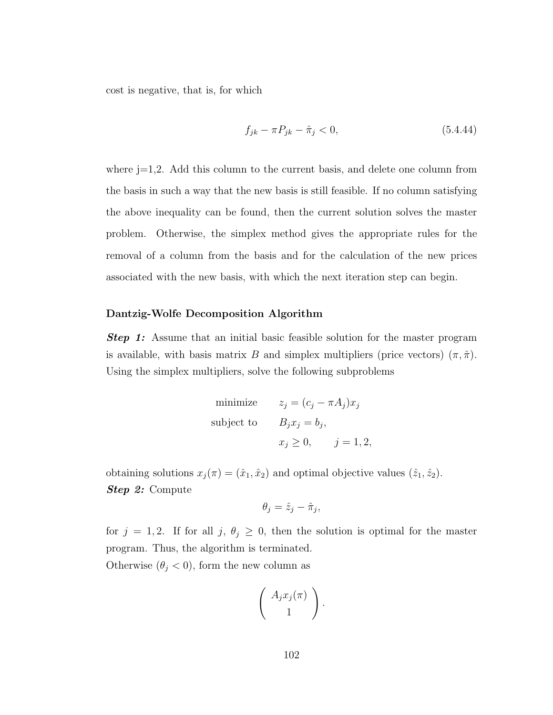cost is negative, that is, for which

$$
f_{jk} - \pi P_{jk} - \hat{\pi}_j < 0,\tag{5.4.44}
$$

where j=1,2. Add this column to the current basis, and delete one column from the basis in such a way that the new basis is still feasible. If no column satisfying the above inequality can be found, then the current solution solves the master problem. Otherwise, the simplex method gives the appropriate rules for the removal of a column from the basis and for the calculation of the new prices associated with the new basis, with which the next iteration step can begin.

#### Dantzig-Wolfe Decomposition Algorithm

**Step 1:** Assume that an initial basic feasible solution for the master program is available, with basis matrix B and simplex multipliers (price vectors)  $(\pi, \hat{\pi})$ . Using the simplex multipliers, solve the following subproblems

minimize 
$$
z_j = (c_j - \pi A_j)x_j
$$
  
subject to  $B_j x_j = b_j$ ,  
 $x_j \ge 0$ ,  $j = 1, 2$ ,

obtaining solutions  $x_j(\pi) = (\hat{x}_1, \hat{x}_2)$  and optimal objective values  $(\hat{z}_1, \hat{z}_2)$ . Step 2: Compute

$$
\theta_j = \hat{z}_j - \hat{\pi}_j,
$$

for  $j = 1, 2$ . If for all  $j, \theta_j \geq 0$ , then the solution is optimal for the master program. Thus, the algorithm is terminated.

Otherwise  $(\theta_j < 0)$ , form the new column as

$$
\left(\begin{array}{c} A_j x_j(\pi) \\ 1 \end{array}\right).
$$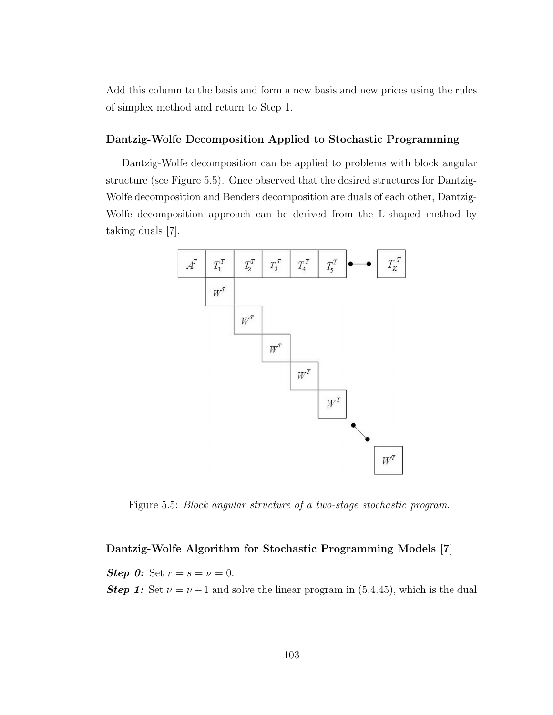Add this column to the basis and form a new basis and new prices using the rules of simplex method and return to Step 1.

#### Dantzig-Wolfe Decomposition Applied to Stochastic Programming

Dantzig-Wolfe decomposition can be applied to problems with block angular structure (see Figure 5.5). Once observed that the desired structures for Dantzig-Wolfe decomposition and Benders decomposition are duals of each other, Dantzig-Wolfe decomposition approach can be derived from the L-shaped method by taking duals [7].



Figure 5.5: Block angular structure of a two-stage stochastic program.

#### Dantzig-Wolfe Algorithm for Stochastic Programming Models [7]

**Step 0:** Set  $r = s = v = 0$ . **Step 1:** Set  $\nu = \nu + 1$  and solve the linear program in (5.4.45), which is the dual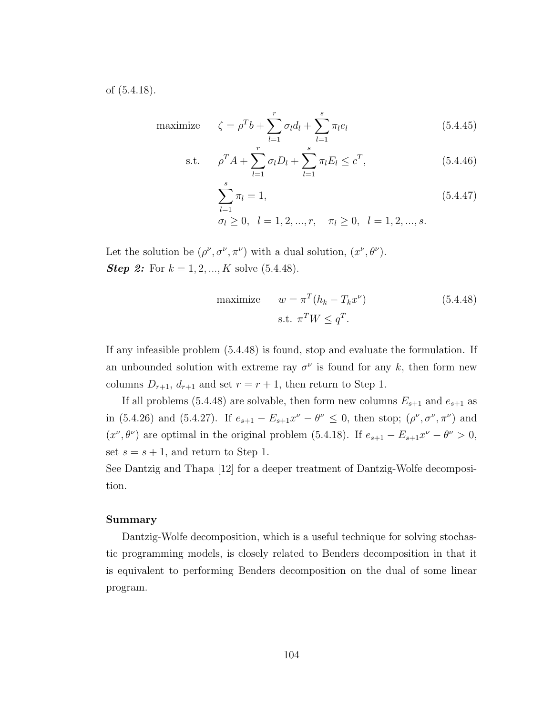of (5.4.18).

maximize 
$$
\zeta = \rho^T b + \sum_{l=1}^r \sigma_l d_l + \sum_{l=1}^s \pi_l e_l
$$
 (5.4.45)

s.t. 
$$
\rho^T A + \sum_{l=1}^r \sigma_l D_l + \sum_{l=1}^s \pi_l E_l \le c^T,
$$
 (5.4.46)

$$
\sum_{l=1}^{s} \pi_l = 1,
$$
\n(5.4.47)\n
$$
\sigma_l \ge 0, \quad l = 1, 2, ..., r, \quad \pi_l \ge 0, \quad l = 1, 2, ..., s.
$$

Let the solution be  $(\rho^{\nu}, \sigma^{\nu}, \pi^{\nu})$  with a dual solution,  $(x^{\nu}, \theta^{\nu})$ . **Step 2:** For  $k = 1, 2, ..., K$  solve  $(5.4.48)$ .

maximize 
$$
w = \pi^T (h_k - T_k x^{\nu})
$$
 (5.4.48)  
s.t.  $\pi^T W \leq q^T$ .

If any infeasible problem (5.4.48) is found, stop and evaluate the formulation. If an unbounded solution with extreme ray  $\sigma^{\nu}$  is found for any k, then form new columns  $D_{r+1}$ ,  $d_{r+1}$  and set  $r = r + 1$ , then return to Step 1.

If all problems (5.4.48) are solvable, then form new columns  $E_{s+1}$  and  $e_{s+1}$  as in (5.4.26) and (5.4.27). If  $e_{s+1} - E_{s+1}x^{\nu} - \theta^{\nu} \leq 0$ , then stop;  $(\rho^{\nu}, \sigma^{\nu}, \pi^{\nu})$  and  $(x^{\nu}, \theta^{\nu})$  are optimal in the original problem (5.4.18). If  $e_{s+1} - E_{s+1}x^{\nu} - \theta^{\nu} > 0$ , set  $s = s + 1$ , and return to Step 1.

See Dantzig and Thapa [12] for a deeper treatment of Dantzig-Wolfe decomposition.

#### Summary

Dantzig-Wolfe decomposition, which is a useful technique for solving stochastic programming models, is closely related to Benders decomposition in that it is equivalent to performing Benders decomposition on the dual of some linear program.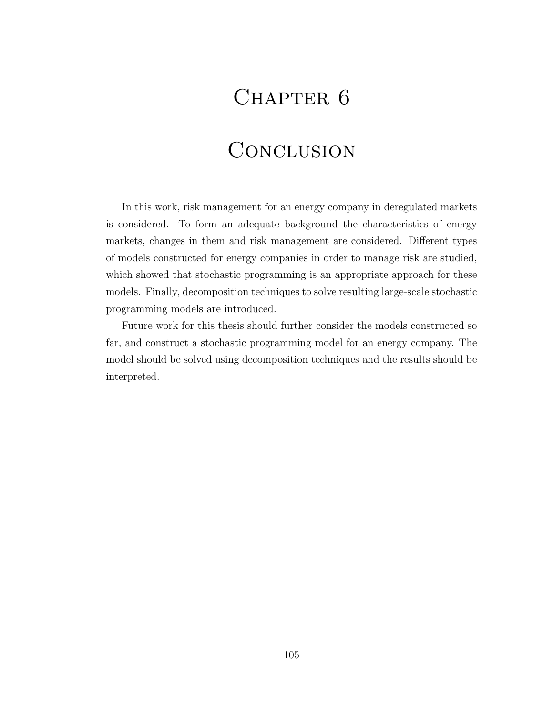## CHAPTER 6

# **CONCLUSION**

In this work, risk management for an energy company in deregulated markets is considered. To form an adequate background the characteristics of energy markets, changes in them and risk management are considered. Different types of models constructed for energy companies in order to manage risk are studied, which showed that stochastic programming is an appropriate approach for these models. Finally, decomposition techniques to solve resulting large-scale stochastic programming models are introduced.

Future work for this thesis should further consider the models constructed so far, and construct a stochastic programming model for an energy company. The model should be solved using decomposition techniques and the results should be interpreted.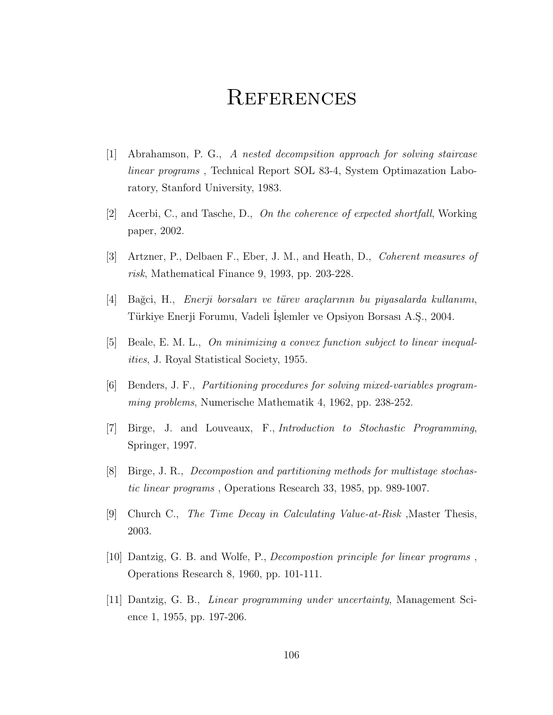### **REFERENCES**

- [1] Abrahamson, P. G., A nested decompsition approach for solving staircase linear programs , Technical Report SOL 83-4, System Optimazation Laboratory, Stanford University, 1983.
- [2] Acerbi, C., and Tasche, D., On the coherence of expected shortfall, Working paper, 2002.
- [3] Artzner, P., Delbaen F., Eber, J. M., and Heath, D., Coherent measures of risk, Mathematical Finance 9, 1993, pp. 203-228.
- $[4]$  Bağci, H., Enerji borsaları ve türev araçlarının bu piyasalarda kullanımı, Türkiye Enerji Forumu, Vadeli İşlemler ve Opsiyon Borsası A.Ş., 2004.
- [5] Beale, E. M. L., On minimizing a convex function subject to linear inequalities, J. Royal Statistical Society, 1955.
- [6] Benders, J. F., Partitioning procedures for solving mixed-variables programming problems, Numerische Mathematik 4, 1962, pp. 238-252.
- [7] Birge, J. and Louveaux, F., Introduction to Stochastic Programming, Springer, 1997.
- [8] Birge, J. R., Decompostion and partitioning methods for multistage stochastic linear programs , Operations Research 33, 1985, pp. 989-1007.
- [9] Church C., The Time Decay in Calculating Value-at-Risk ,Master Thesis, 2003.
- [10] Dantzig, G. B. and Wolfe, P., Decompostion principle for linear programs , Operations Research 8, 1960, pp. 101-111.
- [11] Dantzig, G. B., Linear programming under uncertainty, Management Science 1, 1955, pp. 197-206.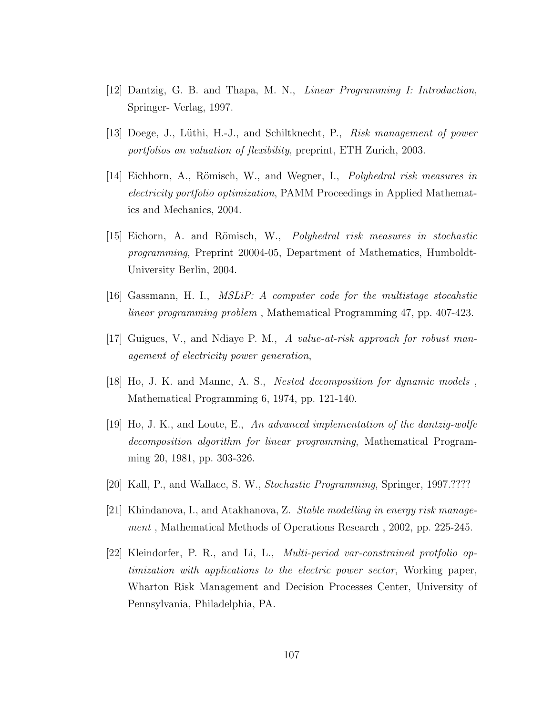- [12] Dantzig, G. B. and Thapa, M. N., Linear Programming I: Introduction, Springer- Verlag, 1997.
- [13] Doege, J., Lüthi, H.-J., and Schiltknecht, P., Risk management of power portfolios an valuation of flexibility, preprint, ETH Zurich, 2003.
- [14] Eichhorn, A., Römisch, W., and Wegner, I., *Polyhedral risk measures in* electricity portfolio optimization, PAMM Proceedings in Applied Mathematics and Mechanics, 2004.
- [15] Eichorn, A. and Römisch, W., *Polyhedral risk measures in stochastic* programming, Preprint 20004-05, Department of Mathematics, Humboldt-University Berlin, 2004.
- [16] Gassmann, H. I., MSLiP: A computer code for the multistage stocahstic linear programming problem , Mathematical Programming 47, pp. 407-423.
- [17] Guigues, V., and Ndiaye P. M., A value-at-risk approach for robust management of electricity power generation,
- [18] Ho, J. K. and Manne, A. S., Nested decomposition for dynamic models , Mathematical Programming 6, 1974, pp. 121-140.
- [19] Ho, J. K., and Loute, E., An advanced implementation of the dantzig-wolfe decomposition algorithm for linear programming, Mathematical Programming 20, 1981, pp. 303-326.
- [20] Kall, P., and Wallace, S. W., Stochastic Programming, Springer, 1997.????
- [21] Khindanova, I., and Atakhanova, Z. Stable modelling in energy risk management , Mathematical Methods of Operations Research , 2002, pp. 225-245.
- [22] Kleindorfer, P. R., and Li, L., Multi-period var-constrained protfolio optimization with applications to the electric power sector, Working paper, Wharton Risk Management and Decision Processes Center, University of Pennsylvania, Philadelphia, PA.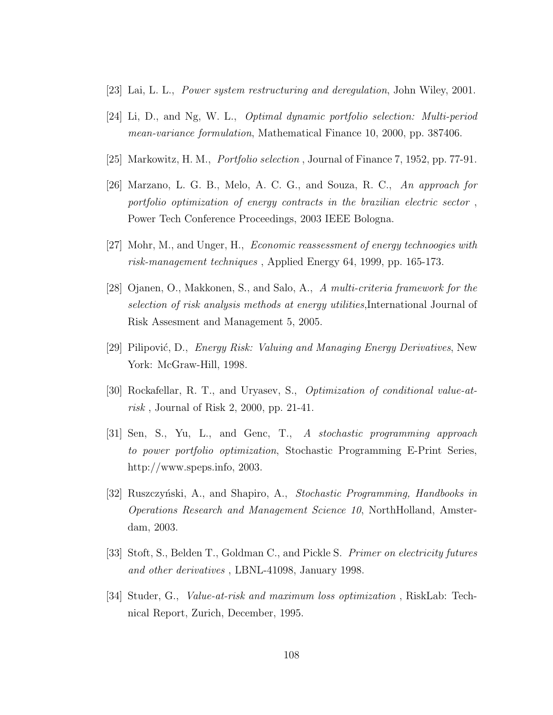- [23] Lai, L. L., Power system restructuring and deregulation, John Wiley, 2001.
- [24] Li, D., and Ng, W. L., Optimal dynamic portfolio selection: Multi-period mean-variance formulation, Mathematical Finance 10, 2000, pp. 387406.
- [25] Markowitz, H. M., Portfolio selection , Journal of Finance 7, 1952, pp. 77-91.
- [26] Marzano, L. G. B., Melo, A. C. G., and Souza, R. C., An approach for portfolio optimization of energy contracts in the brazilian electric sector , Power Tech Conference Proceedings, 2003 IEEE Bologna.
- $[27]$  Mohr, M., and Unger, H., *Economic reassessment of energy technoogies with* risk-management techniques , Applied Energy 64, 1999, pp. 165-173.
- [28] Ojanen, O., Makkonen, S., and Salo, A., A multi-criteria framework for the selection of risk analysis methods at energy utilities,International Journal of Risk Assesment and Management 5, 2005.
- [29] Pilipović, D., *Energy Risk: Valuing and Managing Energy Derivatives*, New York: McGraw-Hill, 1998.
- [30] Rockafellar, R. T., and Uryasev, S., Optimization of conditional value-atrisk , Journal of Risk 2, 2000, pp. 21-41.
- [31] Sen, S., Yu, L., and Genc, T., A stochastic programming approach to power portfolio optimization, Stochastic Programming E-Print Series, http://www.speps.info, 2003.
- [32] Ruszczyński, A., and Shapiro, A., *Stochastic Programming, Handbooks in* Operations Research and Management Science 10, NorthHolland, Amsterdam, 2003.
- [33] Stoft, S., Belden T., Goldman C., and Pickle S. Primer on electricity futures and other derivatives , LBNL-41098, January 1998.
- [34] Studer, G., Value-at-risk and maximum loss optimization , RiskLab: Technical Report, Zurich, December, 1995.